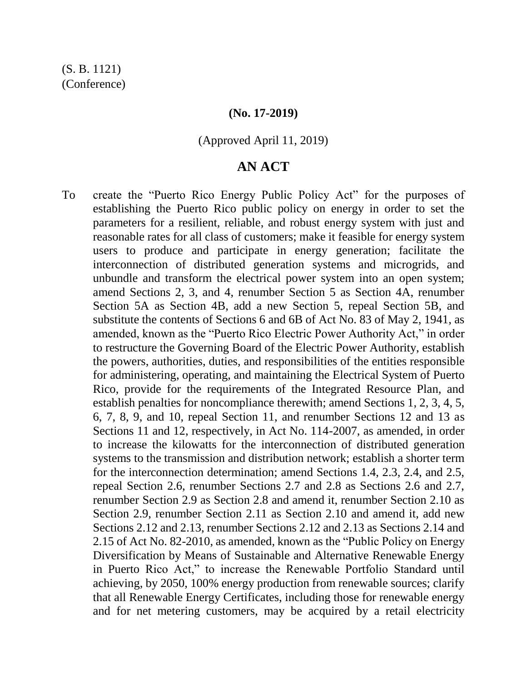## **(No. 17-2019)**

#### (Approved April 11, 2019)

# **AN ACT**

To create the "Puerto Rico Energy Public Policy Act" for the purposes of establishing the Puerto Rico public policy on energy in order to set the parameters for a resilient, reliable, and robust energy system with just and reasonable rates for all class of customers; make it feasible for energy system users to produce and participate in energy generation; facilitate the interconnection of distributed generation systems and microgrids, and unbundle and transform the electrical power system into an open system; amend Sections 2, 3, and 4, renumber Section 5 as Section 4A, renumber Section 5A as Section 4B, add a new Section 5, repeal Section 5B, and substitute the contents of Sections 6 and 6B of Act No. 83 of May 2, 1941, as amended, known as the "Puerto Rico Electric Power Authority Act," in order to restructure the Governing Board of the Electric Power Authority, establish the powers, authorities, duties, and responsibilities of the entities responsible for administering, operating, and maintaining the Electrical System of Puerto Rico, provide for the requirements of the Integrated Resource Plan, and establish penalties for noncompliance therewith; amend Sections 1, 2, 3, 4, 5, 6, 7, 8, 9, and 10, repeal Section 11, and renumber Sections 12 and 13 as Sections 11 and 12, respectively, in Act No. 114-2007, as amended, in order to increase the kilowatts for the interconnection of distributed generation systems to the transmission and distribution network; establish a shorter term for the interconnection determination; amend Sections 1.4, 2.3, 2.4, and 2.5, repeal Section 2.6, renumber Sections 2.7 and 2.8 as Sections 2.6 and 2.7, renumber Section 2.9 as Section 2.8 and amend it, renumber Section 2.10 as Section 2.9, renumber Section 2.11 as Section 2.10 and amend it, add new Sections 2.12 and 2.13, renumber Sections 2.12 and 2.13 as Sections 2.14 and 2.15 of Act No. 82-2010, as amended, known as the "Public Policy on Energy Diversification by Means of Sustainable and Alternative Renewable Energy in Puerto Rico Act," to increase the Renewable Portfolio Standard until achieving, by 2050, 100% energy production from renewable sources; clarify that all Renewable Energy Certificates, including those for renewable energy and for net metering customers, may be acquired by a retail electricity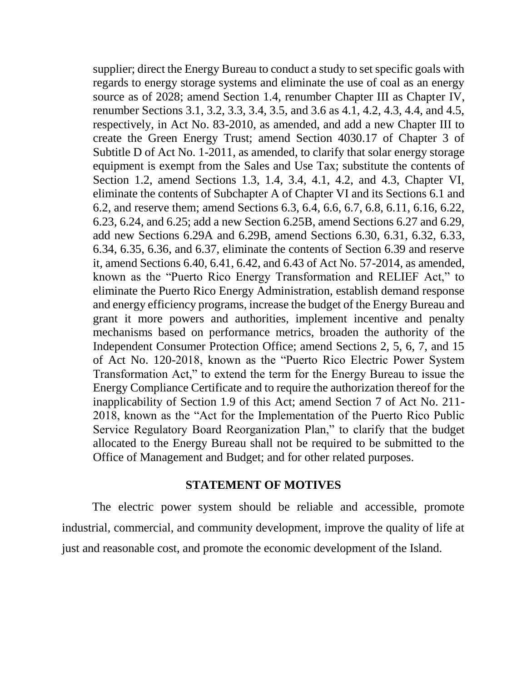supplier; direct the Energy Bureau to conduct a study to set specific goals with regards to energy storage systems and eliminate the use of coal as an energy source as of 2028; amend Section 1.4, renumber Chapter III as Chapter IV, renumber Sections 3.1, 3.2, 3.3, 3.4, 3.5, and 3.6 as 4.1, 4.2, 4.3, 4.4, and 4.5, respectively, in Act No. 83-2010, as amended, and add a new Chapter III to create the Green Energy Trust; amend Section 4030.17 of Chapter 3 of Subtitle D of Act No. 1-2011, as amended, to clarify that solar energy storage equipment is exempt from the Sales and Use Tax; substitute the contents of Section 1.2, amend Sections 1.3, 1.4, 3.4, 4.1, 4.2, and 4.3, Chapter VI, eliminate the contents of Subchapter A of Chapter VI and its Sections 6.1 and 6.2, and reserve them; amend Sections 6.3, 6.4, 6.6, 6.7, 6.8, 6.11, 6.16, 6.22, 6.23, 6.24, and 6.25; add a new Section 6.25B, amend Sections 6.27 and 6.29, add new Sections 6.29A and 6.29B, amend Sections 6.30, 6.31, 6.32, 6.33, 6.34, 6.35, 6.36, and 6.37, eliminate the contents of Section 6.39 and reserve it, amend Sections 6.40, 6.41, 6.42, and 6.43 of Act No. 57-2014, as amended, known as the "Puerto Rico Energy Transformation and RELIEF Act," to eliminate the Puerto Rico Energy Administration, establish demand response and energy efficiency programs, increase the budget of the Energy Bureau and grant it more powers and authorities, implement incentive and penalty mechanisms based on performance metrics, broaden the authority of the Independent Consumer Protection Office; amend Sections 2, 5, 6, 7, and 15 of Act No. 120-2018, known as the "Puerto Rico Electric Power System Transformation Act," to extend the term for the Energy Bureau to issue the Energy Compliance Certificate and to require the authorization thereof for the inapplicability of Section 1.9 of this Act; amend Section 7 of Act No. 211- 2018, known as the "Act for the Implementation of the Puerto Rico Public Service Regulatory Board Reorganization Plan," to clarify that the budget allocated to the Energy Bureau shall not be required to be submitted to the Office of Management and Budget; and for other related purposes.

# **STATEMENT OF MOTIVES**

The electric power system should be reliable and accessible, promote industrial, commercial, and community development, improve the quality of life at just and reasonable cost, and promote the economic development of the Island.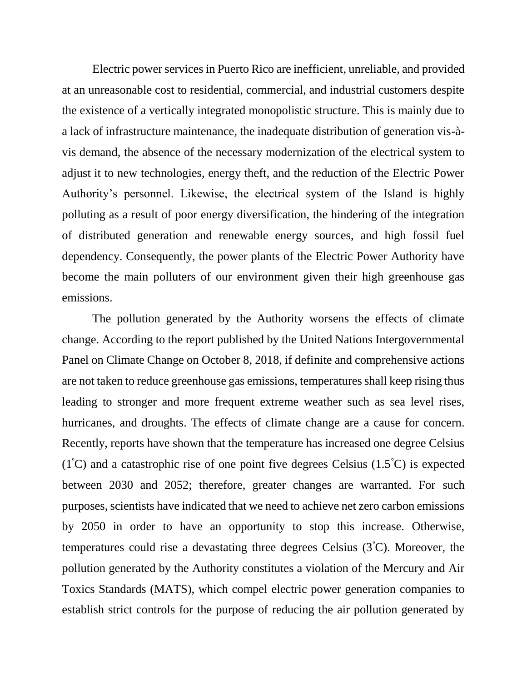Electric power services in Puerto Rico are inefficient, unreliable, and provided at an unreasonable cost to residential, commercial, and industrial customers despite the existence of a vertically integrated monopolistic structure. This is mainly due to a lack of infrastructure maintenance, the inadequate distribution of generation vis-àvis demand, the absence of the necessary modernization of the electrical system to adjust it to new technologies, energy theft, and the reduction of the Electric Power Authority's personnel. Likewise, the electrical system of the Island is highly polluting as a result of poor energy diversification, the hindering of the integration of distributed generation and renewable energy sources, and high fossil fuel dependency. Consequently, the power plants of the Electric Power Authority have become the main polluters of our environment given their high greenhouse gas emissions.

The pollution generated by the Authority worsens the effects of climate change. According to the report published by the United Nations Intergovernmental Panel on Climate Change on October 8, 2018, if definite and comprehensive actions are not taken to reduce greenhouse gas emissions, temperatures shall keep rising thus leading to stronger and more frequent extreme weather such as sea level rises, hurricanes, and droughts. The effects of climate change are a cause for concern. Recently, reports have shown that the temperature has increased one degree Celsius  $(1^{\circ}C)$  and a catastrophic rise of one point five degrees Celsius  $(1.5^{\circ}C)$  is expected between 2030 and 2052; therefore, greater changes are warranted. For such purposes, scientists have indicated that we need to achieve net zero carbon emissions by 2050 in order to have an opportunity to stop this increase. Otherwise, temperatures could rise a devastating three degrees Celsius (3<sup>º</sup>C). Moreover, the pollution generated by the Authority constitutes a violation of the Mercury and Air Toxics Standards (MATS), which compel electric power generation companies to establish strict controls for the purpose of reducing the air pollution generated by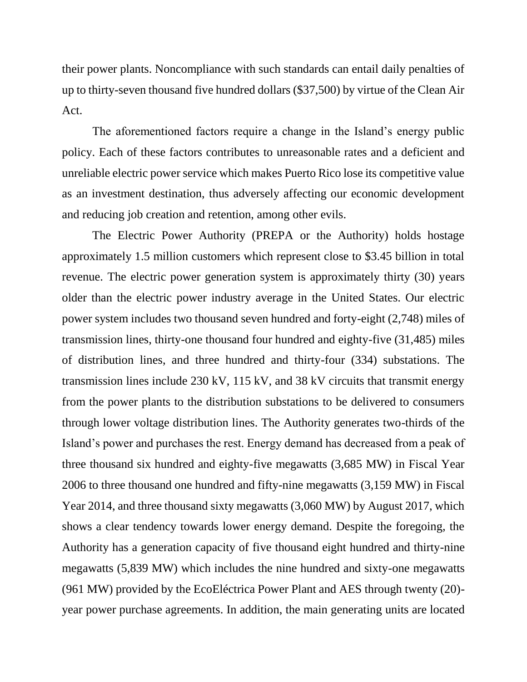their power plants. Noncompliance with such standards can entail daily penalties of up to thirty-seven thousand five hundred dollars (\$37,500) by virtue of the Clean Air Act.

The aforementioned factors require a change in the Island's energy public policy. Each of these factors contributes to unreasonable rates and a deficient and unreliable electric power service which makes Puerto Rico lose its competitive value as an investment destination, thus adversely affecting our economic development and reducing job creation and retention, among other evils.

The Electric Power Authority (PREPA or the Authority) holds hostage approximately 1.5 million customers which represent close to \$3.45 billion in total revenue. The electric power generation system is approximately thirty (30) years older than the electric power industry average in the United States. Our electric power system includes two thousand seven hundred and forty-eight (2,748) miles of transmission lines, thirty-one thousand four hundred and eighty-five (31,485) miles of distribution lines, and three hundred and thirty-four (334) substations. The transmission lines include 230 kV, 115 kV, and 38 kV circuits that transmit energy from the power plants to the distribution substations to be delivered to consumers through lower voltage distribution lines. The Authority generates two-thirds of the Island's power and purchases the rest. Energy demand has decreased from a peak of three thousand six hundred and eighty-five megawatts (3,685 MW) in Fiscal Year 2006 to three thousand one hundred and fifty-nine megawatts (3,159 MW) in Fiscal Year 2014, and three thousand sixty megawatts (3,060 MW) by August 2017, which shows a clear tendency towards lower energy demand. Despite the foregoing, the Authority has a generation capacity of five thousand eight hundred and thirty-nine megawatts (5,839 MW) which includes the nine hundred and sixty-one megawatts (961 MW) provided by the EcoEléctrica Power Plant and AES through twenty (20) year power purchase agreements. In addition, the main generating units are located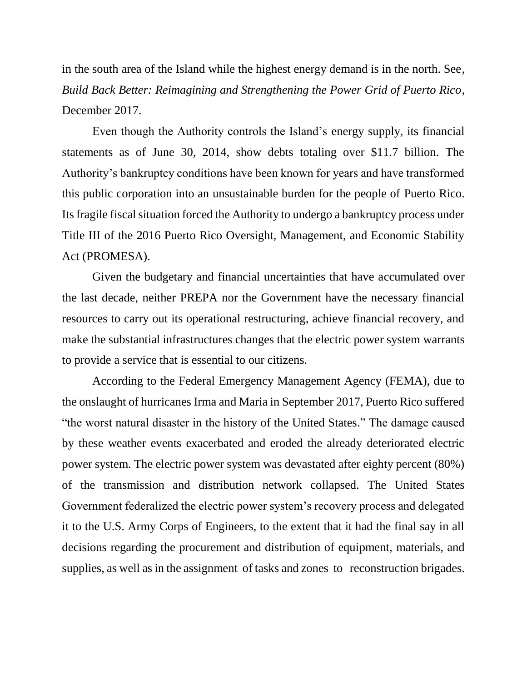in the south area of the Island while the highest energy demand is in the north. See*, Build Back Better: Reimagining and Strengthening the Power Grid of Puerto Rico*, December 2017.

Even though the Authority controls the Island's energy supply, its financial statements as of June 30, 2014, show debts totaling over \$11.7 billion. The Authority's bankruptcy conditions have been known for years and have transformed this public corporation into an unsustainable burden for the people of Puerto Rico. Its fragile fiscal situation forced the Authority to undergo a bankruptcy process under Title III of the 2016 Puerto Rico Oversight, Management, and Economic Stability Act (PROMESA).

Given the budgetary and financial uncertainties that have accumulated over the last decade, neither PREPA nor the Government have the necessary financial resources to carry out its operational restructuring, achieve financial recovery, and make the substantial infrastructures changes that the electric power system warrants to provide a service that is essential to our citizens.

According to the Federal Emergency Management Agency (FEMA), due to the onslaught of hurricanes Irma and Maria in September 2017, Puerto Rico suffered "the worst natural disaster in the history of the United States." The damage caused by these weather events exacerbated and eroded the already deteriorated electric power system. The electric power system was devastated after eighty percent (80%) of the transmission and distribution network collapsed. The United States Government federalized the electric power system's recovery process and delegated it to the U.S. Army Corps of Engineers, to the extent that it had the final say in all decisions regarding the procurement and distribution of equipment, materials, and supplies, as well as in the assignment of tasks and zones to reconstruction brigades.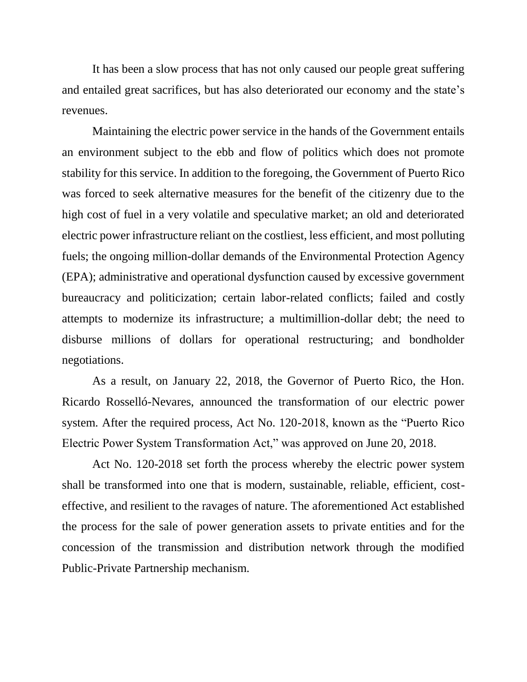It has been a slow process that has not only caused our people great suffering and entailed great sacrifices, but has also deteriorated our economy and the state's revenues.

Maintaining the electric power service in the hands of the Government entails an environment subject to the ebb and flow of politics which does not promote stability for this service. In addition to the foregoing, the Government of Puerto Rico was forced to seek alternative measures for the benefit of the citizenry due to the high cost of fuel in a very volatile and speculative market; an old and deteriorated electric power infrastructure reliant on the costliest, less efficient, and most polluting fuels; the ongoing million-dollar demands of the Environmental Protection Agency (EPA); administrative and operational dysfunction caused by excessive government bureaucracy and politicization; certain labor-related conflicts; failed and costly attempts to modernize its infrastructure; a multimillion-dollar debt; the need to disburse millions of dollars for operational restructuring; and bondholder negotiations.

As a result, on January 22, 2018, the Governor of Puerto Rico, the Hon. Ricardo Rosselló-Nevares, announced the transformation of our electric power system. After the required process, Act No. 120-2018, known as the "Puerto Rico Electric Power System Transformation Act," was approved on June 20, 2018.

Act No. 120-2018 set forth the process whereby the electric power system shall be transformed into one that is modern, sustainable, reliable, efficient, costeffective, and resilient to the ravages of nature. The aforementioned Act established the process for the sale of power generation assets to private entities and for the concession of the transmission and distribution network through the modified Public-Private Partnership mechanism.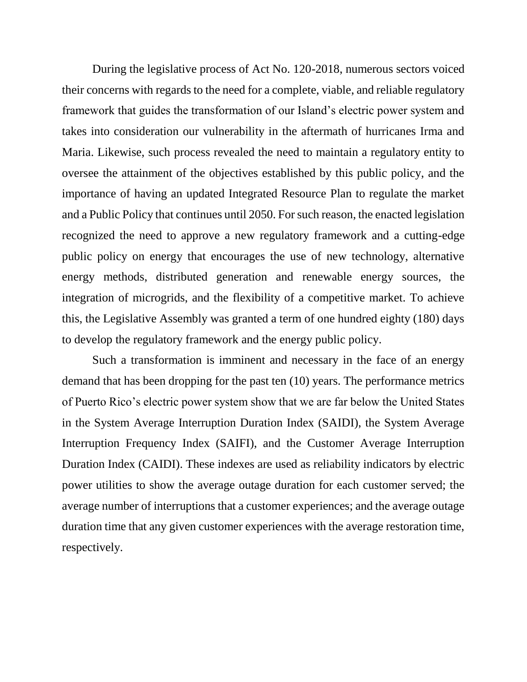During the legislative process of Act No. 120-2018, numerous sectors voiced their concerns with regards to the need for a complete, viable, and reliable regulatory framework that guides the transformation of our Island's electric power system and takes into consideration our vulnerability in the aftermath of hurricanes Irma and Maria. Likewise, such process revealed the need to maintain a regulatory entity to oversee the attainment of the objectives established by this public policy, and the importance of having an updated Integrated Resource Plan to regulate the market and a Public Policy that continues until 2050. For such reason, the enacted legislation recognized the need to approve a new regulatory framework and a cutting-edge public policy on energy that encourages the use of new technology, alternative energy methods, distributed generation and renewable energy sources, the integration of microgrids, and the flexibility of a competitive market. To achieve this, the Legislative Assembly was granted a term of one hundred eighty (180) days to develop the regulatory framework and the energy public policy.

Such a transformation is imminent and necessary in the face of an energy demand that has been dropping for the past ten (10) years. The performance metrics of Puerto Rico's electric power system show that we are far below the United States in the System Average Interruption Duration Index (SAIDI), the System Average Interruption Frequency Index (SAIFI), and the Customer Average Interruption Duration Index (CAIDI). These indexes are used as reliability indicators by electric power utilities to show the average outage duration for each customer served; the average number of interruptions that a customer experiences; and the average outage duration time that any given customer experiences with the average restoration time, respectively.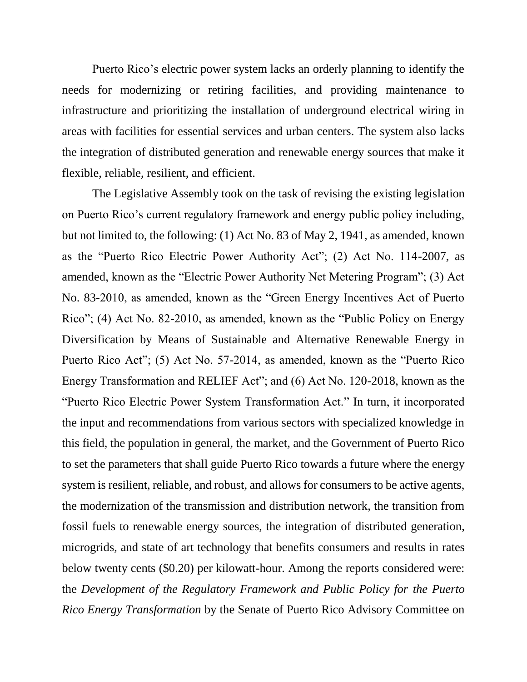Puerto Rico's electric power system lacks an orderly planning to identify the needs for modernizing or retiring facilities, and providing maintenance to infrastructure and prioritizing the installation of underground electrical wiring in areas with facilities for essential services and urban centers. The system also lacks the integration of distributed generation and renewable energy sources that make it flexible, reliable, resilient, and efficient.

The Legislative Assembly took on the task of revising the existing legislation on Puerto Rico's current regulatory framework and energy public policy including, but not limited to, the following: (1) Act No. 83 of May 2, 1941, as amended, known as the "Puerto Rico Electric Power Authority Act"; (2) Act No. 114-2007, as amended, known as the "Electric Power Authority Net Metering Program"; (3) Act No. 83-2010, as amended, known as the "Green Energy Incentives Act of Puerto Rico"; (4) Act No. 82-2010, as amended, known as the "Public Policy on Energy Diversification by Means of Sustainable and Alternative Renewable Energy in Puerto Rico Act"; (5) Act No. 57-2014, as amended, known as the "Puerto Rico Energy Transformation and RELIEF Act"; and (6) Act No. 120-2018, known as the "Puerto Rico Electric Power System Transformation Act." In turn, it incorporated the input and recommendations from various sectors with specialized knowledge in this field, the population in general, the market, and the Government of Puerto Rico to set the parameters that shall guide Puerto Rico towards a future where the energy system is resilient, reliable, and robust, and allows for consumers to be active agents, the modernization of the transmission and distribution network, the transition from fossil fuels to renewable energy sources, the integration of distributed generation, microgrids, and state of art technology that benefits consumers and results in rates below twenty cents (\$0.20) per kilowatt-hour. Among the reports considered were: the *Development of the Regulatory Framework and Public Policy for the Puerto Rico Energy Transformation* by the Senate of Puerto Rico Advisory Committee on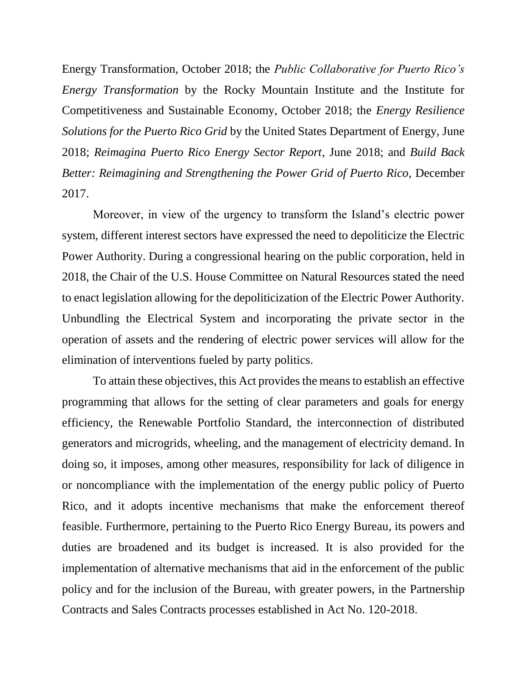Energy Transformation, October 2018; the *Public Collaborative for Puerto Rico's Energy Transformation* by the Rocky Mountain Institute and the Institute for Competitiveness and Sustainable Economy, October 2018; the *Energy Resilience Solutions for the Puerto Rico Grid* by the United States Department of Energy, June 2018; *Reimagina Puerto Rico Energy Sector Report*, June 2018; and *Build Back Better: Reimagining and Strengthening the Power Grid of Puerto Rico*, December 2017.

Moreover, in view of the urgency to transform the Island's electric power system, different interest sectors have expressed the need to depoliticize the Electric Power Authority. During a congressional hearing on the public corporation, held in 2018, the Chair of the U.S. House Committee on Natural Resources stated the need to enact legislation allowing for the depoliticization of the Electric Power Authority. Unbundling the Electrical System and incorporating the private sector in the operation of assets and the rendering of electric power services will allow for the elimination of interventions fueled by party politics.

To attain these objectives, this Act provides the means to establish an effective programming that allows for the setting of clear parameters and goals for energy efficiency, the Renewable Portfolio Standard, the interconnection of distributed generators and microgrids, wheeling, and the management of electricity demand. In doing so, it imposes, among other measures, responsibility for lack of diligence in or noncompliance with the implementation of the energy public policy of Puerto Rico, and it adopts incentive mechanisms that make the enforcement thereof feasible. Furthermore, pertaining to the Puerto Rico Energy Bureau, its powers and duties are broadened and its budget is increased. It is also provided for the implementation of alternative mechanisms that aid in the enforcement of the public policy and for the inclusion of the Bureau, with greater powers, in the Partnership Contracts and Sales Contracts processes established in Act No. 120-2018.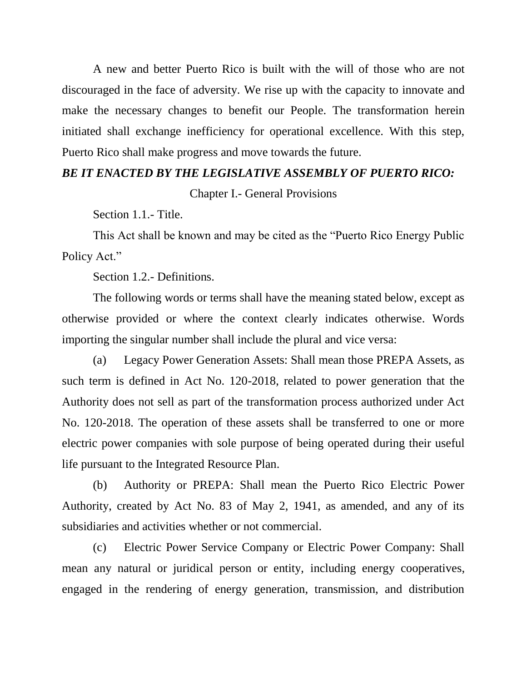A new and better Puerto Rico is built with the will of those who are not discouraged in the face of adversity. We rise up with the capacity to innovate and make the necessary changes to benefit our People. The transformation herein initiated shall exchange inefficiency for operational excellence. With this step, Puerto Rico shall make progress and move towards the future.

## *BE IT ENACTED BY THE LEGISLATIVE ASSEMBLY OF PUERTO RICO:*

Chapter I.- General Provisions

Section 1.1.- Title.

This Act shall be known and may be cited as the "Puerto Rico Energy Public Policy Act."

Section 1.2.- Definitions.

The following words or terms shall have the meaning stated below, except as otherwise provided or where the context clearly indicates otherwise. Words importing the singular number shall include the plural and vice versa:

(a) Legacy Power Generation Assets: Shall mean those PREPA Assets, as such term is defined in Act No. 120-2018, related to power generation that the Authority does not sell as part of the transformation process authorized under Act No. 120-2018. The operation of these assets shall be transferred to one or more electric power companies with sole purpose of being operated during their useful life pursuant to the Integrated Resource Plan.

(b) Authority or PREPA: Shall mean the Puerto Rico Electric Power Authority, created by Act No. 83 of May 2, 1941, as amended, and any of its subsidiaries and activities whether or not commercial.

(c) Electric Power Service Company or Electric Power Company: Shall mean any natural or juridical person or entity, including energy cooperatives, engaged in the rendering of energy generation, transmission, and distribution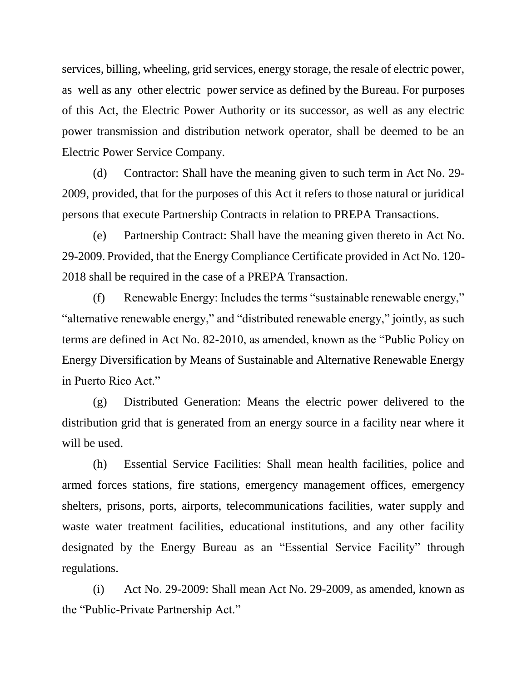services, billing, wheeling, grid services, energy storage, the resale of electric power, as well as any other electric power service as defined by the Bureau. For purposes of this Act, the Electric Power Authority or its successor, as well as any electric power transmission and distribution network operator, shall be deemed to be an Electric Power Service Company.

(d) Contractor: Shall have the meaning given to such term in Act No. 29- 2009, provided, that for the purposes of this Act it refers to those natural or juridical persons that execute Partnership Contracts in relation to PREPA Transactions.

(e) Partnership Contract: Shall have the meaning given thereto in Act No. 29-2009. Provided, that the Energy Compliance Certificate provided in Act No. 120- 2018 shall be required in the case of a PREPA Transaction.

(f) Renewable Energy: Includes the terms "sustainable renewable energy," "alternative renewable energy," and "distributed renewable energy," jointly, as such terms are defined in Act No. 82-2010, as amended, known as the "Public Policy on Energy Diversification by Means of Sustainable and Alternative Renewable Energy in Puerto Rico Act."

(g) Distributed Generation: Means the electric power delivered to the distribution grid that is generated from an energy source in a facility near where it will be used.

(h) Essential Service Facilities: Shall mean health facilities, police and armed forces stations, fire stations, emergency management offices, emergency shelters, prisons, ports, airports, telecommunications facilities, water supply and waste water treatment facilities, educational institutions, and any other facility designated by the Energy Bureau as an "Essential Service Facility" through regulations.

(i) Act No. 29-2009: Shall mean Act No. 29-2009, as amended, known as the "Public-Private Partnership Act."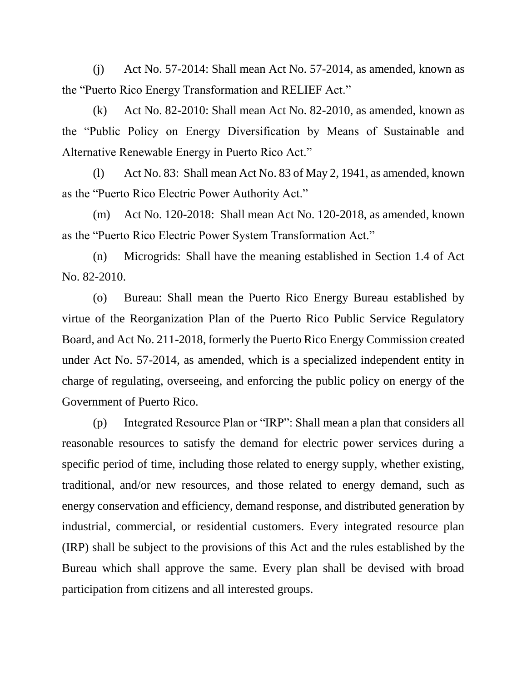(j) Act No. 57-2014: Shall mean Act No. 57-2014, as amended, known as the "Puerto Rico Energy Transformation and RELIEF Act."

(k) Act No. 82-2010: Shall mean Act No. 82-2010, as amended, known as the "Public Policy on Energy Diversification by Means of Sustainable and Alternative Renewable Energy in Puerto Rico Act."

(l) Act No. 83: Shall mean Act No. 83 of May 2, 1941, as amended, known as the "Puerto Rico Electric Power Authority Act."

(m) Act No. 120-2018: Shall mean Act No. 120-2018, as amended, known as the "Puerto Rico Electric Power System Transformation Act."

(n) Microgrids: Shall have the meaning established in Section 1.4 of Act No. 82-2010.

(o) Bureau: Shall mean the Puerto Rico Energy Bureau established by virtue of the Reorganization Plan of the Puerto Rico Public Service Regulatory Board, and Act No. 211-2018, formerly the Puerto Rico Energy Commission created under Act No. 57-2014, as amended, which is a specialized independent entity in charge of regulating, overseeing, and enforcing the public policy on energy of the Government of Puerto Rico.

(p) Integrated Resource Plan or "IRP": Shall mean a plan that considers all reasonable resources to satisfy the demand for electric power services during a specific period of time, including those related to energy supply, whether existing, traditional, and/or new resources, and those related to energy demand, such as energy conservation and efficiency, demand response, and distributed generation by industrial, commercial, or residential customers. Every integrated resource plan (IRP) shall be subject to the provisions of this Act and the rules established by the Bureau which shall approve the same. Every plan shall be devised with broad participation from citizens and all interested groups.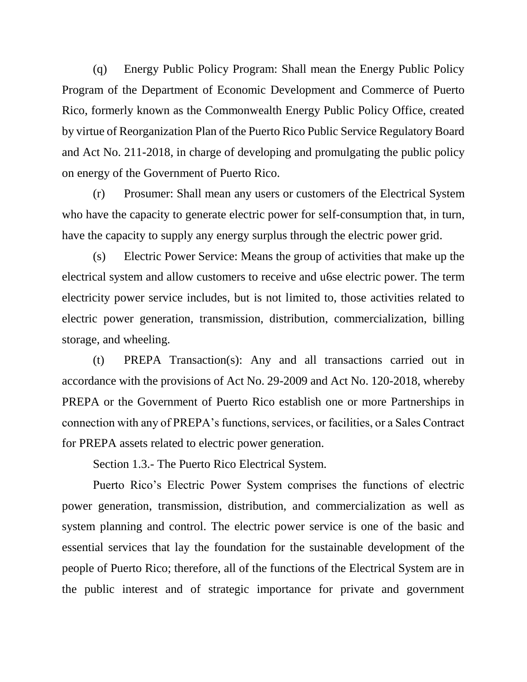(q) Energy Public Policy Program: Shall mean the Energy Public Policy Program of the Department of Economic Development and Commerce of Puerto Rico, formerly known as the Commonwealth Energy Public Policy Office, created by virtue of Reorganization Plan of the Puerto Rico Public Service Regulatory Board and Act No. 211-2018, in charge of developing and promulgating the public policy on energy of the Government of Puerto Rico.

(r) Prosumer: Shall mean any users or customers of the Electrical System who have the capacity to generate electric power for self-consumption that, in turn, have the capacity to supply any energy surplus through the electric power grid.

(s) Electric Power Service: Means the group of activities that make up the electrical system and allow customers to receive and u6se electric power. The term electricity power service includes, but is not limited to, those activities related to electric power generation, transmission, distribution, commercialization, billing storage, and wheeling.

(t) PREPA Transaction(s): Any and all transactions carried out in accordance with the provisions of Act No. 29-2009 and Act No. 120-2018, whereby PREPA or the Government of Puerto Rico establish one or more Partnerships in connection with any of PREPA's functions, services, or facilities, or a Sales Contract for PREPA assets related to electric power generation.

Section 1.3.- The Puerto Rico Electrical System.

Puerto Rico's Electric Power System comprises the functions of electric power generation, transmission, distribution, and commercialization as well as system planning and control. The electric power service is one of the basic and essential services that lay the foundation for the sustainable development of the people of Puerto Rico; therefore, all of the functions of the Electrical System are in the public interest and of strategic importance for private and government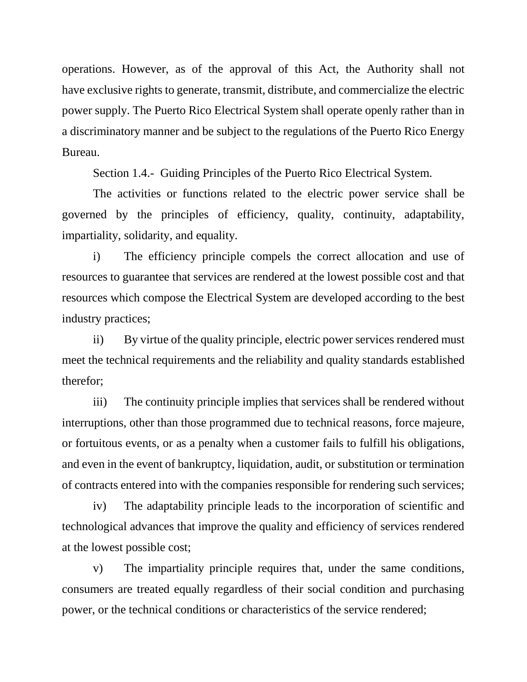operations. However, as of the approval of this Act, the Authority shall not have exclusive rights to generate, transmit, distribute, and commercialize the electric power supply. The Puerto Rico Electrical System shall operate openly rather than in a discriminatory manner and be subject to the regulations of the Puerto Rico Energy Bureau.

Section 1.4.- Guiding Principles of the Puerto Rico Electrical System.

The activities or functions related to the electric power service shall be governed by the principles of efficiency, quality, continuity, adaptability, impartiality, solidarity, and equality.

i) The efficiency principle compels the correct allocation and use of resources to guarantee that services are rendered at the lowest possible cost and that resources which compose the Electrical System are developed according to the best industry practices;

ii) By virtue of the quality principle, electric power services rendered must meet the technical requirements and the reliability and quality standards established therefor;

iii) The continuity principle implies that services shall be rendered without interruptions, other than those programmed due to technical reasons, force majeure, or fortuitous events, or as a penalty when a customer fails to fulfill his obligations, and even in the event of bankruptcy, liquidation, audit, or substitution or termination of contracts entered into with the companies responsible for rendering such services;

iv) The adaptability principle leads to the incorporation of scientific and technological advances that improve the quality and efficiency of services rendered at the lowest possible cost;

v) The impartiality principle requires that, under the same conditions, consumers are treated equally regardless of their social condition and purchasing power, or the technical conditions or characteristics of the service rendered;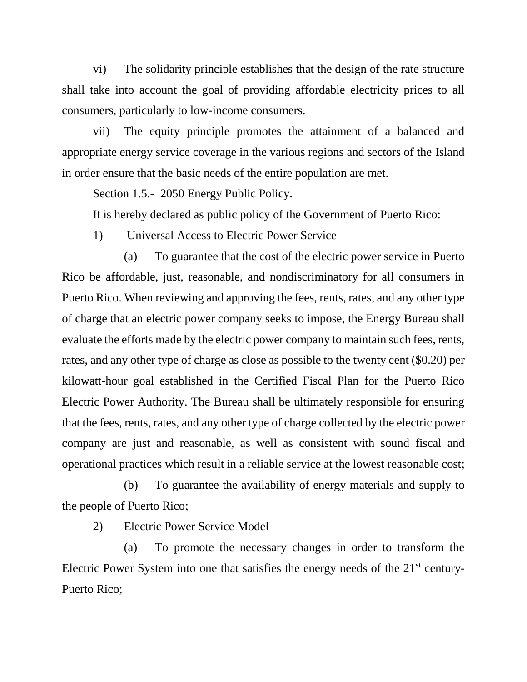vi) The solidarity principle establishes that the design of the rate structure shall take into account the goal of providing affordable electricity prices to all consumers, particularly to low-income consumers.

vii) The equity principle promotes the attainment of a balanced and appropriate energy service coverage in the various regions and sectors of the Island in order ensure that the basic needs of the entire population are met.

Section 1.5.- 2050 Energy Public Policy.

It is hereby declared as public policy of the Government of Puerto Rico:

1) Universal Access to Electric Power Service

(a) To guarantee that the cost of the electric power service in Puerto Rico be affordable, just, reasonable, and nondiscriminatory for all consumers in Puerto Rico. When reviewing and approving the fees, rents, rates, and any other type of charge that an electric power company seeks to impose, the Energy Bureau shall evaluate the efforts made by the electric power company to maintain such fees, rents, rates, and any other type of charge as close as possible to the twenty cent (\$0.20) per kilowatt-hour goal established in the Certified Fiscal Plan for the Puerto Rico Electric Power Authority. The Bureau shall be ultimately responsible for ensuring that the fees, rents, rates, and any other type of charge collected by the electric power company are just and reasonable, as well as consistent with sound fiscal and operational practices which result in a reliable service at the lowest reasonable cost;

(b) To guarantee the availability of energy materials and supply to the people of Puerto Rico;

2) Electric Power Service Model

(a) To promote the necessary changes in order to transform the Electric Power System into one that satisfies the energy needs of the 21<sup>st</sup> century-Puerto Rico;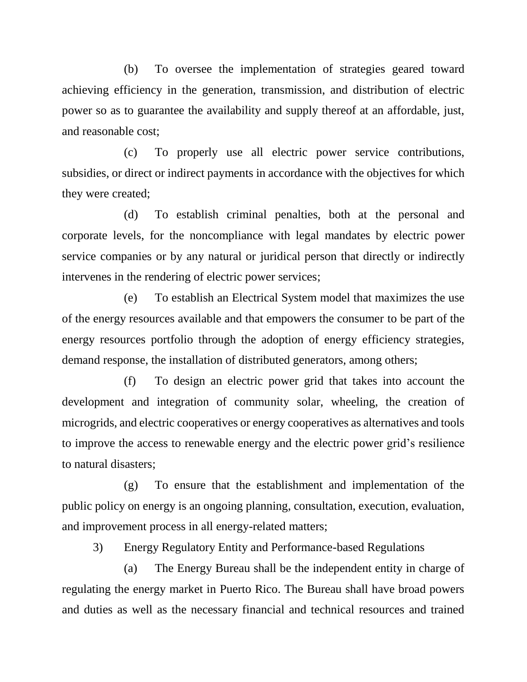(b) To oversee the implementation of strategies geared toward achieving efficiency in the generation, transmission, and distribution of electric power so as to guarantee the availability and supply thereof at an affordable, just, and reasonable cost;

(c) To properly use all electric power service contributions, subsidies, or direct or indirect payments in accordance with the objectives for which they were created;

(d) To establish criminal penalties, both at the personal and corporate levels, for the noncompliance with legal mandates by electric power service companies or by any natural or juridical person that directly or indirectly intervenes in the rendering of electric power services;

(e) To establish an Electrical System model that maximizes the use of the energy resources available and that empowers the consumer to be part of the energy resources portfolio through the adoption of energy efficiency strategies, demand response, the installation of distributed generators, among others;

(f) To design an electric power grid that takes into account the development and integration of community solar, wheeling, the creation of microgrids, and electric cooperatives or energy cooperatives as alternatives and tools to improve the access to renewable energy and the electric power grid's resilience to natural disasters;

(g) To ensure that the establishment and implementation of the public policy on energy is an ongoing planning, consultation, execution, evaluation, and improvement process in all energy-related matters;

3) Energy Regulatory Entity and Performance-based Regulations

(a) The Energy Bureau shall be the independent entity in charge of regulating the energy market in Puerto Rico. The Bureau shall have broad powers and duties as well as the necessary financial and technical resources and trained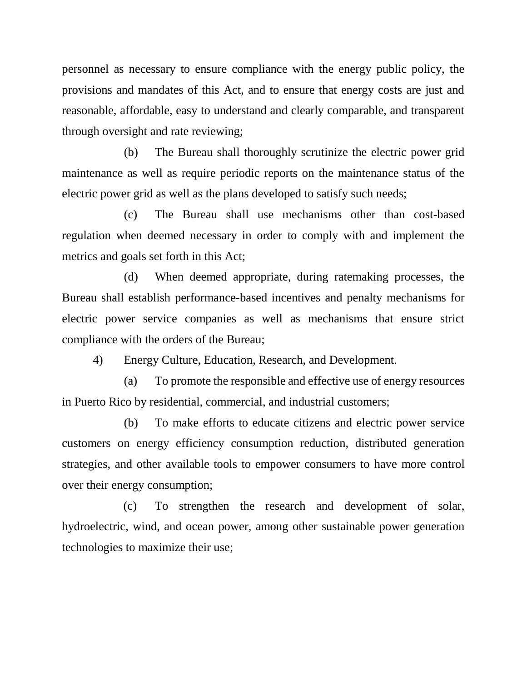personnel as necessary to ensure compliance with the energy public policy, the provisions and mandates of this Act, and to ensure that energy costs are just and reasonable, affordable, easy to understand and clearly comparable, and transparent through oversight and rate reviewing;

(b) The Bureau shall thoroughly scrutinize the electric power grid maintenance as well as require periodic reports on the maintenance status of the electric power grid as well as the plans developed to satisfy such needs;

(c) The Bureau shall use mechanisms other than cost-based regulation when deemed necessary in order to comply with and implement the metrics and goals set forth in this Act;

(d) When deemed appropriate, during ratemaking processes, the Bureau shall establish performance-based incentives and penalty mechanisms for electric power service companies as well as mechanisms that ensure strict compliance with the orders of the Bureau;

4) Energy Culture, Education, Research, and Development.

(a) To promote the responsible and effective use of energy resources in Puerto Rico by residential, commercial, and industrial customers;

(b) To make efforts to educate citizens and electric power service customers on energy efficiency consumption reduction, distributed generation strategies, and other available tools to empower consumers to have more control over their energy consumption;

(c) To strengthen the research and development of solar, hydroelectric, wind, and ocean power, among other sustainable power generation technologies to maximize their use;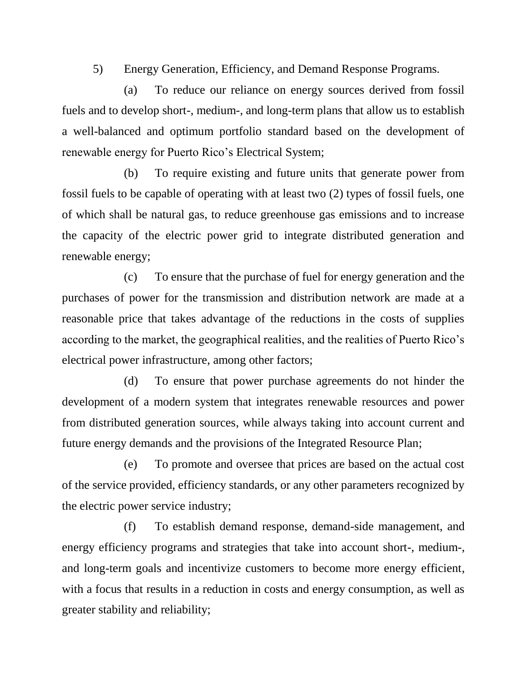5) Energy Generation, Efficiency, and Demand Response Programs.

(a) To reduce our reliance on energy sources derived from fossil fuels and to develop short-, medium-, and long-term plans that allow us to establish a well-balanced and optimum portfolio standard based on the development of renewable energy for Puerto Rico's Electrical System;

(b) To require existing and future units that generate power from fossil fuels to be capable of operating with at least two (2) types of fossil fuels, one of which shall be natural gas, to reduce greenhouse gas emissions and to increase the capacity of the electric power grid to integrate distributed generation and renewable energy;

(c) To ensure that the purchase of fuel for energy generation and the purchases of power for the transmission and distribution network are made at a reasonable price that takes advantage of the reductions in the costs of supplies according to the market, the geographical realities, and the realities of Puerto Rico's electrical power infrastructure, among other factors;

(d) To ensure that power purchase agreements do not hinder the development of a modern system that integrates renewable resources and power from distributed generation sources, while always taking into account current and future energy demands and the provisions of the Integrated Resource Plan;

(e) To promote and oversee that prices are based on the actual cost of the service provided, efficiency standards, or any other parameters recognized by the electric power service industry;

(f) To establish demand response, demand-side management, and energy efficiency programs and strategies that take into account short-, medium-, and long-term goals and incentivize customers to become more energy efficient, with a focus that results in a reduction in costs and energy consumption, as well as greater stability and reliability;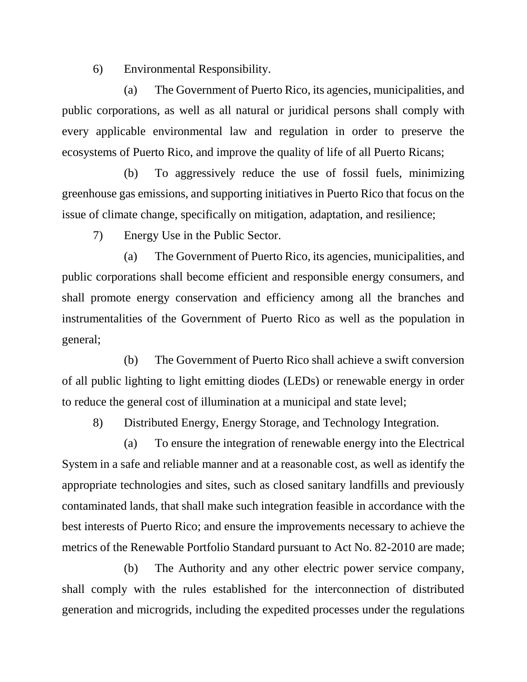6) Environmental Responsibility.

(a) The Government of Puerto Rico, its agencies, municipalities, and public corporations, as well as all natural or juridical persons shall comply with every applicable environmental law and regulation in order to preserve the ecosystems of Puerto Rico, and improve the quality of life of all Puerto Ricans;

(b) To aggressively reduce the use of fossil fuels, minimizing greenhouse gas emissions, and supporting initiatives in Puerto Rico that focus on the issue of climate change, specifically on mitigation, adaptation, and resilience;

7) Energy Use in the Public Sector.

(a) The Government of Puerto Rico, its agencies, municipalities, and public corporations shall become efficient and responsible energy consumers, and shall promote energy conservation and efficiency among all the branches and instrumentalities of the Government of Puerto Rico as well as the population in general;

(b) The Government of Puerto Rico shall achieve a swift conversion of all public lighting to light emitting diodes (LEDs) or renewable energy in order to reduce the general cost of illumination at a municipal and state level;

8) Distributed Energy, Energy Storage, and Technology Integration.

(a) To ensure the integration of renewable energy into the Electrical System in a safe and reliable manner and at a reasonable cost, as well as identify the appropriate technologies and sites, such as closed sanitary landfills and previously contaminated lands, that shall make such integration feasible in accordance with the best interests of Puerto Rico; and ensure the improvements necessary to achieve the metrics of the Renewable Portfolio Standard pursuant to Act No. 82-2010 are made;

(b) The Authority and any other electric power service company, shall comply with the rules established for the interconnection of distributed generation and microgrids, including the expedited processes under the regulations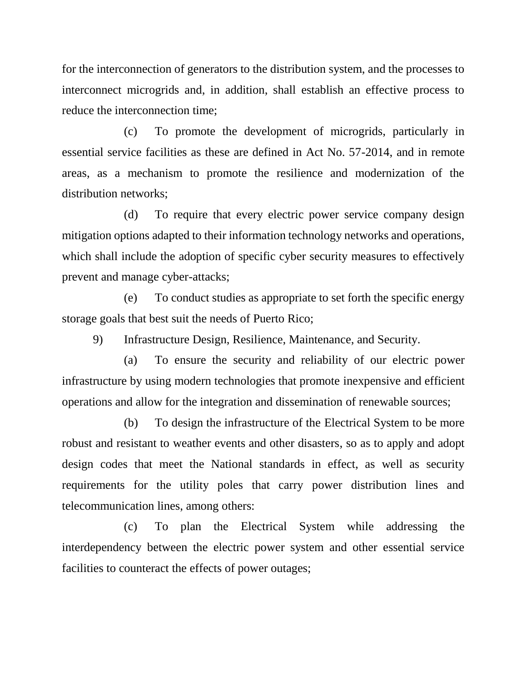for the interconnection of generators to the distribution system, and the processes to interconnect microgrids and, in addition, shall establish an effective process to reduce the interconnection time;

(c) To promote the development of microgrids, particularly in essential service facilities as these are defined in Act No. 57-2014, and in remote areas, as a mechanism to promote the resilience and modernization of the distribution networks;

(d) To require that every electric power service company design mitigation options adapted to their information technology networks and operations, which shall include the adoption of specific cyber security measures to effectively prevent and manage cyber-attacks;

(e) To conduct studies as appropriate to set forth the specific energy storage goals that best suit the needs of Puerto Rico;

9) Infrastructure Design, Resilience, Maintenance, and Security.

(a) To ensure the security and reliability of our electric power infrastructure by using modern technologies that promote inexpensive and efficient operations and allow for the integration and dissemination of renewable sources;

(b) To design the infrastructure of the Electrical System to be more robust and resistant to weather events and other disasters, so as to apply and adopt design codes that meet the National standards in effect, as well as security requirements for the utility poles that carry power distribution lines and telecommunication lines, among others:

(c) To plan the Electrical System while addressing the interdependency between the electric power system and other essential service facilities to counteract the effects of power outages;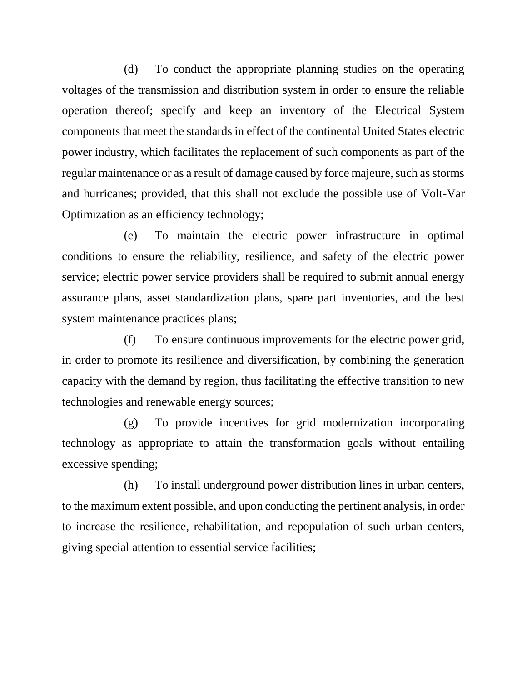(d) To conduct the appropriate planning studies on the operating voltages of the transmission and distribution system in order to ensure the reliable operation thereof; specify and keep an inventory of the Electrical System components that meet the standards in effect of the continental United States electric power industry, which facilitates the replacement of such components as part of the regular maintenance or as a result of damage caused by force majeure, such as storms and hurricanes; provided, that this shall not exclude the possible use of Volt-Var Optimization as an efficiency technology;

(e) To maintain the electric power infrastructure in optimal conditions to ensure the reliability, resilience, and safety of the electric power service; electric power service providers shall be required to submit annual energy assurance plans, asset standardization plans, spare part inventories, and the best system maintenance practices plans;

(f) To ensure continuous improvements for the electric power grid, in order to promote its resilience and diversification, by combining the generation capacity with the demand by region, thus facilitating the effective transition to new technologies and renewable energy sources;

(g) To provide incentives for grid modernization incorporating technology as appropriate to attain the transformation goals without entailing excessive spending;

(h) To install underground power distribution lines in urban centers, to the maximum extent possible, and upon conducting the pertinent analysis, in order to increase the resilience, rehabilitation, and repopulation of such urban centers, giving special attention to essential service facilities;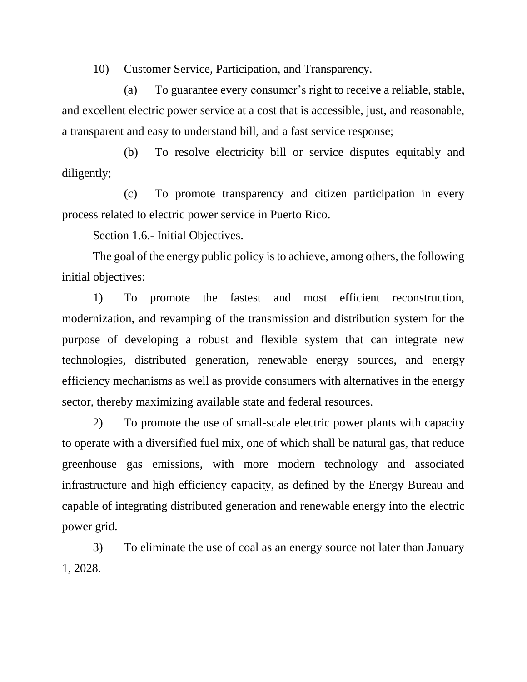10) Customer Service, Participation, and Transparency.

(a) To guarantee every consumer's right to receive a reliable, stable, and excellent electric power service at a cost that is accessible, just, and reasonable, a transparent and easy to understand bill, and a fast service response;

(b) To resolve electricity bill or service disputes equitably and diligently;

(c) To promote transparency and citizen participation in every process related to electric power service in Puerto Rico.

Section 1.6.- Initial Objectives.

The goal of the energy public policy is to achieve, among others, the following initial objectives:

1) To promote the fastest and most efficient reconstruction, modernization, and revamping of the transmission and distribution system for the purpose of developing a robust and flexible system that can integrate new technologies, distributed generation, renewable energy sources, and energy efficiency mechanisms as well as provide consumers with alternatives in the energy sector, thereby maximizing available state and federal resources.

2) To promote the use of small-scale electric power plants with capacity to operate with a diversified fuel mix, one of which shall be natural gas, that reduce greenhouse gas emissions, with more modern technology and associated infrastructure and high efficiency capacity, as defined by the Energy Bureau and capable of integrating distributed generation and renewable energy into the electric power grid.

3) To eliminate the use of coal as an energy source not later than January 1, 2028.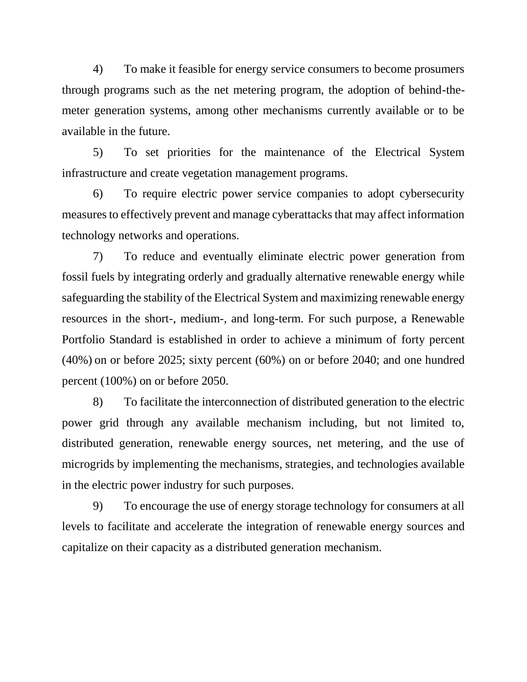4) To make it feasible for energy service consumers to become prosumers through programs such as the net metering program, the adoption of behind-themeter generation systems, among other mechanisms currently available or to be available in the future.

5) To set priorities for the maintenance of the Electrical System infrastructure and create vegetation management programs.

6) To require electric power service companies to adopt cybersecurity measures to effectively prevent and manage cyberattacks that may affect information technology networks and operations.

7) To reduce and eventually eliminate electric power generation from fossil fuels by integrating orderly and gradually alternative renewable energy while safeguarding the stability of the Electrical System and maximizing renewable energy resources in the short-, medium-, and long-term. For such purpose, a Renewable Portfolio Standard is established in order to achieve a minimum of forty percent (40%) on or before 2025; sixty percent (60%) on or before 2040; and one hundred percent (100%) on or before 2050.

8) To facilitate the interconnection of distributed generation to the electric power grid through any available mechanism including, but not limited to, distributed generation, renewable energy sources, net metering, and the use of microgrids by implementing the mechanisms, strategies, and technologies available in the electric power industry for such purposes.

9) To encourage the use of energy storage technology for consumers at all levels to facilitate and accelerate the integration of renewable energy sources and capitalize on their capacity as a distributed generation mechanism.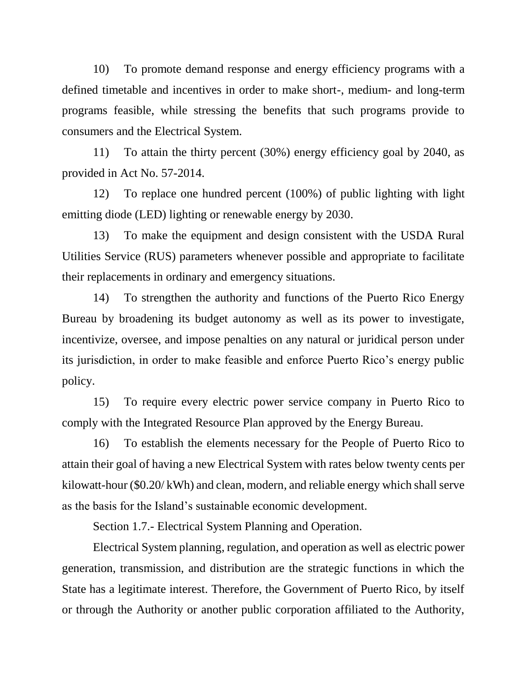10) To promote demand response and energy efficiency programs with a defined timetable and incentives in order to make short-, medium- and long-term programs feasible, while stressing the benefits that such programs provide to consumers and the Electrical System.

11) To attain the thirty percent (30%) energy efficiency goal by 2040, as provided in Act No. 57-2014.

12) To replace one hundred percent (100%) of public lighting with light emitting diode (LED) lighting or renewable energy by 2030.

13) To make the equipment and design consistent with the USDA Rural Utilities Service (RUS) parameters whenever possible and appropriate to facilitate their replacements in ordinary and emergency situations.

14) To strengthen the authority and functions of the Puerto Rico Energy Bureau by broadening its budget autonomy as well as its power to investigate, incentivize, oversee, and impose penalties on any natural or juridical person under its jurisdiction, in order to make feasible and enforce Puerto Rico's energy public policy.

15) To require every electric power service company in Puerto Rico to comply with the Integrated Resource Plan approved by the Energy Bureau.

16) To establish the elements necessary for the People of Puerto Rico to attain their goal of having a new Electrical System with rates below twenty cents per kilowatt-hour (\$0.20/ kWh) and clean, modern, and reliable energy which shall serve as the basis for the Island's sustainable economic development.

Section 1.7.- Electrical System Planning and Operation.

Electrical System planning, regulation, and operation as well as electric power generation, transmission, and distribution are the strategic functions in which the State has a legitimate interest. Therefore, the Government of Puerto Rico, by itself or through the Authority or another public corporation affiliated to the Authority,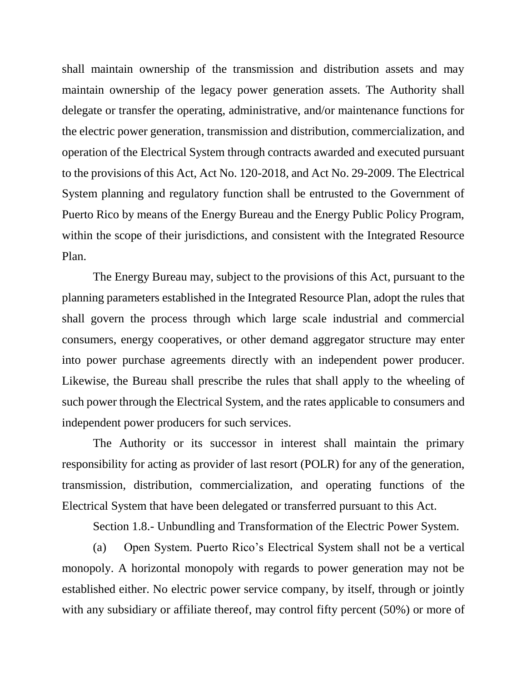shall maintain ownership of the transmission and distribution assets and may maintain ownership of the legacy power generation assets. The Authority shall delegate or transfer the operating, administrative, and/or maintenance functions for the electric power generation, transmission and distribution, commercialization, and operation of the Electrical System through contracts awarded and executed pursuant to the provisions of this Act, Act No. 120-2018, and Act No. 29-2009. The Electrical System planning and regulatory function shall be entrusted to the Government of Puerto Rico by means of the Energy Bureau and the Energy Public Policy Program, within the scope of their jurisdictions, and consistent with the Integrated Resource Plan.

The Energy Bureau may, subject to the provisions of this Act, pursuant to the planning parameters established in the Integrated Resource Plan, adopt the rules that shall govern the process through which large scale industrial and commercial consumers, energy cooperatives, or other demand aggregator structure may enter into power purchase agreements directly with an independent power producer. Likewise, the Bureau shall prescribe the rules that shall apply to the wheeling of such power through the Electrical System, and the rates applicable to consumers and independent power producers for such services.

The Authority or its successor in interest shall maintain the primary responsibility for acting as provider of last resort (POLR) for any of the generation, transmission, distribution, commercialization, and operating functions of the Electrical System that have been delegated or transferred pursuant to this Act.

Section 1.8.- Unbundling and Transformation of the Electric Power System.

(a) Open System. Puerto Rico's Electrical System shall not be a vertical monopoly. A horizontal monopoly with regards to power generation may not be established either. No electric power service company, by itself, through or jointly with any subsidiary or affiliate thereof, may control fifty percent (50%) or more of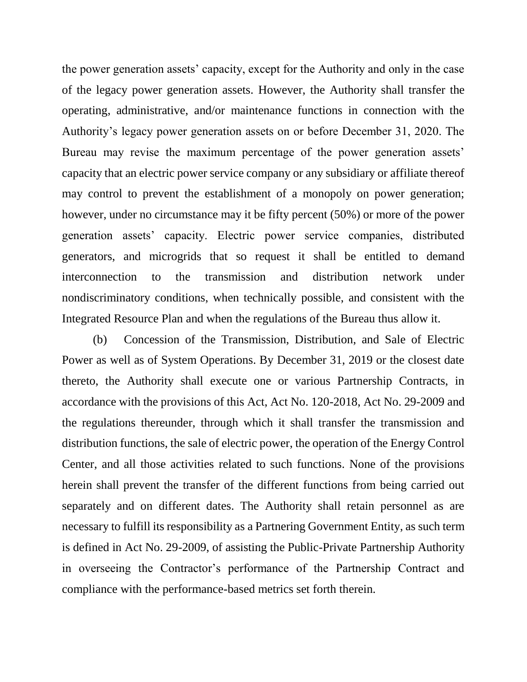the power generation assets' capacity, except for the Authority and only in the case of the legacy power generation assets. However, the Authority shall transfer the operating, administrative, and/or maintenance functions in connection with the Authority's legacy power generation assets on or before December 31, 2020. The Bureau may revise the maximum percentage of the power generation assets' capacity that an electric power service company or any subsidiary or affiliate thereof may control to prevent the establishment of a monopoly on power generation; however, under no circumstance may it be fifty percent (50%) or more of the power generation assets' capacity. Electric power service companies, distributed generators, and microgrids that so request it shall be entitled to demand interconnection to the transmission and distribution network under nondiscriminatory conditions, when technically possible, and consistent with the Integrated Resource Plan and when the regulations of the Bureau thus allow it.

(b) Concession of the Transmission, Distribution, and Sale of Electric Power as well as of System Operations. By December 31, 2019 or the closest date thereto, the Authority shall execute one or various Partnership Contracts, in accordance with the provisions of this Act, Act No. 120-2018, Act No. 29-2009 and the regulations thereunder, through which it shall transfer the transmission and distribution functions, the sale of electric power, the operation of the Energy Control Center, and all those activities related to such functions. None of the provisions herein shall prevent the transfer of the different functions from being carried out separately and on different dates. The Authority shall retain personnel as are necessary to fulfill its responsibility as a Partnering Government Entity, as such term is defined in Act No. 29-2009, of assisting the Public-Private Partnership Authority in overseeing the Contractor's performance of the Partnership Contract and compliance with the performance-based metrics set forth therein.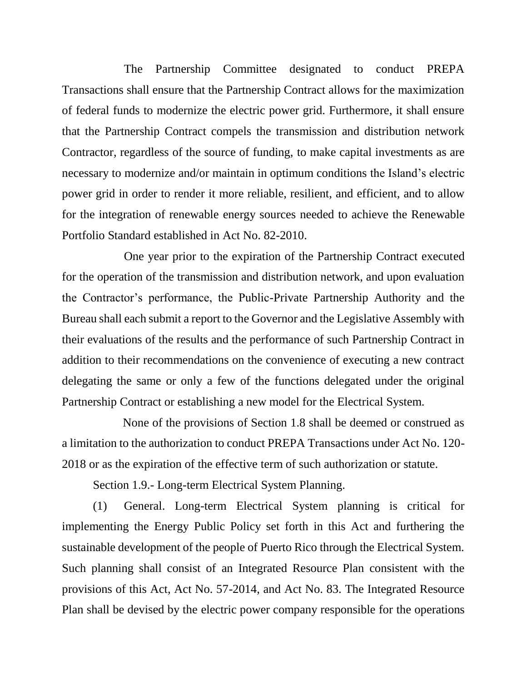The Partnership Committee designated to conduct PREPA Transactions shall ensure that the Partnership Contract allows for the maximization of federal funds to modernize the electric power grid. Furthermore, it shall ensure that the Partnership Contract compels the transmission and distribution network Contractor, regardless of the source of funding, to make capital investments as are necessary to modernize and/or maintain in optimum conditions the Island's electric power grid in order to render it more reliable, resilient, and efficient, and to allow for the integration of renewable energy sources needed to achieve the Renewable Portfolio Standard established in Act No. 82-2010.

One year prior to the expiration of the Partnership Contract executed for the operation of the transmission and distribution network, and upon evaluation the Contractor's performance, the Public-Private Partnership Authority and the Bureau shall each submit a report to the Governor and the Legislative Assembly with their evaluations of the results and the performance of such Partnership Contract in addition to their recommendations on the convenience of executing a new contract delegating the same or only a few of the functions delegated under the original Partnership Contract or establishing a new model for the Electrical System.

None of the provisions of Section 1.8 shall be deemed or construed as a limitation to the authorization to conduct PREPA Transactions under Act No. 120- 2018 or as the expiration of the effective term of such authorization or statute.

Section 1.9.- Long-term Electrical System Planning.

(1) General. Long-term Electrical System planning is critical for implementing the Energy Public Policy set forth in this Act and furthering the sustainable development of the people of Puerto Rico through the Electrical System. Such planning shall consist of an Integrated Resource Plan consistent with the provisions of this Act, Act No. 57-2014, and Act No. 83. The Integrated Resource Plan shall be devised by the electric power company responsible for the operations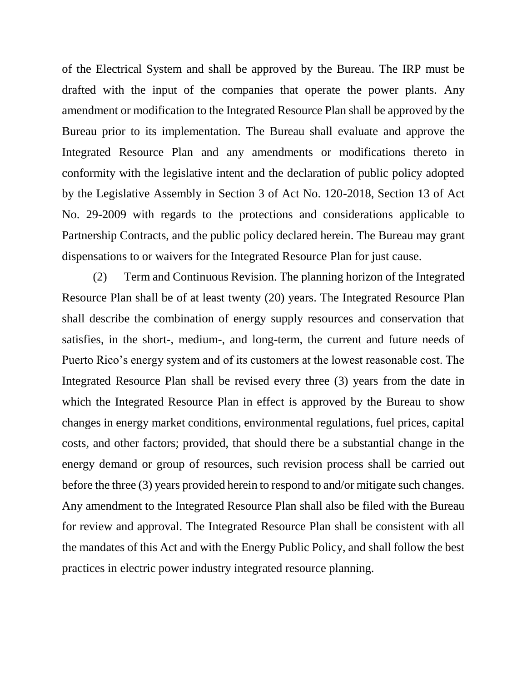of the Electrical System and shall be approved by the Bureau. The IRP must be drafted with the input of the companies that operate the power plants. Any amendment or modification to the Integrated Resource Plan shall be approved by the Bureau prior to its implementation. The Bureau shall evaluate and approve the Integrated Resource Plan and any amendments or modifications thereto in conformity with the legislative intent and the declaration of public policy adopted by the Legislative Assembly in Section 3 of Act No. 120-2018, Section 13 of Act No. 29-2009 with regards to the protections and considerations applicable to Partnership Contracts, and the public policy declared herein. The Bureau may grant dispensations to or waivers for the Integrated Resource Plan for just cause.

(2) Term and Continuous Revision. The planning horizon of the Integrated Resource Plan shall be of at least twenty (20) years. The Integrated Resource Plan shall describe the combination of energy supply resources and conservation that satisfies, in the short-, medium-, and long-term, the current and future needs of Puerto Rico's energy system and of its customers at the lowest reasonable cost. The Integrated Resource Plan shall be revised every three (3) years from the date in which the Integrated Resource Plan in effect is approved by the Bureau to show changes in energy market conditions, environmental regulations, fuel prices, capital costs, and other factors; provided, that should there be a substantial change in the energy demand or group of resources, such revision process shall be carried out before the three (3) years provided herein to respond to and/or mitigate such changes. Any amendment to the Integrated Resource Plan shall also be filed with the Bureau for review and approval. The Integrated Resource Plan shall be consistent with all the mandates of this Act and with the Energy Public Policy, and shall follow the best practices in electric power industry integrated resource planning.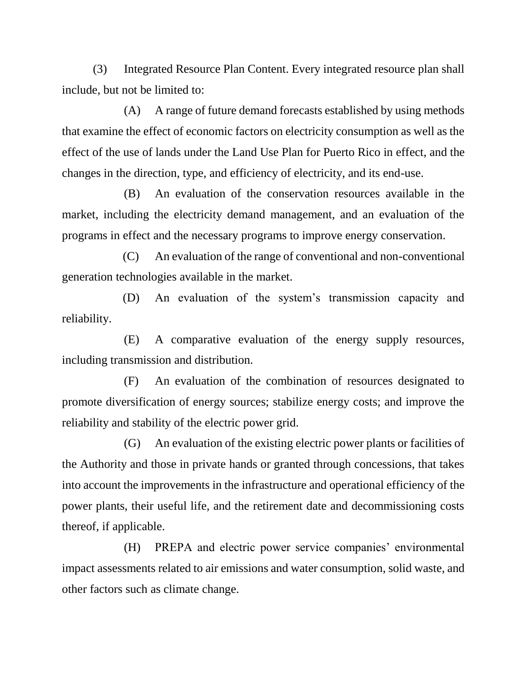(3) Integrated Resource Plan Content. Every integrated resource plan shall include, but not be limited to:

(A) A range of future demand forecasts established by using methods that examine the effect of economic factors on electricity consumption as well as the effect of the use of lands under the Land Use Plan for Puerto Rico in effect, and the changes in the direction, type, and efficiency of electricity, and its end-use.

(B) An evaluation of the conservation resources available in the market, including the electricity demand management, and an evaluation of the programs in effect and the necessary programs to improve energy conservation.

(C) An evaluation of the range of conventional and non-conventional generation technologies available in the market.

(D) An evaluation of the system's transmission capacity and reliability.

(E) A comparative evaluation of the energy supply resources, including transmission and distribution.

(F) An evaluation of the combination of resources designated to promote diversification of energy sources; stabilize energy costs; and improve the reliability and stability of the electric power grid.

(G) An evaluation of the existing electric power plants or facilities of the Authority and those in private hands or granted through concessions, that takes into account the improvements in the infrastructure and operational efficiency of the power plants, their useful life, and the retirement date and decommissioning costs thereof, if applicable.

(H) PREPA and electric power service companies' environmental impact assessments related to air emissions and water consumption, solid waste, and other factors such as climate change.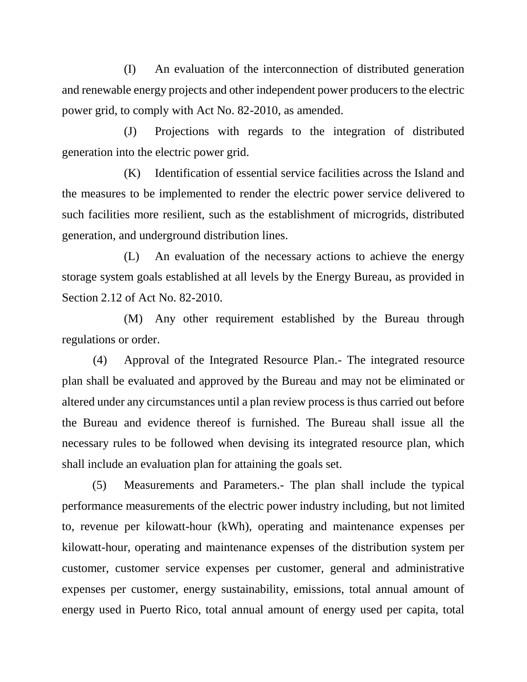(I) An evaluation of the interconnection of distributed generation and renewable energy projects and other independent power producers to the electric power grid, to comply with Act No. 82-2010, as amended.

(J) Projections with regards to the integration of distributed generation into the electric power grid.

(K) Identification of essential service facilities across the Island and the measures to be implemented to render the electric power service delivered to such facilities more resilient, such as the establishment of microgrids, distributed generation, and underground distribution lines.

(L) An evaluation of the necessary actions to achieve the energy storage system goals established at all levels by the Energy Bureau, as provided in Section 2.12 of Act No. 82-2010.

(M) Any other requirement established by the Bureau through regulations or order.

(4) Approval of the Integrated Resource Plan.- The integrated resource plan shall be evaluated and approved by the Bureau and may not be eliminated or altered under any circumstances until a plan review process is thus carried out before the Bureau and evidence thereof is furnished. The Bureau shall issue all the necessary rules to be followed when devising its integrated resource plan, which shall include an evaluation plan for attaining the goals set.

(5) Measurements and Parameters.- The plan shall include the typical performance measurements of the electric power industry including, but not limited to, revenue per kilowatt-hour (kWh), operating and maintenance expenses per kilowatt-hour, operating and maintenance expenses of the distribution system per customer, customer service expenses per customer, general and administrative expenses per customer, energy sustainability, emissions, total annual amount of energy used in Puerto Rico, total annual amount of energy used per capita, total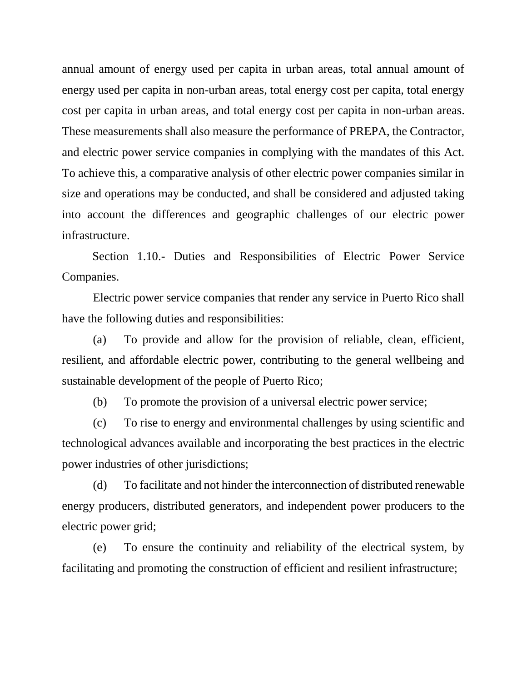annual amount of energy used per capita in urban areas, total annual amount of energy used per capita in non-urban areas, total energy cost per capita, total energy cost per capita in urban areas, and total energy cost per capita in non-urban areas. These measurements shall also measure the performance of PREPA, the Contractor, and electric power service companies in complying with the mandates of this Act. To achieve this, a comparative analysis of other electric power companies similar in size and operations may be conducted, and shall be considered and adjusted taking into account the differences and geographic challenges of our electric power infrastructure.

Section 1.10.- Duties and Responsibilities of Electric Power Service Companies.

Electric power service companies that render any service in Puerto Rico shall have the following duties and responsibilities:

(a) To provide and allow for the provision of reliable, clean, efficient, resilient, and affordable electric power, contributing to the general wellbeing and sustainable development of the people of Puerto Rico;

(b) To promote the provision of a universal electric power service;

(c) To rise to energy and environmental challenges by using scientific and technological advances available and incorporating the best practices in the electric power industries of other jurisdictions;

(d) To facilitate and not hinder the interconnection of distributed renewable energy producers, distributed generators, and independent power producers to the electric power grid;

(e) To ensure the continuity and reliability of the electrical system, by facilitating and promoting the construction of efficient and resilient infrastructure;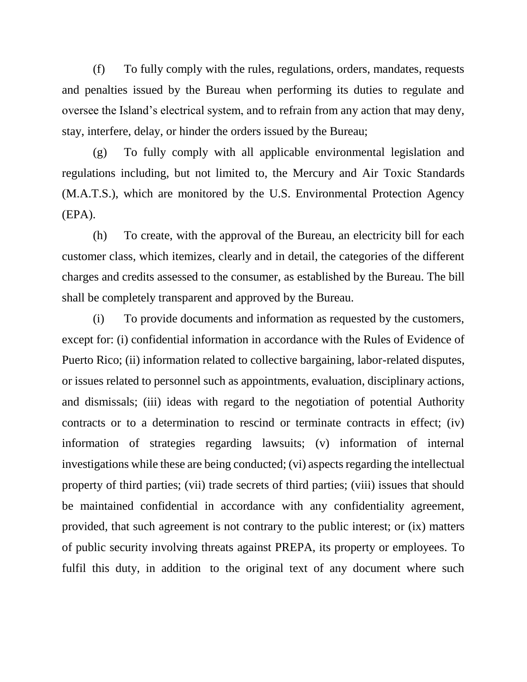(f) To fully comply with the rules, regulations, orders, mandates, requests and penalties issued by the Bureau when performing its duties to regulate and oversee the Island's electrical system, and to refrain from any action that may deny, stay, interfere, delay, or hinder the orders issued by the Bureau;

(g) To fully comply with all applicable environmental legislation and regulations including, but not limited to, the Mercury and Air Toxic Standards (M.A.T.S.), which are monitored by the U.S. Environmental Protection Agency (EPA).

(h) To create, with the approval of the Bureau, an electricity bill for each customer class, which itemizes, clearly and in detail, the categories of the different charges and credits assessed to the consumer, as established by the Bureau. The bill shall be completely transparent and approved by the Bureau.

(i) To provide documents and information as requested by the customers, except for: (i) confidential information in accordance with the Rules of Evidence of Puerto Rico; (ii) information related to collective bargaining, labor-related disputes, or issues related to personnel such as appointments, evaluation, disciplinary actions, and dismissals; (iii) ideas with regard to the negotiation of potential Authority contracts or to a determination to rescind or terminate contracts in effect; (iv) information of strategies regarding lawsuits; (v) information of internal investigations while these are being conducted; (vi) aspects regarding the intellectual property of third parties; (vii) trade secrets of third parties; (viii) issues that should be maintained confidential in accordance with any confidentiality agreement, provided, that such agreement is not contrary to the public interest; or (ix) matters of public security involving threats against PREPA, its property or employees. To fulfil this duty, in addition to the original text of any document where such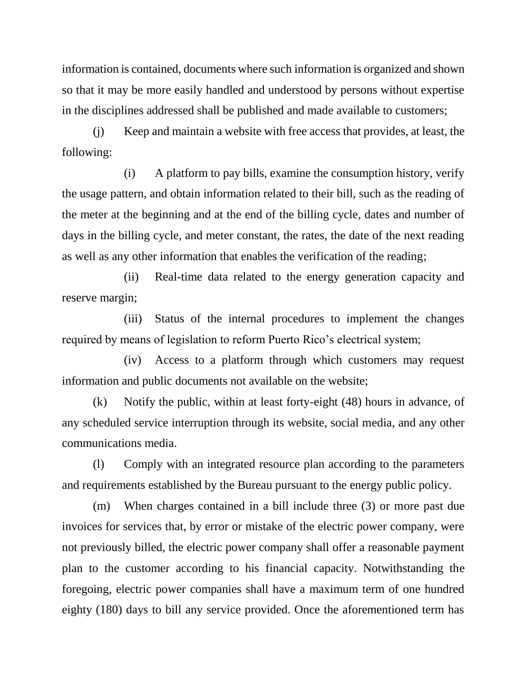information is contained, documents where such information is organized and shown so that it may be more easily handled and understood by persons without expertise in the disciplines addressed shall be published and made available to customers;

(j) Keep and maintain a website with free access that provides, at least, the following:

(i) A platform to pay bills, examine the consumption history, verify the usage pattern, and obtain information related to their bill, such as the reading of the meter at the beginning and at the end of the billing cycle, dates and number of days in the billing cycle, and meter constant, the rates, the date of the next reading as well as any other information that enables the verification of the reading;

(ii) Real-time data related to the energy generation capacity and reserve margin;

(iii) Status of the internal procedures to implement the changes required by means of legislation to reform Puerto Rico's electrical system;

(iv) Access to a platform through which customers may request information and public documents not available on the website;

(k) Notify the public, within at least forty-eight (48) hours in advance, of any scheduled service interruption through its website, social media, and any other communications media.

(l) Comply with an integrated resource plan according to the parameters and requirements established by the Bureau pursuant to the energy public policy.

(m) When charges contained in a bill include three (3) or more past due invoices for services that, by error or mistake of the electric power company, were not previously billed, the electric power company shall offer a reasonable payment plan to the customer according to his financial capacity. Notwithstanding the foregoing, electric power companies shall have a maximum term of one hundred eighty (180) days to bill any service provided. Once the aforementioned term has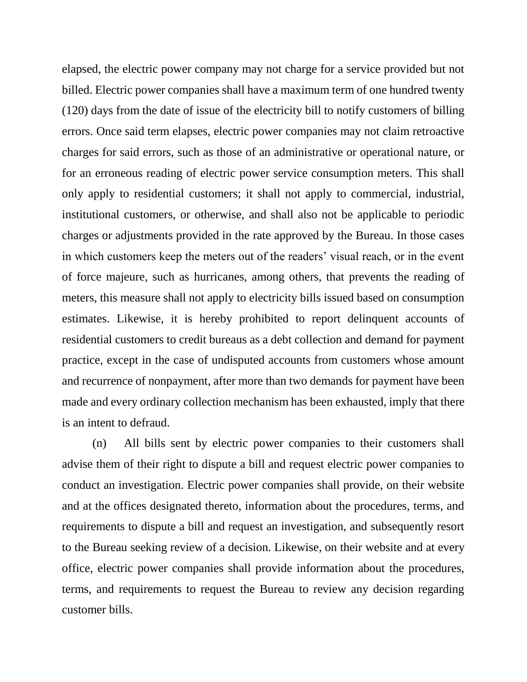elapsed, the electric power company may not charge for a service provided but not billed. Electric power companies shall have a maximum term of one hundred twenty (120) days from the date of issue of the electricity bill to notify customers of billing errors. Once said term elapses, electric power companies may not claim retroactive charges for said errors, such as those of an administrative or operational nature, or for an erroneous reading of electric power service consumption meters. This shall only apply to residential customers; it shall not apply to commercial, industrial, institutional customers, or otherwise, and shall also not be applicable to periodic charges or adjustments provided in the rate approved by the Bureau. In those cases in which customers keep the meters out of the readers' visual reach, or in the event of force majeure, such as hurricanes, among others, that prevents the reading of meters, this measure shall not apply to electricity bills issued based on consumption estimates. Likewise, it is hereby prohibited to report delinquent accounts of residential customers to credit bureaus as a debt collection and demand for payment practice, except in the case of undisputed accounts from customers whose amount and recurrence of nonpayment, after more than two demands for payment have been made and every ordinary collection mechanism has been exhausted, imply that there is an intent to defraud.

(n) All bills sent by electric power companies to their customers shall advise them of their right to dispute a bill and request electric power companies to conduct an investigation. Electric power companies shall provide, on their website and at the offices designated thereto, information about the procedures, terms, and requirements to dispute a bill and request an investigation, and subsequently resort to the Bureau seeking review of a decision. Likewise, on their website and at every office, electric power companies shall provide information about the procedures, terms, and requirements to request the Bureau to review any decision regarding customer bills.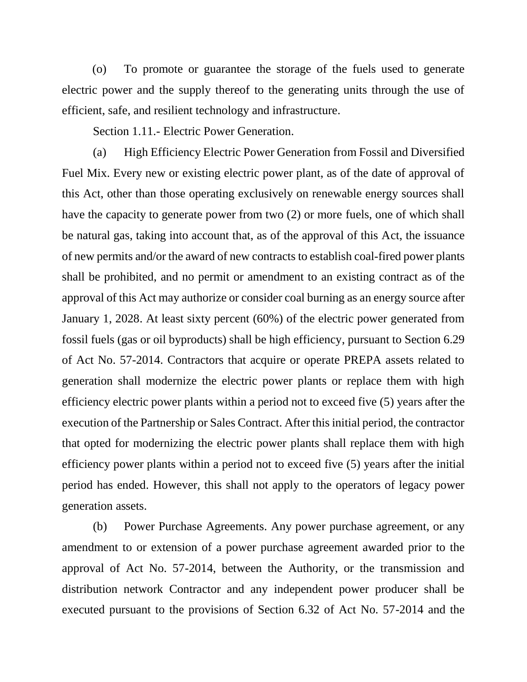(o) To promote or guarantee the storage of the fuels used to generate electric power and the supply thereof to the generating units through the use of efficient, safe, and resilient technology and infrastructure.

Section 1.11.- Electric Power Generation.

(a) High Efficiency Electric Power Generation from Fossil and Diversified Fuel Mix. Every new or existing electric power plant, as of the date of approval of this Act, other than those operating exclusively on renewable energy sources shall have the capacity to generate power from two (2) or more fuels, one of which shall be natural gas, taking into account that, as of the approval of this Act, the issuance of new permits and/or the award of new contracts to establish coal-fired power plants shall be prohibited, and no permit or amendment to an existing contract as of the approval of this Act may authorize or consider coal burning as an energy source after January 1, 2028. At least sixty percent (60%) of the electric power generated from fossil fuels (gas or oil byproducts) shall be high efficiency, pursuant to Section 6.29 of Act No. 57-2014. Contractors that acquire or operate PREPA assets related to generation shall modernize the electric power plants or replace them with high efficiency electric power plants within a period not to exceed five (5) years after the execution of the Partnership or Sales Contract. After this initial period, the contractor that opted for modernizing the electric power plants shall replace them with high efficiency power plants within a period not to exceed five (5) years after the initial period has ended. However, this shall not apply to the operators of legacy power generation assets.

(b) Power Purchase Agreements. Any power purchase agreement, or any amendment to or extension of a power purchase agreement awarded prior to the approval of Act No. 57-2014, between the Authority, or the transmission and distribution network Contractor and any independent power producer shall be executed pursuant to the provisions of Section 6.32 of Act No. 57-2014 and the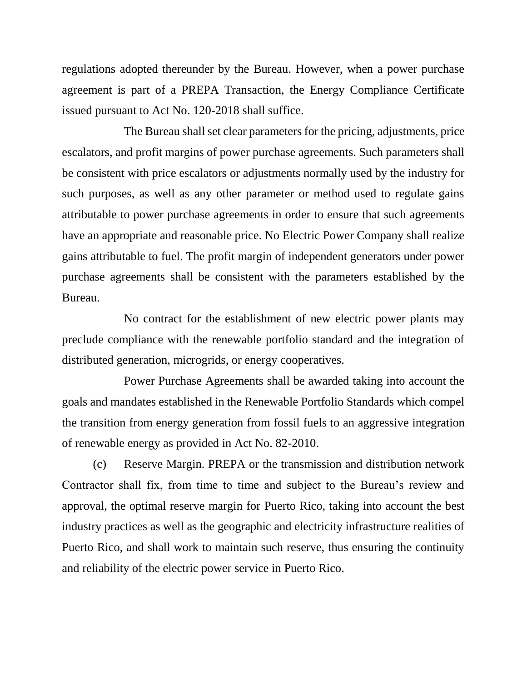regulations adopted thereunder by the Bureau. However, when a power purchase agreement is part of a PREPA Transaction, the Energy Compliance Certificate issued pursuant to Act No. 120-2018 shall suffice.

The Bureau shall set clear parameters for the pricing, adjustments, price escalators, and profit margins of power purchase agreements. Such parameters shall be consistent with price escalators or adjustments normally used by the industry for such purposes, as well as any other parameter or method used to regulate gains attributable to power purchase agreements in order to ensure that such agreements have an appropriate and reasonable price. No Electric Power Company shall realize gains attributable to fuel. The profit margin of independent generators under power purchase agreements shall be consistent with the parameters established by the Bureau.

No contract for the establishment of new electric power plants may preclude compliance with the renewable portfolio standard and the integration of distributed generation, microgrids, or energy cooperatives.

Power Purchase Agreements shall be awarded taking into account the goals and mandates established in the Renewable Portfolio Standards which compel the transition from energy generation from fossil fuels to an aggressive integration of renewable energy as provided in Act No. 82-2010.

(c) Reserve Margin. PREPA or the transmission and distribution network Contractor shall fix, from time to time and subject to the Bureau's review and approval, the optimal reserve margin for Puerto Rico, taking into account the best industry practices as well as the geographic and electricity infrastructure realities of Puerto Rico, and shall work to maintain such reserve, thus ensuring the continuity and reliability of the electric power service in Puerto Rico.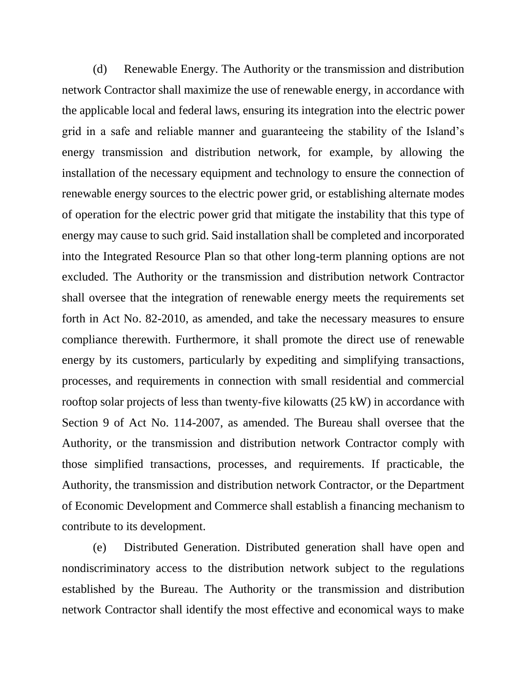(d) Renewable Energy. The Authority or the transmission and distribution network Contractor shall maximize the use of renewable energy, in accordance with the applicable local and federal laws, ensuring its integration into the electric power grid in a safe and reliable manner and guaranteeing the stability of the Island's energy transmission and distribution network, for example, by allowing the installation of the necessary equipment and technology to ensure the connection of renewable energy sources to the electric power grid, or establishing alternate modes of operation for the electric power grid that mitigate the instability that this type of energy may cause to such grid. Said installation shall be completed and incorporated into the Integrated Resource Plan so that other long-term planning options are not excluded. The Authority or the transmission and distribution network Contractor shall oversee that the integration of renewable energy meets the requirements set forth in Act No. 82-2010, as amended, and take the necessary measures to ensure compliance therewith. Furthermore, it shall promote the direct use of renewable energy by its customers, particularly by expediting and simplifying transactions, processes, and requirements in connection with small residential and commercial rooftop solar projects of less than twenty-five kilowatts (25 kW) in accordance with Section 9 of Act No. 114-2007, as amended. The Bureau shall oversee that the Authority, or the transmission and distribution network Contractor comply with those simplified transactions, processes, and requirements. If practicable, the Authority, the transmission and distribution network Contractor, or the Department of Economic Development and Commerce shall establish a financing mechanism to contribute to its development.

(e) Distributed Generation. Distributed generation shall have open and nondiscriminatory access to the distribution network subject to the regulations established by the Bureau. The Authority or the transmission and distribution network Contractor shall identify the most effective and economical ways to make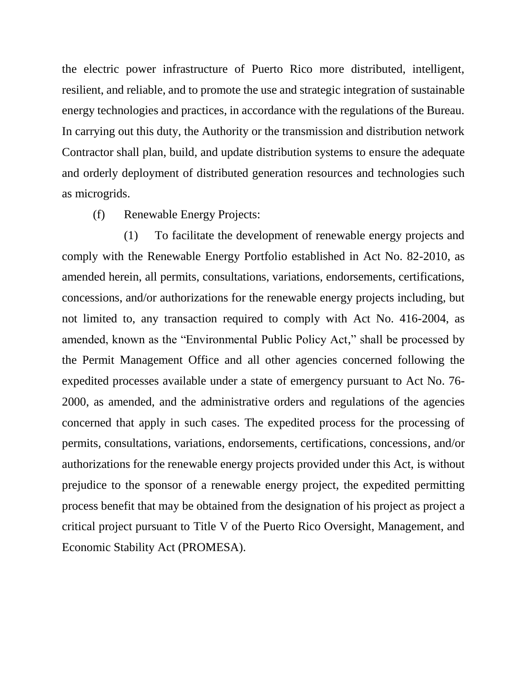the electric power infrastructure of Puerto Rico more distributed, intelligent, resilient, and reliable, and to promote the use and strategic integration of sustainable energy technologies and practices, in accordance with the regulations of the Bureau. In carrying out this duty, the Authority or the transmission and distribution network Contractor shall plan, build, and update distribution systems to ensure the adequate and orderly deployment of distributed generation resources and technologies such as microgrids.

(f) Renewable Energy Projects:

(1) To facilitate the development of renewable energy projects and comply with the Renewable Energy Portfolio established in Act No. 82-2010, as amended herein, all permits, consultations, variations, endorsements, certifications, concessions, and/or authorizations for the renewable energy projects including, but not limited to, any transaction required to comply with Act No. 416-2004, as amended, known as the "Environmental Public Policy Act," shall be processed by the Permit Management Office and all other agencies concerned following the expedited processes available under a state of emergency pursuant to Act No. 76- 2000, as amended, and the administrative orders and regulations of the agencies concerned that apply in such cases. The expedited process for the processing of permits, consultations, variations, endorsements, certifications, concessions, and/or authorizations for the renewable energy projects provided under this Act, is without prejudice to the sponsor of a renewable energy project, the expedited permitting process benefit that may be obtained from the designation of his project as project a critical project pursuant to Title V of the Puerto Rico Oversight, Management, and Economic Stability Act (PROMESA).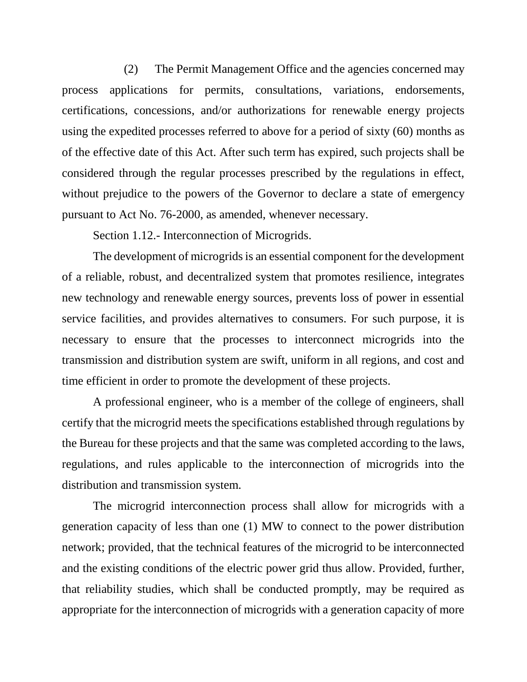(2) The Permit Management Office and the agencies concerned may process applications for permits, consultations, variations, endorsements, certifications, concessions, and/or authorizations for renewable energy projects using the expedited processes referred to above for a period of sixty (60) months as of the effective date of this Act. After such term has expired, such projects shall be considered through the regular processes prescribed by the regulations in effect, without prejudice to the powers of the Governor to declare a state of emergency pursuant to Act No. 76-2000, as amended, whenever necessary.

Section 1.12.- Interconnection of Microgrids.

The development of microgrids is an essential component for the development of a reliable, robust, and decentralized system that promotes resilience, integrates new technology and renewable energy sources, prevents loss of power in essential service facilities, and provides alternatives to consumers. For such purpose, it is necessary to ensure that the processes to interconnect microgrids into the transmission and distribution system are swift, uniform in all regions, and cost and time efficient in order to promote the development of these projects.

A professional engineer, who is a member of the college of engineers, shall certify that the microgrid meets the specifications established through regulations by the Bureau for these projects and that the same was completed according to the laws, regulations, and rules applicable to the interconnection of microgrids into the distribution and transmission system.

The microgrid interconnection process shall allow for microgrids with a generation capacity of less than one (1) MW to connect to the power distribution network; provided, that the technical features of the microgrid to be interconnected and the existing conditions of the electric power grid thus allow. Provided, further, that reliability studies, which shall be conducted promptly, may be required as appropriate for the interconnection of microgrids with a generation capacity of more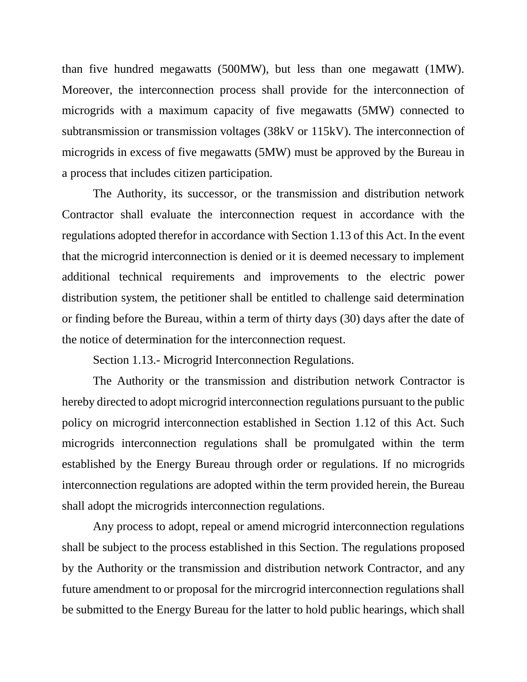than five hundred megawatts (500MW), but less than one megawatt (1MW). Moreover, the interconnection process shall provide for the interconnection of microgrids with a maximum capacity of five megawatts (5MW) connected to subtransmission or transmission voltages (38kV or 115kV). The interconnection of microgrids in excess of five megawatts (5MW) must be approved by the Bureau in a process that includes citizen participation.

The Authority, its successor, or the transmission and distribution network Contractor shall evaluate the interconnection request in accordance with the regulations adopted therefor in accordance with Section 1.13 of this Act. In the event that the microgrid interconnection is denied or it is deemed necessary to implement additional technical requirements and improvements to the electric power distribution system, the petitioner shall be entitled to challenge said determination or finding before the Bureau, within a term of thirty days (30) days after the date of the notice of determination for the interconnection request.

Section 1.13.- Microgrid Interconnection Regulations.

The Authority or the transmission and distribution network Contractor is hereby directed to adopt microgrid interconnection regulations pursuant to the public policy on microgrid interconnection established in Section 1.12 of this Act. Such microgrids interconnection regulations shall be promulgated within the term established by the Energy Bureau through order or regulations. If no microgrids interconnection regulations are adopted within the term provided herein, the Bureau shall adopt the microgrids interconnection regulations.

Any process to adopt, repeal or amend microgrid interconnection regulations shall be subject to the process established in this Section. The regulations proposed by the Authority or the transmission and distribution network Contractor, and any future amendment to or proposal for the mircrogrid interconnection regulations shall be submitted to the Energy Bureau for the latter to hold public hearings, which shall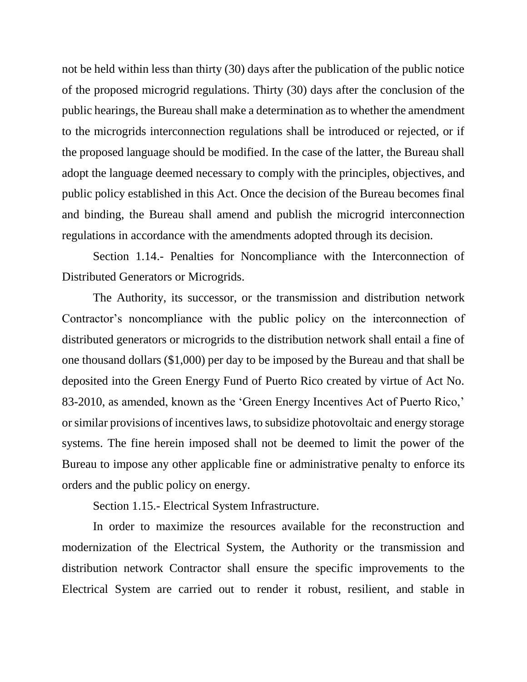not be held within less than thirty (30) days after the publication of the public notice of the proposed microgrid regulations. Thirty (30) days after the conclusion of the public hearings, the Bureau shall make a determination as to whether the amendment to the microgrids interconnection regulations shall be introduced or rejected, or if the proposed language should be modified. In the case of the latter, the Bureau shall adopt the language deemed necessary to comply with the principles, objectives, and public policy established in this Act. Once the decision of the Bureau becomes final and binding, the Bureau shall amend and publish the microgrid interconnection regulations in accordance with the amendments adopted through its decision.

Section 1.14.- Penalties for Noncompliance with the Interconnection of Distributed Generators or Microgrids.

The Authority, its successor, or the transmission and distribution network Contractor's noncompliance with the public policy on the interconnection of distributed generators or microgrids to the distribution network shall entail a fine of one thousand dollars (\$1,000) per day to be imposed by the Bureau and that shall be deposited into the Green Energy Fund of Puerto Rico created by virtue of Act No. 83-2010, as amended, known as the 'Green Energy Incentives Act of Puerto Rico,' or similar provisions of incentives laws, to subsidize photovoltaic and energy storage systems. The fine herein imposed shall not be deemed to limit the power of the Bureau to impose any other applicable fine or administrative penalty to enforce its orders and the public policy on energy.

Section 1.15.- Electrical System Infrastructure.

In order to maximize the resources available for the reconstruction and modernization of the Electrical System, the Authority or the transmission and distribution network Contractor shall ensure the specific improvements to the Electrical System are carried out to render it robust, resilient, and stable in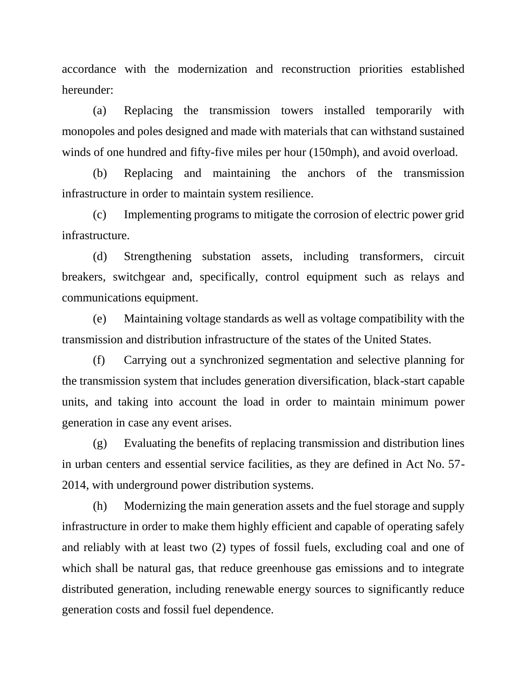accordance with the modernization and reconstruction priorities established hereunder:

(a) Replacing the transmission towers installed temporarily with monopoles and poles designed and made with materials that can withstand sustained winds of one hundred and fifty-five miles per hour (150mph), and avoid overload.

(b) Replacing and maintaining the anchors of the transmission infrastructure in order to maintain system resilience.

(c) Implementing programs to mitigate the corrosion of electric power grid infrastructure.

(d) Strengthening substation assets, including transformers, circuit breakers, switchgear and, specifically, control equipment such as relays and communications equipment.

(e) Maintaining voltage standards as well as voltage compatibility with the transmission and distribution infrastructure of the states of the United States.

(f) Carrying out a synchronized segmentation and selective planning for the transmission system that includes generation diversification, black-start capable units, and taking into account the load in order to maintain minimum power generation in case any event arises.

(g) Evaluating the benefits of replacing transmission and distribution lines in urban centers and essential service facilities, as they are defined in Act No. 57- 2014, with underground power distribution systems.

(h) Modernizing the main generation assets and the fuel storage and supply infrastructure in order to make them highly efficient and capable of operating safely and reliably with at least two (2) types of fossil fuels, excluding coal and one of which shall be natural gas, that reduce greenhouse gas emissions and to integrate distributed generation, including renewable energy sources to significantly reduce generation costs and fossil fuel dependence.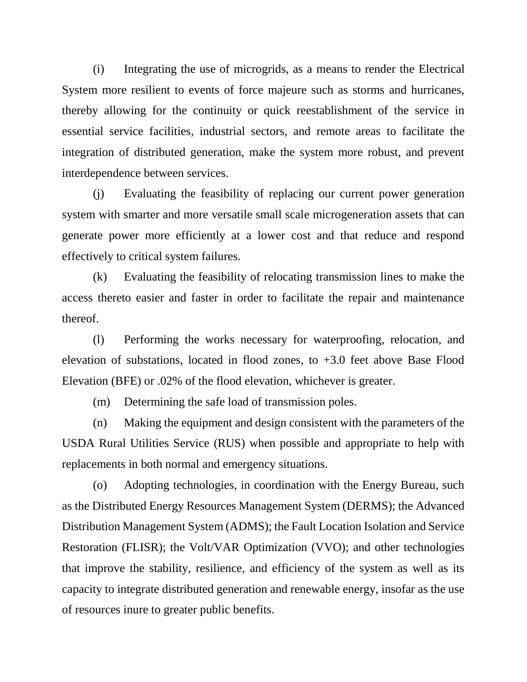(i) Integrating the use of microgrids, as a means to render the Electrical System more resilient to events of force majeure such as storms and hurricanes, thereby allowing for the continuity or quick reestablishment of the service in essential service facilities, industrial sectors, and remote areas to facilitate the integration of distributed generation, make the system more robust, and prevent interdependence between services.

(j) Evaluating the feasibility of replacing our current power generation system with smarter and more versatile small scale microgeneration assets that can generate power more efficiently at a lower cost and that reduce and respond effectively to critical system failures.

(k) Evaluating the feasibility of relocating transmission lines to make the access thereto easier and faster in order to facilitate the repair and maintenance thereof.

(l) Performing the works necessary for waterproofing, relocation, and elevation of substations, located in flood zones, to +3.0 feet above Base Flood Elevation (BFE) or .02% of the flood elevation, whichever is greater.

(m) Determining the safe load of transmission poles.

(n) Making the equipment and design consistent with the parameters of the USDA Rural Utilities Service (RUS) when possible and appropriate to help with replacements in both normal and emergency situations.

(o) Adopting technologies, in coordination with the Energy Bureau, such as the Distributed Energy Resources Management System (DERMS); the Advanced Distribution Management System (ADMS); the Fault Location Isolation and Service Restoration (FLISR); the Volt/VAR Optimization (VVO); and other technologies that improve the stability, resilience, and efficiency of the system as well as its capacity to integrate distributed generation and renewable energy, insofar as the use of resources inure to greater public benefits.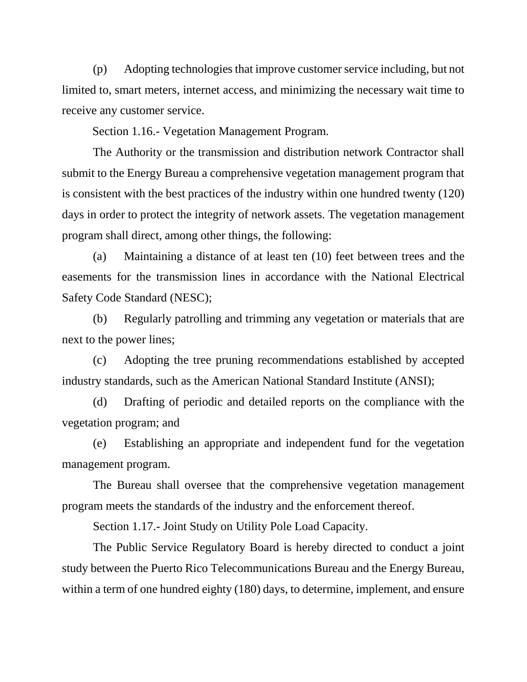(p) Adopting technologies that improve customer service including, but not limited to, smart meters, internet access, and minimizing the necessary wait time to receive any customer service.

Section 1.16.- Vegetation Management Program.

The Authority or the transmission and distribution network Contractor shall submit to the Energy Bureau a comprehensive vegetation management program that is consistent with the best practices of the industry within one hundred twenty (120) days in order to protect the integrity of network assets. The vegetation management program shall direct, among other things, the following:

(a) Maintaining a distance of at least ten (10) feet between trees and the easements for the transmission lines in accordance with the National Electrical Safety Code Standard (NESC);

(b) Regularly patrolling and trimming any vegetation or materials that are next to the power lines;

(c) Adopting the tree pruning recommendations established by accepted industry standards, such as the American National Standard Institute (ANSI);

(d) Drafting of periodic and detailed reports on the compliance with the vegetation program; and

(e) Establishing an appropriate and independent fund for the vegetation management program.

The Bureau shall oversee that the comprehensive vegetation management program meets the standards of the industry and the enforcement thereof.

Section 1.17.- Joint Study on Utility Pole Load Capacity.

The Public Service Regulatory Board is hereby directed to conduct a joint study between the Puerto Rico Telecommunications Bureau and the Energy Bureau, within a term of one hundred eighty (180) days, to determine, implement, and ensure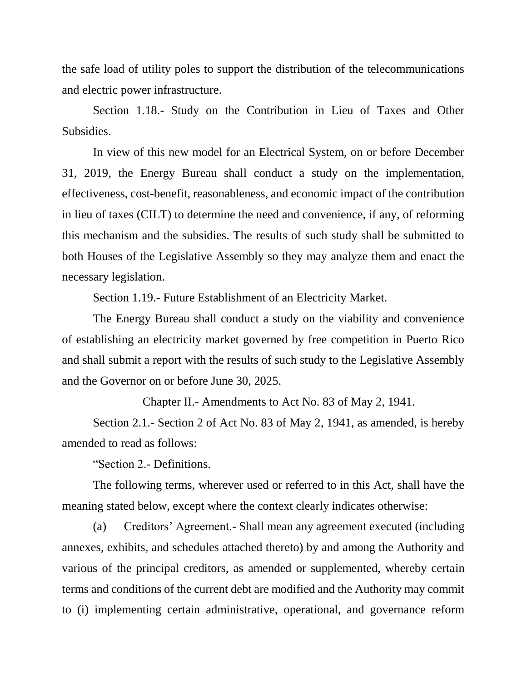the safe load of utility poles to support the distribution of the telecommunications and electric power infrastructure.

Section 1.18.- Study on the Contribution in Lieu of Taxes and Other Subsidies.

In view of this new model for an Electrical System, on or before December 31, 2019, the Energy Bureau shall conduct a study on the implementation, effectiveness, cost-benefit, reasonableness, and economic impact of the contribution in lieu of taxes (CILT) to determine the need and convenience, if any, of reforming this mechanism and the subsidies. The results of such study shall be submitted to both Houses of the Legislative Assembly so they may analyze them and enact the necessary legislation.

Section 1.19.- Future Establishment of an Electricity Market.

The Energy Bureau shall conduct a study on the viability and convenience of establishing an electricity market governed by free competition in Puerto Rico and shall submit a report with the results of such study to the Legislative Assembly and the Governor on or before June 30, 2025.

Chapter II.- Amendments to Act No. 83 of May 2, 1941.

Section 2.1.- Section 2 of Act No. 83 of May 2, 1941, as amended, is hereby amended to read as follows:

"Section 2.- Definitions.

The following terms, wherever used or referred to in this Act, shall have the meaning stated below, except where the context clearly indicates otherwise:

(a) Creditors' Agreement.- Shall mean any agreement executed (including annexes, exhibits, and schedules attached thereto) by and among the Authority and various of the principal creditors, as amended or supplemented, whereby certain terms and conditions of the current debt are modified and the Authority may commit to (i) implementing certain administrative, operational, and governance reform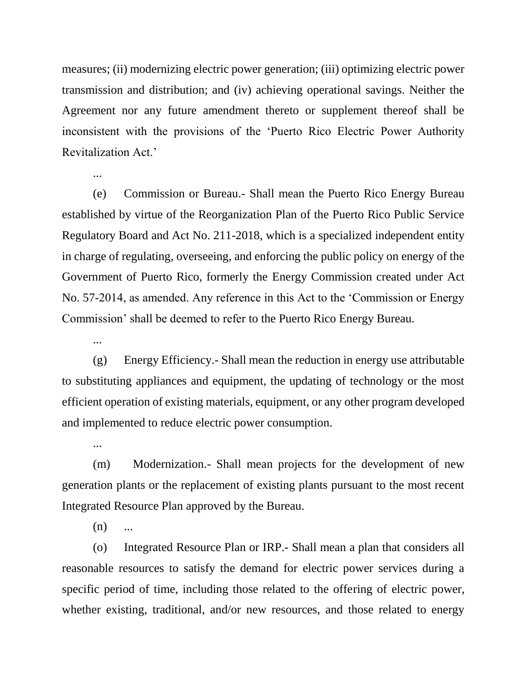measures; (ii) modernizing electric power generation; (iii) optimizing electric power transmission and distribution; and (iv) achieving operational savings. Neither the Agreement nor any future amendment thereto or supplement thereof shall be inconsistent with the provisions of the 'Puerto Rico Electric Power Authority Revitalization Act.'

(e) Commission or Bureau.- Shall mean the Puerto Rico Energy Bureau established by virtue of the Reorganization Plan of the Puerto Rico Public Service Regulatory Board and Act No. 211-2018, which is a specialized independent entity in charge of regulating, overseeing, and enforcing the public policy on energy of the Government of Puerto Rico, formerly the Energy Commission created under Act No. 57-2014, as amended. Any reference in this Act to the 'Commission or Energy Commission' shall be deemed to refer to the Puerto Rico Energy Bureau.

...

...

...

(g) Energy Efficiency.- Shall mean the reduction in energy use attributable to substituting appliances and equipment, the updating of technology or the most efficient operation of existing materials, equipment, or any other program developed and implemented to reduce electric power consumption.

(m) Modernization.- Shall mean projects for the development of new generation plants or the replacement of existing plants pursuant to the most recent Integrated Resource Plan approved by the Bureau.

 $(n)$  ...

(o) Integrated Resource Plan or IRP.- Shall mean a plan that considers all reasonable resources to satisfy the demand for electric power services during a specific period of time, including those related to the offering of electric power, whether existing, traditional, and/or new resources, and those related to energy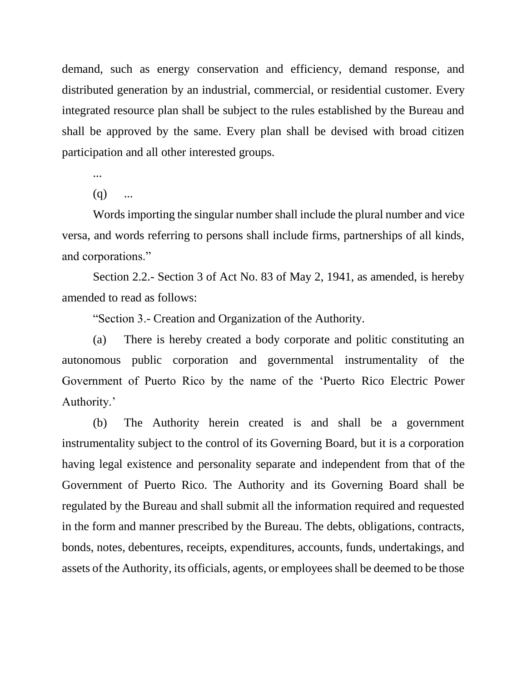demand, such as energy conservation and efficiency, demand response, and distributed generation by an industrial, commercial, or residential customer. Every integrated resource plan shall be subject to the rules established by the Bureau and shall be approved by the same. Every plan shall be devised with broad citizen participation and all other interested groups.

...

 $(q)$  ...

Words importing the singular number shall include the plural number and vice versa, and words referring to persons shall include firms, partnerships of all kinds, and corporations."

Section 2.2.- Section 3 of Act No. 83 of May 2, 1941, as amended, is hereby amended to read as follows:

"Section 3.- Creation and Organization of the Authority.

(a) There is hereby created a body corporate and politic constituting an autonomous public corporation and governmental instrumentality of the Government of Puerto Rico by the name of the 'Puerto Rico Electric Power Authority.'

(b) The Authority herein created is and shall be a government instrumentality subject to the control of its Governing Board, but it is a corporation having legal existence and personality separate and independent from that of the Government of Puerto Rico. The Authority and its Governing Board shall be regulated by the Bureau and shall submit all the information required and requested in the form and manner prescribed by the Bureau. The debts, obligations, contracts, bonds, notes, debentures, receipts, expenditures, accounts, funds, undertakings, and assets of the Authority, its officials, agents, or employees shall be deemed to be those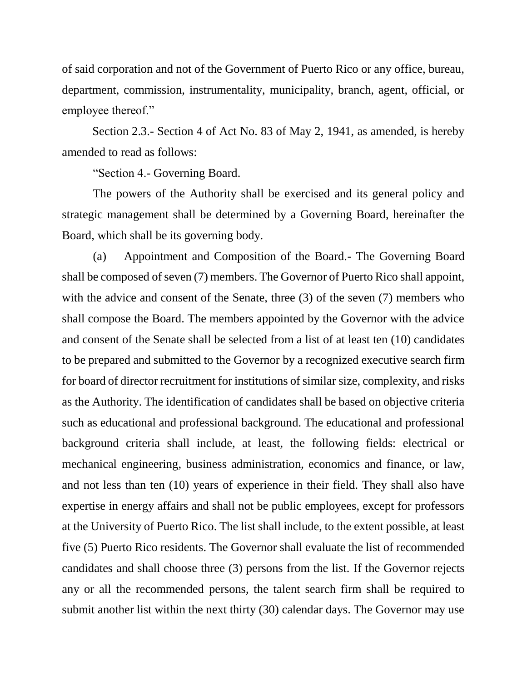of said corporation and not of the Government of Puerto Rico or any office, bureau, department, commission, instrumentality, municipality, branch, agent, official, or employee thereof."

Section 2.3.- Section 4 of Act No. 83 of May 2, 1941, as amended, is hereby amended to read as follows:

"Section 4.- Governing Board.

The powers of the Authority shall be exercised and its general policy and strategic management shall be determined by a Governing Board, hereinafter the Board, which shall be its governing body.

(a) Appointment and Composition of the Board.- The Governing Board shall be composed of seven (7) members. The Governor of Puerto Rico shall appoint, with the advice and consent of the Senate, three (3) of the seven (7) members who shall compose the Board. The members appointed by the Governor with the advice and consent of the Senate shall be selected from a list of at least ten (10) candidates to be prepared and submitted to the Governor by a recognized executive search firm for board of director recruitment for institutions of similar size, complexity, and risks as the Authority. The identification of candidates shall be based on objective criteria such as educational and professional background. The educational and professional background criteria shall include, at least, the following fields: electrical or mechanical engineering, business administration, economics and finance, or law, and not less than ten (10) years of experience in their field. They shall also have expertise in energy affairs and shall not be public employees, except for professors at the University of Puerto Rico. The list shall include, to the extent possible, at least five (5) Puerto Rico residents. The Governor shall evaluate the list of recommended candidates and shall choose three (3) persons from the list. If the Governor rejects any or all the recommended persons, the talent search firm shall be required to submit another list within the next thirty (30) calendar days. The Governor may use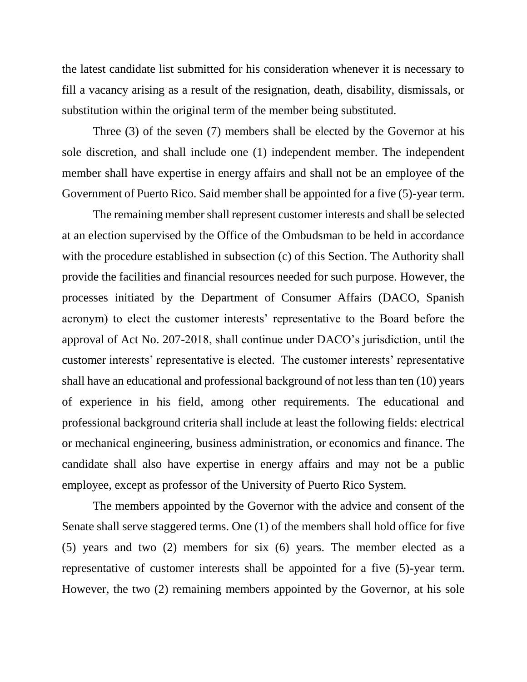the latest candidate list submitted for his consideration whenever it is necessary to fill a vacancy arising as a result of the resignation, death, disability, dismissals, or substitution within the original term of the member being substituted.

Three (3) of the seven (7) members shall be elected by the Governor at his sole discretion, and shall include one (1) independent member. The independent member shall have expertise in energy affairs and shall not be an employee of the Government of Puerto Rico. Said member shall be appointed for a five (5)-year term.

The remaining member shall represent customer interests and shall be selected at an election supervised by the Office of the Ombudsman to be held in accordance with the procedure established in subsection (c) of this Section. The Authority shall provide the facilities and financial resources needed for such purpose. However, the processes initiated by the Department of Consumer Affairs (DACO, Spanish acronym) to elect the customer interests' representative to the Board before the approval of Act No. 207-2018, shall continue under DACO's jurisdiction, until the customer interests' representative is elected. The customer interests' representative shall have an educational and professional background of not less than ten (10) years of experience in his field, among other requirements. The educational and professional background criteria shall include at least the following fields: electrical or mechanical engineering, business administration, or economics and finance. The candidate shall also have expertise in energy affairs and may not be a public employee, except as professor of the University of Puerto Rico System.

The members appointed by the Governor with the advice and consent of the Senate shall serve staggered terms. One (1) of the members shall hold office for five (5) years and two (2) members for six (6) years. The member elected as a representative of customer interests shall be appointed for a five (5)-year term. However, the two (2) remaining members appointed by the Governor, at his sole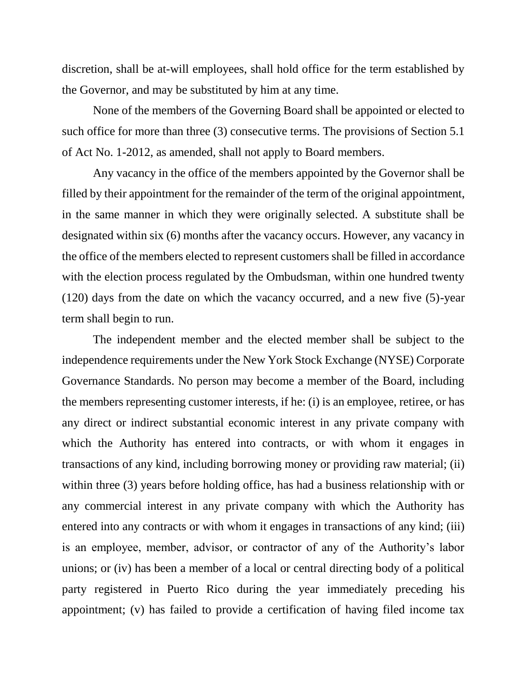discretion, shall be at-will employees, shall hold office for the term established by the Governor, and may be substituted by him at any time.

None of the members of the Governing Board shall be appointed or elected to such office for more than three (3) consecutive terms. The provisions of Section 5.1 of Act No. 1-2012, as amended, shall not apply to Board members.

Any vacancy in the office of the members appointed by the Governor shall be filled by their appointment for the remainder of the term of the original appointment, in the same manner in which they were originally selected. A substitute shall be designated within six (6) months after the vacancy occurs. However, any vacancy in the office of the members elected to represent customers shall be filled in accordance with the election process regulated by the Ombudsman, within one hundred twenty (120) days from the date on which the vacancy occurred, and a new five (5)-year term shall begin to run.

The independent member and the elected member shall be subject to the independence requirements under the New York Stock Exchange (NYSE) Corporate Governance Standards. No person may become a member of the Board, including the members representing customer interests, if he: (i) is an employee, retiree, or has any direct or indirect substantial economic interest in any private company with which the Authority has entered into contracts, or with whom it engages in transactions of any kind, including borrowing money or providing raw material; (ii) within three (3) years before holding office, has had a business relationship with or any commercial interest in any private company with which the Authority has entered into any contracts or with whom it engages in transactions of any kind; (iii) is an employee, member, advisor, or contractor of any of the Authority's labor unions; or (iv) has been a member of a local or central directing body of a political party registered in Puerto Rico during the year immediately preceding his appointment; (v) has failed to provide a certification of having filed income tax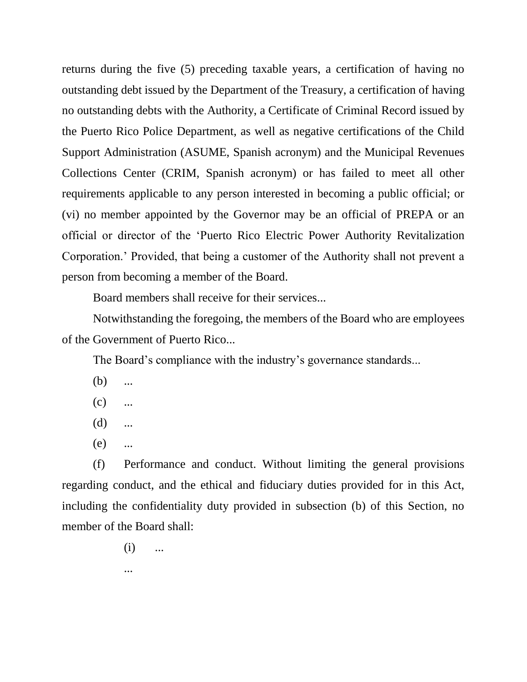returns during the five (5) preceding taxable years, a certification of having no outstanding debt issued by the Department of the Treasury, a certification of having no outstanding debts with the Authority, a Certificate of Criminal Record issued by the Puerto Rico Police Department, as well as negative certifications of the Child Support Administration (ASUME, Spanish acronym) and the Municipal Revenues Collections Center (CRIM, Spanish acronym) or has failed to meet all other requirements applicable to any person interested in becoming a public official; or (vi) no member appointed by the Governor may be an official of PREPA or an official or director of the 'Puerto Rico Electric Power Authority Revitalization Corporation.' Provided, that being a customer of the Authority shall not prevent a person from becoming a member of the Board.

Board members shall receive for their services...

Notwithstanding the foregoing, the members of the Board who are employees of the Government of Puerto Rico...

The Board's compliance with the industry's governance standards...

- $(b)$  ...
- $(c)$  ...
- (d) ...
- (e) ...

(f) Performance and conduct. Without limiting the general provisions regarding conduct, and the ethical and fiduciary duties provided for in this Act, including the confidentiality duty provided in subsection (b) of this Section, no member of the Board shall:

- $(i)$  ...
- ...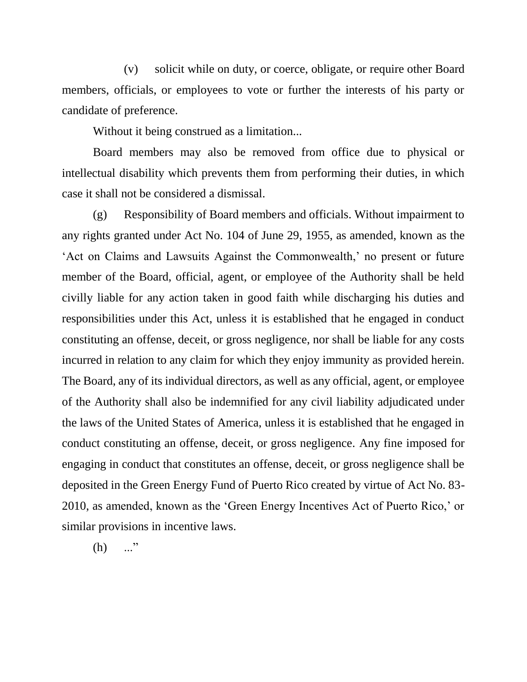(v) solicit while on duty, or coerce, obligate, or require other Board members, officials, or employees to vote or further the interests of his party or candidate of preference.

Without it being construed as a limitation...

Board members may also be removed from office due to physical or intellectual disability which prevents them from performing their duties, in which case it shall not be considered a dismissal.

(g) Responsibility of Board members and officials. Without impairment to any rights granted under Act No. 104 of June 29, 1955, as amended, known as the 'Act on Claims and Lawsuits Against the Commonwealth,' no present or future member of the Board, official, agent, or employee of the Authority shall be held civilly liable for any action taken in good faith while discharging his duties and responsibilities under this Act, unless it is established that he engaged in conduct constituting an offense, deceit, or gross negligence, nor shall be liable for any costs incurred in relation to any claim for which they enjoy immunity as provided herein. The Board, any of its individual directors, as well as any official, agent, or employee of the Authority shall also be indemnified for any civil liability adjudicated under the laws of the United States of America, unless it is established that he engaged in conduct constituting an offense, deceit, or gross negligence. Any fine imposed for engaging in conduct that constitutes an offense, deceit, or gross negligence shall be deposited in the Green Energy Fund of Puerto Rico created by virtue of Act No. 83- 2010, as amended, known as the 'Green Energy Incentives Act of Puerto Rico,' or similar provisions in incentive laws.

 $(h)$  ..."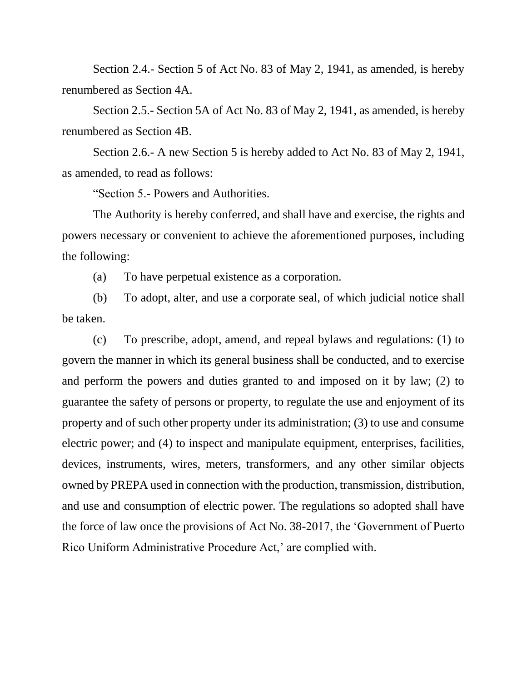Section 2.4.- Section 5 of Act No. 83 of May 2, 1941, as amended, is hereby renumbered as Section 4A.

Section 2.5.- Section 5A of Act No. 83 of May 2, 1941, as amended, is hereby renumbered as Section 4B.

Section 2.6.- A new Section 5 is hereby added to Act No. 83 of May 2, 1941, as amended, to read as follows:

"Section 5.- Powers and Authorities.

The Authority is hereby conferred, and shall have and exercise, the rights and powers necessary or convenient to achieve the aforementioned purposes, including the following:

(a) To have perpetual existence as a corporation.

(b) To adopt, alter, and use a corporate seal, of which judicial notice shall be taken.

(c) To prescribe, adopt, amend, and repeal bylaws and regulations: (1) to govern the manner in which its general business shall be conducted, and to exercise and perform the powers and duties granted to and imposed on it by law; (2) to guarantee the safety of persons or property, to regulate the use and enjoyment of its property and of such other property under its administration; (3) to use and consume electric power; and (4) to inspect and manipulate equipment, enterprises, facilities, devices, instruments, wires, meters, transformers, and any other similar objects owned by PREPA used in connection with the production, transmission, distribution, and use and consumption of electric power. The regulations so adopted shall have the force of law once the provisions of Act No. 38-2017, the 'Government of Puerto Rico Uniform Administrative Procedure Act,' are complied with.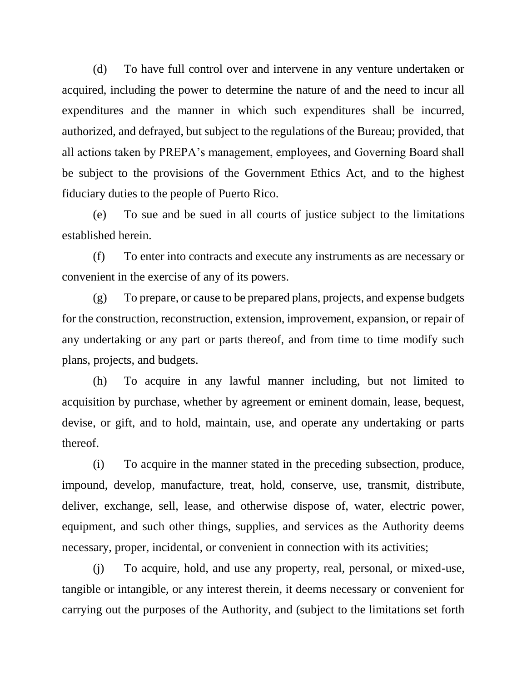(d) To have full control over and intervene in any venture undertaken or acquired, including the power to determine the nature of and the need to incur all expenditures and the manner in which such expenditures shall be incurred, authorized, and defrayed, but subject to the regulations of the Bureau; provided, that all actions taken by PREPA's management, employees, and Governing Board shall be subject to the provisions of the Government Ethics Act, and to the highest fiduciary duties to the people of Puerto Rico.

(e) To sue and be sued in all courts of justice subject to the limitations established herein.

(f) To enter into contracts and execute any instruments as are necessary or convenient in the exercise of any of its powers.

(g) To prepare, or cause to be prepared plans, projects, and expense budgets for the construction, reconstruction, extension, improvement, expansion, or repair of any undertaking or any part or parts thereof, and from time to time modify such plans, projects, and budgets.

(h) To acquire in any lawful manner including, but not limited to acquisition by purchase, whether by agreement or eminent domain, lease, bequest, devise, or gift, and to hold, maintain, use, and operate any undertaking or parts thereof.

(i) To acquire in the manner stated in the preceding subsection, produce, impound, develop, manufacture, treat, hold, conserve, use, transmit, distribute, deliver, exchange, sell, lease, and otherwise dispose of, water, electric power, equipment, and such other things, supplies, and services as the Authority deems necessary, proper, incidental, or convenient in connection with its activities;

(j) To acquire, hold, and use any property, real, personal, or mixed-use, tangible or intangible, or any interest therein, it deems necessary or convenient for carrying out the purposes of the Authority, and (subject to the limitations set forth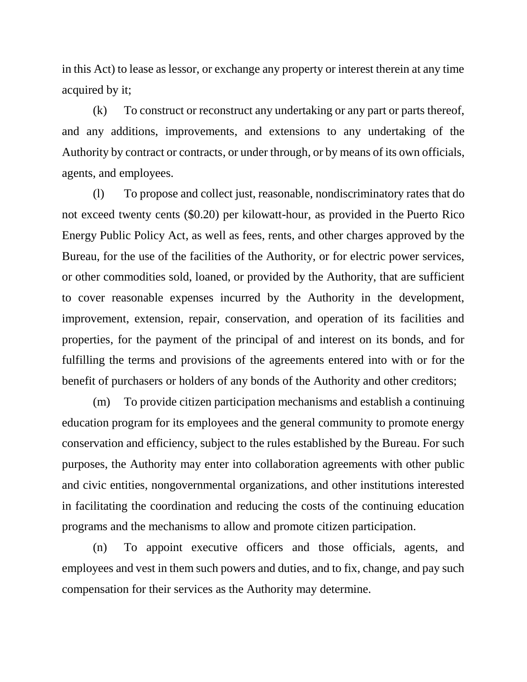in this Act) to lease as lessor, or exchange any property or interest therein at any time acquired by it;

(k) To construct or reconstruct any undertaking or any part or parts thereof, and any additions, improvements, and extensions to any undertaking of the Authority by contract or contracts, or under through, or by means of its own officials, agents, and employees.

(l) To propose and collect just, reasonable, nondiscriminatory rates that do not exceed twenty cents (\$0.20) per kilowatt-hour, as provided in the Puerto Rico Energy Public Policy Act, as well as fees, rents, and other charges approved by the Bureau, for the use of the facilities of the Authority, or for electric power services, or other commodities sold, loaned, or provided by the Authority, that are sufficient to cover reasonable expenses incurred by the Authority in the development, improvement, extension, repair, conservation, and operation of its facilities and properties, for the payment of the principal of and interest on its bonds, and for fulfilling the terms and provisions of the agreements entered into with or for the benefit of purchasers or holders of any bonds of the Authority and other creditors;

(m) To provide citizen participation mechanisms and establish a continuing education program for its employees and the general community to promote energy conservation and efficiency, subject to the rules established by the Bureau. For such purposes, the Authority may enter into collaboration agreements with other public and civic entities, nongovernmental organizations, and other institutions interested in facilitating the coordination and reducing the costs of the continuing education programs and the mechanisms to allow and promote citizen participation.

(n) To appoint executive officers and those officials, agents, and employees and vest in them such powers and duties, and to fix, change, and pay such compensation for their services as the Authority may determine.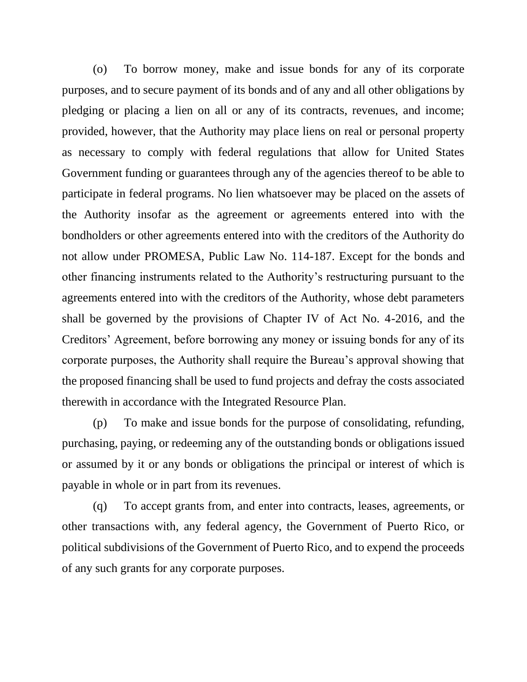(o) To borrow money, make and issue bonds for any of its corporate purposes, and to secure payment of its bonds and of any and all other obligations by pledging or placing a lien on all or any of its contracts, revenues, and income; provided, however, that the Authority may place liens on real or personal property as necessary to comply with federal regulations that allow for United States Government funding or guarantees through any of the agencies thereof to be able to participate in federal programs. No lien whatsoever may be placed on the assets of the Authority insofar as the agreement or agreements entered into with the bondholders or other agreements entered into with the creditors of the Authority do not allow under PROMESA, Public Law No. 114-187. Except for the bonds and other financing instruments related to the Authority's restructuring pursuant to the agreements entered into with the creditors of the Authority, whose debt parameters shall be governed by the provisions of Chapter IV of Act No. 4-2016, and the Creditors' Agreement, before borrowing any money or issuing bonds for any of its corporate purposes, the Authority shall require the Bureau's approval showing that the proposed financing shall be used to fund projects and defray the costs associated therewith in accordance with the Integrated Resource Plan.

(p) To make and issue bonds for the purpose of consolidating, refunding, purchasing, paying, or redeeming any of the outstanding bonds or obligations issued or assumed by it or any bonds or obligations the principal or interest of which is payable in whole or in part from its revenues.

(q) To accept grants from, and enter into contracts, leases, agreements, or other transactions with, any federal agency, the Government of Puerto Rico, or political subdivisions of the Government of Puerto Rico, and to expend the proceeds of any such grants for any corporate purposes.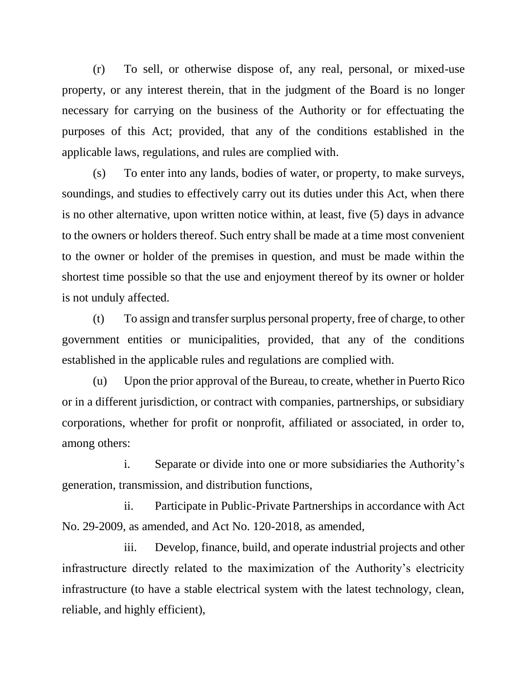(r) To sell, or otherwise dispose of, any real, personal, or mixed-use property, or any interest therein, that in the judgment of the Board is no longer necessary for carrying on the business of the Authority or for effectuating the purposes of this Act; provided, that any of the conditions established in the applicable laws, regulations, and rules are complied with.

(s) To enter into any lands, bodies of water, or property, to make surveys, soundings, and studies to effectively carry out its duties under this Act, when there is no other alternative, upon written notice within, at least, five (5) days in advance to the owners or holders thereof. Such entry shall be made at a time most convenient to the owner or holder of the premises in question, and must be made within the shortest time possible so that the use and enjoyment thereof by its owner or holder is not unduly affected.

(t) To assign and transfer surplus personal property, free of charge, to other government entities or municipalities, provided, that any of the conditions established in the applicable rules and regulations are complied with.

(u) Upon the prior approval of the Bureau, to create, whether in Puerto Rico or in a different jurisdiction, or contract with companies, partnerships, or subsidiary corporations, whether for profit or nonprofit, affiliated or associated, in order to, among others:

i. Separate or divide into one or more subsidiaries the Authority's generation, transmission, and distribution functions,

ii. Participate in Public-Private Partnerships in accordance with Act No. 29-2009, as amended, and Act No. 120-2018, as amended,

iii. Develop, finance, build, and operate industrial projects and other infrastructure directly related to the maximization of the Authority's electricity infrastructure (to have a stable electrical system with the latest technology, clean, reliable, and highly efficient),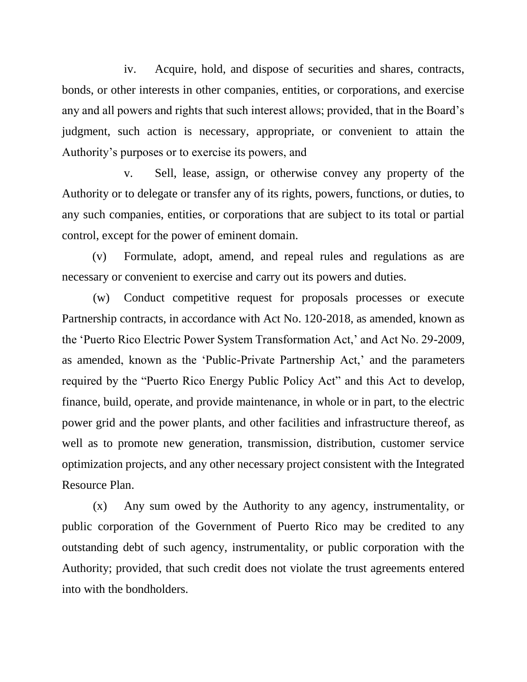iv. Acquire, hold, and dispose of securities and shares, contracts, bonds, or other interests in other companies, entities, or corporations, and exercise any and all powers and rights that such interest allows; provided, that in the Board's judgment, such action is necessary, appropriate, or convenient to attain the Authority's purposes or to exercise its powers, and

v. Sell, lease, assign, or otherwise convey any property of the Authority or to delegate or transfer any of its rights, powers, functions, or duties, to any such companies, entities, or corporations that are subject to its total or partial control, except for the power of eminent domain.

(v) Formulate, adopt, amend, and repeal rules and regulations as are necessary or convenient to exercise and carry out its powers and duties.

(w) Conduct competitive request for proposals processes or execute Partnership contracts, in accordance with Act No. 120-2018, as amended, known as the 'Puerto Rico Electric Power System Transformation Act,' and Act No. 29-2009, as amended, known as the 'Public-Private Partnership Act,' and the parameters required by the "Puerto Rico Energy Public Policy Act" and this Act to develop, finance, build, operate, and provide maintenance, in whole or in part, to the electric power grid and the power plants, and other facilities and infrastructure thereof, as well as to promote new generation, transmission, distribution, customer service optimization projects, and any other necessary project consistent with the Integrated Resource Plan.

(x) Any sum owed by the Authority to any agency, instrumentality, or public corporation of the Government of Puerto Rico may be credited to any outstanding debt of such agency, instrumentality, or public corporation with the Authority; provided, that such credit does not violate the trust agreements entered into with the bondholders.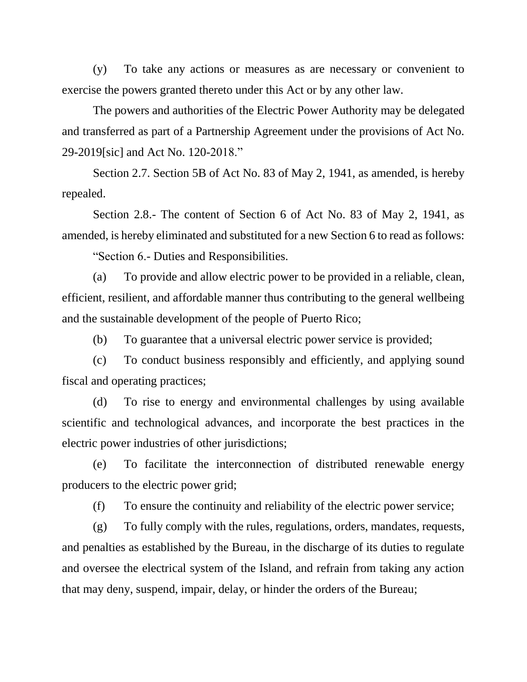(y) To take any actions or measures as are necessary or convenient to exercise the powers granted thereto under this Act or by any other law.

The powers and authorities of the Electric Power Authority may be delegated and transferred as part of a Partnership Agreement under the provisions of Act No. 29-2019[sic] and Act No. 120-2018."

Section 2.7. Section 5B of Act No. 83 of May 2, 1941, as amended, is hereby repealed.

Section 2.8.- The content of Section 6 of Act No. 83 of May 2, 1941, as amended, is hereby eliminated and substituted for a new Section 6 to read as follows:

"Section 6.- Duties and Responsibilities.

(a) To provide and allow electric power to be provided in a reliable, clean, efficient, resilient, and affordable manner thus contributing to the general wellbeing and the sustainable development of the people of Puerto Rico;

(b) To guarantee that a universal electric power service is provided;

(c) To conduct business responsibly and efficiently, and applying sound fiscal and operating practices;

(d) To rise to energy and environmental challenges by using available scientific and technological advances, and incorporate the best practices in the electric power industries of other jurisdictions;

(e) To facilitate the interconnection of distributed renewable energy producers to the electric power grid;

(f) To ensure the continuity and reliability of the electric power service;

(g) To fully comply with the rules, regulations, orders, mandates, requests, and penalties as established by the Bureau, in the discharge of its duties to regulate and oversee the electrical system of the Island, and refrain from taking any action that may deny, suspend, impair, delay, or hinder the orders of the Bureau;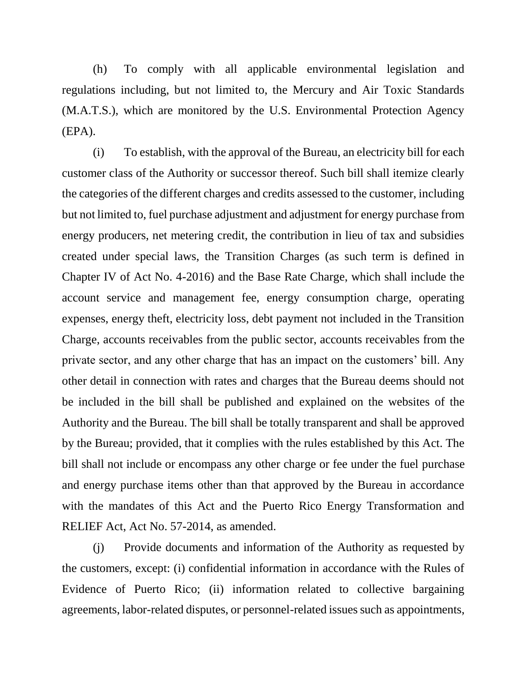(h) To comply with all applicable environmental legislation and regulations including, but not limited to, the Mercury and Air Toxic Standards (M.A.T.S.), which are monitored by the U.S. Environmental Protection Agency (EPA).

(i) To establish, with the approval of the Bureau, an electricity bill for each customer class of the Authority or successor thereof. Such bill shall itemize clearly the categories of the different charges and credits assessed to the customer, including but not limited to, fuel purchase adjustment and adjustment for energy purchase from energy producers, net metering credit, the contribution in lieu of tax and subsidies created under special laws, the Transition Charges (as such term is defined in Chapter IV of Act No. 4-2016) and the Base Rate Charge, which shall include the account service and management fee, energy consumption charge, operating expenses, energy theft, electricity loss, debt payment not included in the Transition Charge, accounts receivables from the public sector, accounts receivables from the private sector, and any other charge that has an impact on the customers' bill. Any other detail in connection with rates and charges that the Bureau deems should not be included in the bill shall be published and explained on the websites of the Authority and the Bureau. The bill shall be totally transparent and shall be approved by the Bureau; provided, that it complies with the rules established by this Act. The bill shall not include or encompass any other charge or fee under the fuel purchase and energy purchase items other than that approved by the Bureau in accordance with the mandates of this Act and the Puerto Rico Energy Transformation and RELIEF Act, Act No. 57-2014, as amended.

(j) Provide documents and information of the Authority as requested by the customers, except: (i) confidential information in accordance with the Rules of Evidence of Puerto Rico; (ii) information related to collective bargaining agreements, labor-related disputes, or personnel-related issues such as appointments,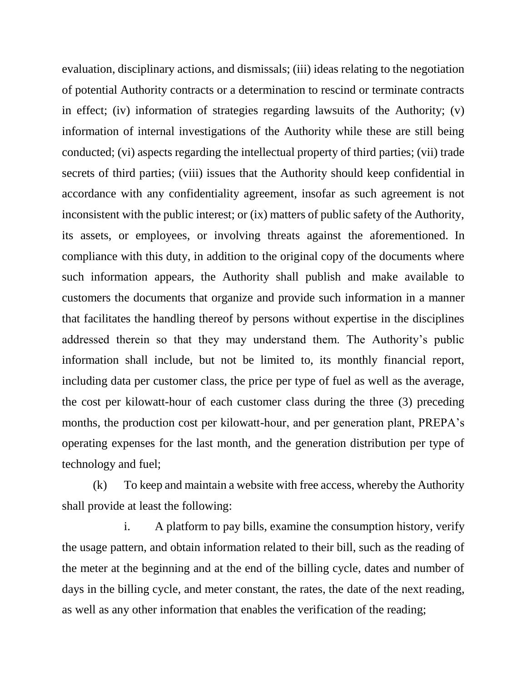evaluation, disciplinary actions, and dismissals; (iii) ideas relating to the negotiation of potential Authority contracts or a determination to rescind or terminate contracts in effect; (iv) information of strategies regarding lawsuits of the Authority; (v) information of internal investigations of the Authority while these are still being conducted; (vi) aspects regarding the intellectual property of third parties; (vii) trade secrets of third parties; (viii) issues that the Authority should keep confidential in accordance with any confidentiality agreement, insofar as such agreement is not inconsistent with the public interest; or (ix) matters of public safety of the Authority, its assets, or employees, or involving threats against the aforementioned. In compliance with this duty, in addition to the original copy of the documents where such information appears, the Authority shall publish and make available to customers the documents that organize and provide such information in a manner that facilitates the handling thereof by persons without expertise in the disciplines addressed therein so that they may understand them. The Authority's public information shall include, but not be limited to, its monthly financial report, including data per customer class, the price per type of fuel as well as the average, the cost per kilowatt-hour of each customer class during the three (3) preceding months, the production cost per kilowatt-hour, and per generation plant, PREPA's operating expenses for the last month, and the generation distribution per type of technology and fuel;

(k) To keep and maintain a website with free access, whereby the Authority shall provide at least the following:

i. A platform to pay bills, examine the consumption history, verify the usage pattern, and obtain information related to their bill, such as the reading of the meter at the beginning and at the end of the billing cycle, dates and number of days in the billing cycle, and meter constant, the rates, the date of the next reading, as well as any other information that enables the verification of the reading;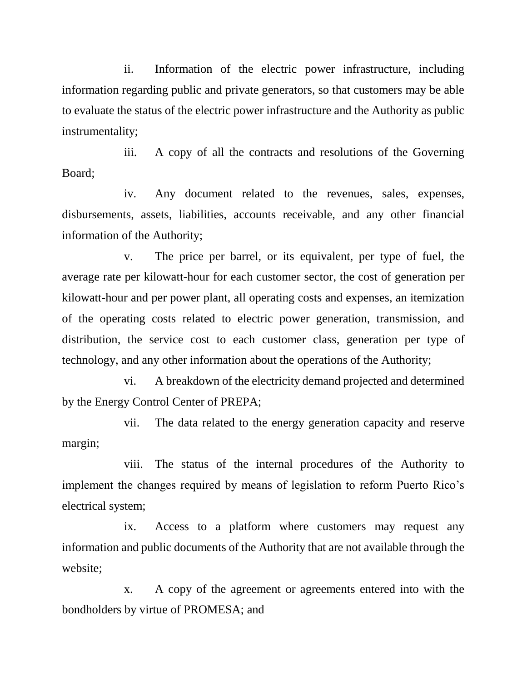ii. Information of the electric power infrastructure, including information regarding public and private generators, so that customers may be able to evaluate the status of the electric power infrastructure and the Authority as public instrumentality;

iii. A copy of all the contracts and resolutions of the Governing Board;

iv. Any document related to the revenues, sales, expenses, disbursements, assets, liabilities, accounts receivable, and any other financial information of the Authority;

v. The price per barrel, or its equivalent, per type of fuel, the average rate per kilowatt-hour for each customer sector, the cost of generation per kilowatt-hour and per power plant, all operating costs and expenses, an itemization of the operating costs related to electric power generation, transmission, and distribution, the service cost to each customer class, generation per type of technology, and any other information about the operations of the Authority;

vi. A breakdown of the electricity demand projected and determined by the Energy Control Center of PREPA;

vii. The data related to the energy generation capacity and reserve margin;

viii. The status of the internal procedures of the Authority to implement the changes required by means of legislation to reform Puerto Rico's electrical system;

ix. Access to a platform where customers may request any information and public documents of the Authority that are not available through the website;

x. A copy of the agreement or agreements entered into with the bondholders by virtue of PROMESA; and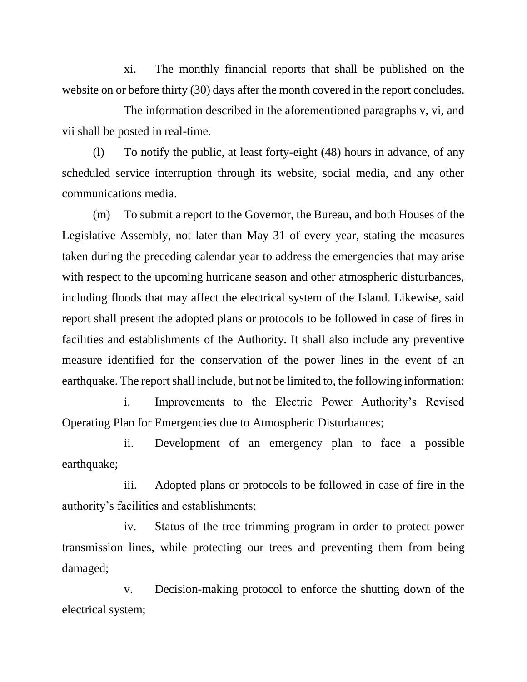xi. The monthly financial reports that shall be published on the website on or before thirty (30) days after the month covered in the report concludes.

The information described in the aforementioned paragraphs v, vi, and vii shall be posted in real-time.

(l) To notify the public, at least forty-eight (48) hours in advance, of any scheduled service interruption through its website, social media, and any other communications media.

(m) To submit a report to the Governor, the Bureau, and both Houses of the Legislative Assembly, not later than May 31 of every year, stating the measures taken during the preceding calendar year to address the emergencies that may arise with respect to the upcoming hurricane season and other atmospheric disturbances, including floods that may affect the electrical system of the Island. Likewise, said report shall present the adopted plans or protocols to be followed in case of fires in facilities and establishments of the Authority. It shall also include any preventive measure identified for the conservation of the power lines in the event of an earthquake. The report shall include, but not be limited to, the following information:

i. Improvements to the Electric Power Authority's Revised Operating Plan for Emergencies due to Atmospheric Disturbances;

ii. Development of an emergency plan to face a possible earthquake;

iii. Adopted plans or protocols to be followed in case of fire in the authority's facilities and establishments;

iv. Status of the tree trimming program in order to protect power transmission lines, while protecting our trees and preventing them from being damaged;

v. Decision-making protocol to enforce the shutting down of the electrical system;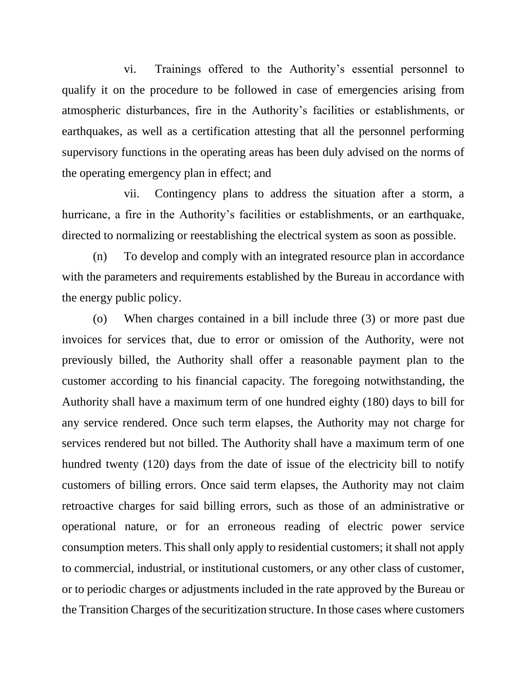vi. Trainings offered to the Authority's essential personnel to qualify it on the procedure to be followed in case of emergencies arising from atmospheric disturbances, fire in the Authority's facilities or establishments, or earthquakes, as well as a certification attesting that all the personnel performing supervisory functions in the operating areas has been duly advised on the norms of the operating emergency plan in effect; and

vii. Contingency plans to address the situation after a storm, a hurricane, a fire in the Authority's facilities or establishments, or an earthquake, directed to normalizing or reestablishing the electrical system as soon as possible.

(n) To develop and comply with an integrated resource plan in accordance with the parameters and requirements established by the Bureau in accordance with the energy public policy.

(o) When charges contained in a bill include three (3) or more past due invoices for services that, due to error or omission of the Authority, were not previously billed, the Authority shall offer a reasonable payment plan to the customer according to his financial capacity. The foregoing notwithstanding, the Authority shall have a maximum term of one hundred eighty (180) days to bill for any service rendered. Once such term elapses, the Authority may not charge for services rendered but not billed. The Authority shall have a maximum term of one hundred twenty (120) days from the date of issue of the electricity bill to notify customers of billing errors. Once said term elapses, the Authority may not claim retroactive charges for said billing errors, such as those of an administrative or operational nature, or for an erroneous reading of electric power service consumption meters. This shall only apply to residential customers; it shall not apply to commercial, industrial, or institutional customers, or any other class of customer, or to periodic charges or adjustments included in the rate approved by the Bureau or the Transition Charges of the securitization structure. In those cases where customers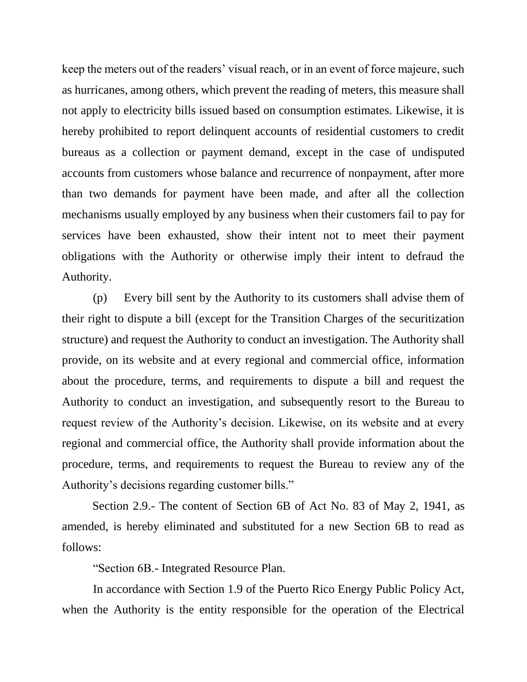keep the meters out of the readers' visual reach, or in an event of force majeure, such as hurricanes, among others, which prevent the reading of meters, this measure shall not apply to electricity bills issued based on consumption estimates. Likewise, it is hereby prohibited to report delinquent accounts of residential customers to credit bureaus as a collection or payment demand, except in the case of undisputed accounts from customers whose balance and recurrence of nonpayment, after more than two demands for payment have been made, and after all the collection mechanisms usually employed by any business when their customers fail to pay for services have been exhausted, show their intent not to meet their payment obligations with the Authority or otherwise imply their intent to defraud the Authority.

(p) Every bill sent by the Authority to its customers shall advise them of their right to dispute a bill (except for the Transition Charges of the securitization structure) and request the Authority to conduct an investigation. The Authority shall provide, on its website and at every regional and commercial office, information about the procedure, terms, and requirements to dispute a bill and request the Authority to conduct an investigation, and subsequently resort to the Bureau to request review of the Authority's decision. Likewise, on its website and at every regional and commercial office, the Authority shall provide information about the procedure, terms, and requirements to request the Bureau to review any of the Authority's decisions regarding customer bills."

Section 2.9.- The content of Section 6B of Act No. 83 of May 2, 1941, as amended, is hereby eliminated and substituted for a new Section 6B to read as follows:

"Section 6B.- Integrated Resource Plan.

In accordance with Section 1.9 of the Puerto Rico Energy Public Policy Act, when the Authority is the entity responsible for the operation of the Electrical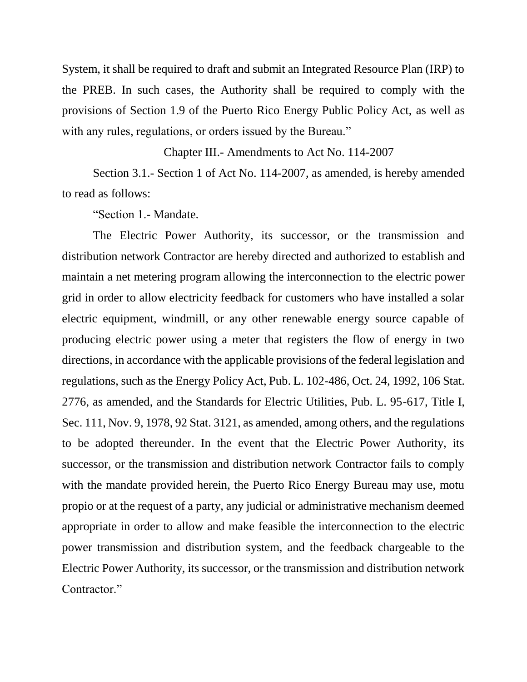System, it shall be required to draft and submit an Integrated Resource Plan (IRP) to the PREB. In such cases, the Authority shall be required to comply with the provisions of Section 1.9 of the Puerto Rico Energy Public Policy Act, as well as with any rules, regulations, or orders issued by the Bureau."

Chapter III.- Amendments to Act No. 114-2007

Section 3.1.- Section 1 of Act No. 114-2007, as amended, is hereby amended to read as follows:

"Section 1.- Mandate.

The Electric Power Authority, its successor, or the transmission and distribution network Contractor are hereby directed and authorized to establish and maintain a net metering program allowing the interconnection to the electric power grid in order to allow electricity feedback for customers who have installed a solar electric equipment, windmill, or any other renewable energy source capable of producing electric power using a meter that registers the flow of energy in two directions, in accordance with the applicable provisions of the federal legislation and regulations, such as the Energy Policy Act, Pub. L. 102-486, Oct. 24, 1992, 106 Stat. 2776, as amended, and the Standards for Electric Utilities, Pub. L. 95-617, Title I, Sec. 111, Nov. 9, 1978, 92 Stat. 3121, as amended, among others, and the regulations to be adopted thereunder. In the event that the Electric Power Authority, its successor, or the transmission and distribution network Contractor fails to comply with the mandate provided herein, the Puerto Rico Energy Bureau may use, motu propio or at the request of a party, any judicial or administrative mechanism deemed appropriate in order to allow and make feasible the interconnection to the electric power transmission and distribution system, and the feedback chargeable to the Electric Power Authority, its successor, or the transmission and distribution network Contractor."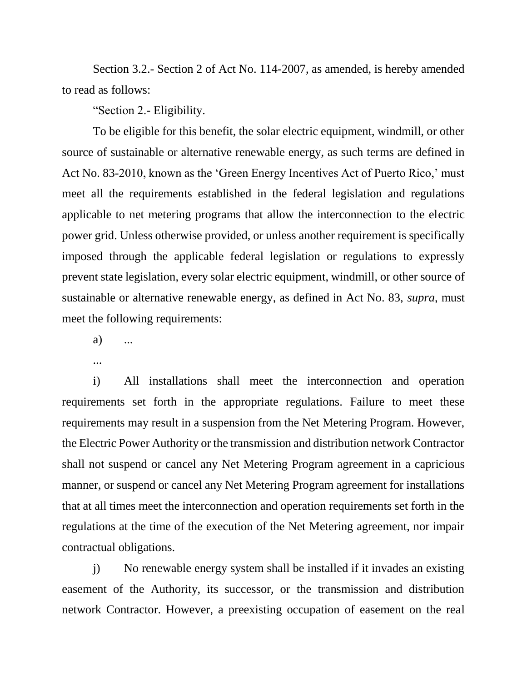Section 3.2.- Section 2 of Act No. 114-2007, as amended, is hereby amended to read as follows:

"Section 2.- Eligibility.

To be eligible for this benefit, the solar electric equipment, windmill, or other source of sustainable or alternative renewable energy, as such terms are defined in Act No. 83-2010, known as the 'Green Energy Incentives Act of Puerto Rico,' must meet all the requirements established in the federal legislation and regulations applicable to net metering programs that allow the interconnection to the electric power grid. Unless otherwise provided, or unless another requirement is specifically imposed through the applicable federal legislation or regulations to expressly prevent state legislation, every solar electric equipment, windmill, or other source of sustainable or alternative renewable energy, as defined in Act No. 83, *supra*, must meet the following requirements:

a) ...

...

i) All installations shall meet the interconnection and operation requirements set forth in the appropriate regulations. Failure to meet these requirements may result in a suspension from the Net Metering Program. However, the Electric Power Authority or the transmission and distribution network Contractor shall not suspend or cancel any Net Metering Program agreement in a capricious manner, or suspend or cancel any Net Metering Program agreement for installations that at all times meet the interconnection and operation requirements set forth in the regulations at the time of the execution of the Net Metering agreement, nor impair contractual obligations.

j) No renewable energy system shall be installed if it invades an existing easement of the Authority, its successor, or the transmission and distribution network Contractor. However, a preexisting occupation of easement on the real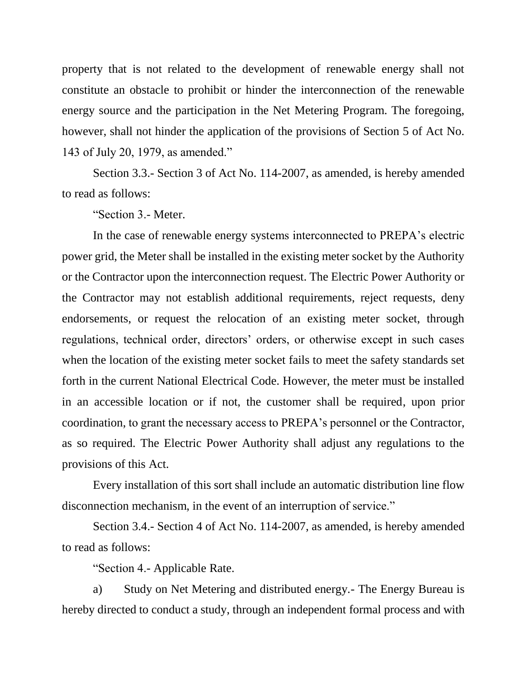property that is not related to the development of renewable energy shall not constitute an obstacle to prohibit or hinder the interconnection of the renewable energy source and the participation in the Net Metering Program. The foregoing, however, shall not hinder the application of the provisions of Section 5 of Act No. 143 of July 20, 1979, as amended."

Section 3.3.- Section 3 of Act No. 114-2007, as amended, is hereby amended to read as follows:

"Section 3.- Meter.

In the case of renewable energy systems interconnected to PREPA's electric power grid, the Meter shall be installed in the existing meter socket by the Authority or the Contractor upon the interconnection request. The Electric Power Authority or the Contractor may not establish additional requirements, reject requests, deny endorsements, or request the relocation of an existing meter socket, through regulations, technical order, directors' orders, or otherwise except in such cases when the location of the existing meter socket fails to meet the safety standards set forth in the current National Electrical Code. However, the meter must be installed in an accessible location or if not, the customer shall be required, upon prior coordination, to grant the necessary access to PREPA's personnel or the Contractor, as so required. The Electric Power Authority shall adjust any regulations to the provisions of this Act.

Every installation of this sort shall include an automatic distribution line flow disconnection mechanism, in the event of an interruption of service."

Section 3.4.- Section 4 of Act No. 114-2007, as amended, is hereby amended to read as follows:

"Section 4.- Applicable Rate.

a) Study on Net Metering and distributed energy.- The Energy Bureau is hereby directed to conduct a study, through an independent formal process and with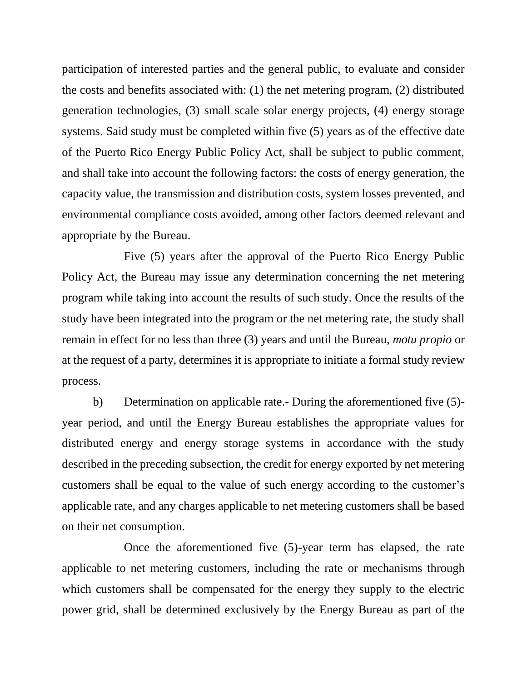participation of interested parties and the general public, to evaluate and consider the costs and benefits associated with: (1) the net metering program, (2) distributed generation technologies, (3) small scale solar energy projects, (4) energy storage systems. Said study must be completed within five (5) years as of the effective date of the Puerto Rico Energy Public Policy Act, shall be subject to public comment, and shall take into account the following factors: the costs of energy generation, the capacity value, the transmission and distribution costs, system losses prevented, and environmental compliance costs avoided, among other factors deemed relevant and appropriate by the Bureau.

Five (5) years after the approval of the Puerto Rico Energy Public Policy Act, the Bureau may issue any determination concerning the net metering program while taking into account the results of such study. Once the results of the study have been integrated into the program or the net metering rate, the study shall remain in effect for no less than three (3) years and until the Bureau, *motu propio* or at the request of a party, determines it is appropriate to initiate a formal study review process.

b) Determination on applicable rate.- During the aforementioned five (5) year period, and until the Energy Bureau establishes the appropriate values for distributed energy and energy storage systems in accordance with the study described in the preceding subsection, the credit for energy exported by net metering customers shall be equal to the value of such energy according to the customer's applicable rate, and any charges applicable to net metering customers shall be based on their net consumption.

Once the aforementioned five (5)-year term has elapsed, the rate applicable to net metering customers, including the rate or mechanisms through which customers shall be compensated for the energy they supply to the electric power grid, shall be determined exclusively by the Energy Bureau as part of the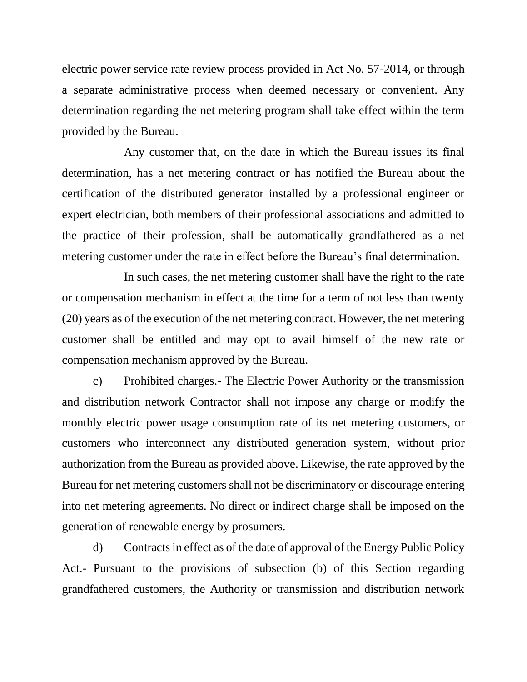electric power service rate review process provided in Act No. 57-2014, or through a separate administrative process when deemed necessary or convenient. Any determination regarding the net metering program shall take effect within the term provided by the Bureau.

Any customer that, on the date in which the Bureau issues its final determination, has a net metering contract or has notified the Bureau about the certification of the distributed generator installed by a professional engineer or expert electrician, both members of their professional associations and admitted to the practice of their profession, shall be automatically grandfathered as a net metering customer under the rate in effect before the Bureau's final determination.

In such cases, the net metering customer shall have the right to the rate or compensation mechanism in effect at the time for a term of not less than twenty (20) years as of the execution of the net metering contract. However, the net metering customer shall be entitled and may opt to avail himself of the new rate or compensation mechanism approved by the Bureau.

c) Prohibited charges.- The Electric Power Authority or the transmission and distribution network Contractor shall not impose any charge or modify the monthly electric power usage consumption rate of its net metering customers, or customers who interconnect any distributed generation system, without prior authorization from the Bureau as provided above. Likewise, the rate approved by the Bureau for net metering customers shall not be discriminatory or discourage entering into net metering agreements. No direct or indirect charge shall be imposed on the generation of renewable energy by prosumers.

d) Contracts in effect as of the date of approval of the Energy Public Policy Act.- Pursuant to the provisions of subsection (b) of this Section regarding grandfathered customers, the Authority or transmission and distribution network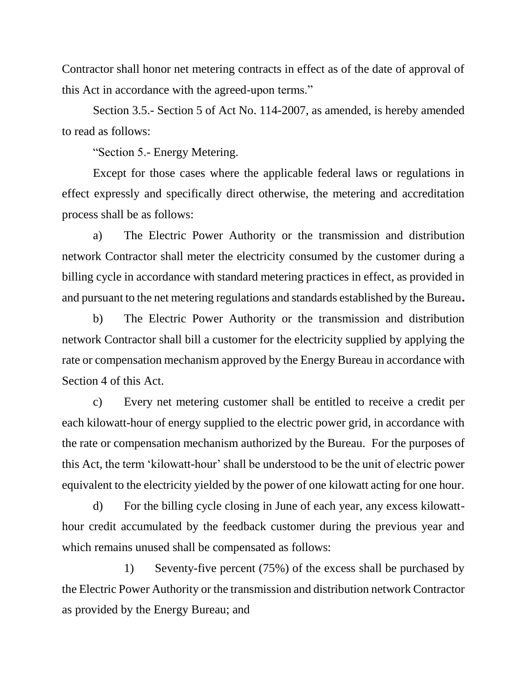Contractor shall honor net metering contracts in effect as of the date of approval of this Act in accordance with the agreed-upon terms."

Section 3.5.- Section 5 of Act No. 114-2007, as amended, is hereby amended to read as follows:

"Section 5.- Energy Metering.

Except for those cases where the applicable federal laws or regulations in effect expressly and specifically direct otherwise, the metering and accreditation process shall be as follows:

a) The Electric Power Authority or the transmission and distribution network Contractor shall meter the electricity consumed by the customer during a billing cycle in accordance with standard metering practices in effect, as provided in and pursuant to the net metering regulations and standards established by the Bureau**.**

b) The Electric Power Authority or the transmission and distribution network Contractor shall bill a customer for the electricity supplied by applying the rate or compensation mechanism approved by the Energy Bureau in accordance with Section 4 of this Act.

c) Every net metering customer shall be entitled to receive a credit per each kilowatt-hour of energy supplied to the electric power grid, in accordance with the rate or compensation mechanism authorized by the Bureau. For the purposes of this Act, the term 'kilowatt-hour' shall be understood to be the unit of electric power equivalent to the electricity yielded by the power of one kilowatt acting for one hour.

d) For the billing cycle closing in June of each year, any excess kilowatthour credit accumulated by the feedback customer during the previous year and which remains unused shall be compensated as follows:

1) Seventy-five percent (75%) of the excess shall be purchased by the Electric Power Authority or the transmission and distribution network Contractor as provided by the Energy Bureau; and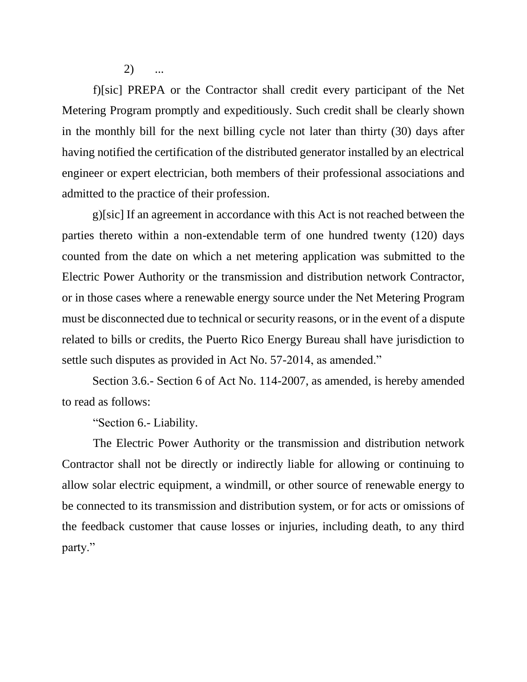$(2)$ 

f)[sic] PREPA or the Contractor shall credit every participant of the Net Metering Program promptly and expeditiously. Such credit shall be clearly shown in the monthly bill for the next billing cycle not later than thirty (30) days after having notified the certification of the distributed generator installed by an electrical engineer or expert electrician, both members of their professional associations and admitted to the practice of their profession.

g)[sic] If an agreement in accordance with this Act is not reached between the parties thereto within a non-extendable term of one hundred twenty (120) days counted from the date on which a net metering application was submitted to the Electric Power Authority or the transmission and distribution network Contractor, or in those cases where a renewable energy source under the Net Metering Program must be disconnected due to technical or security reasons, or in the event of a dispute related to bills or credits, the Puerto Rico Energy Bureau shall have jurisdiction to settle such disputes as provided in Act No. 57-2014, as amended."

Section 3.6.- Section 6 of Act No. 114-2007, as amended, is hereby amended to read as follows:

"Section 6.- Liability.

The Electric Power Authority or the transmission and distribution network Contractor shall not be directly or indirectly liable for allowing or continuing to allow solar electric equipment, a windmill, or other source of renewable energy to be connected to its transmission and distribution system, or for acts or omissions of the feedback customer that cause losses or injuries, including death, to any third party."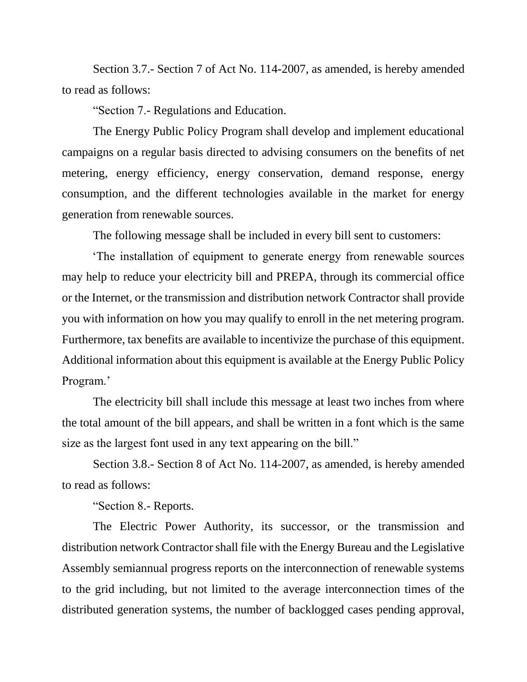Section 3.7.- Section 7 of Act No. 114-2007, as amended, is hereby amended to read as follows:

"Section 7.- Regulations and Education.

The Energy Public Policy Program shall develop and implement educational campaigns on a regular basis directed to advising consumers on the benefits of net metering, energy efficiency, energy conservation, demand response, energy consumption, and the different technologies available in the market for energy generation from renewable sources.

The following message shall be included in every bill sent to customers:

'The installation of equipment to generate energy from renewable sources may help to reduce your electricity bill and PREPA, through its commercial office or the Internet, or the transmission and distribution network Contractor shall provide you with information on how you may qualify to enroll in the net metering program. Furthermore, tax benefits are available to incentivize the purchase of this equipment. Additional information about this equipment is available at the Energy Public Policy Program.'

The electricity bill shall include this message at least two inches from where the total amount of the bill appears, and shall be written in a font which is the same size as the largest font used in any text appearing on the bill."

Section 3.8.- Section 8 of Act No. 114-2007, as amended, is hereby amended to read as follows:

"Section 8.- Reports.

The Electric Power Authority, its successor, or the transmission and distribution network Contractor shall file with the Energy Bureau and the Legislative Assembly semiannual progress reports on the interconnection of renewable systems to the grid including, but not limited to the average interconnection times of the distributed generation systems, the number of backlogged cases pending approval,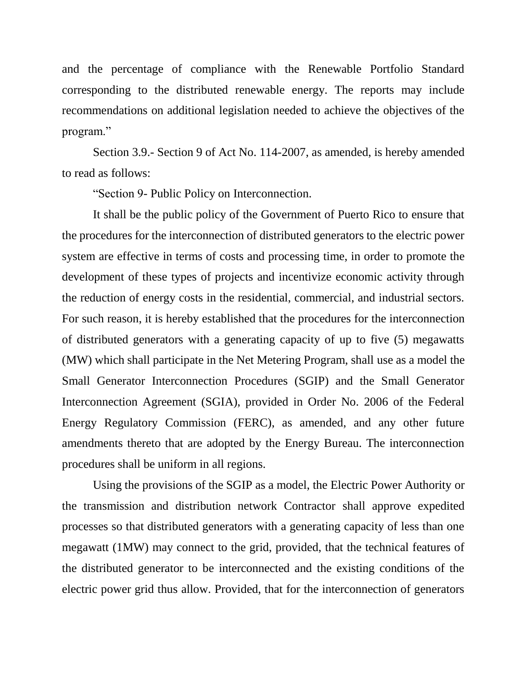and the percentage of compliance with the Renewable Portfolio Standard corresponding to the distributed renewable energy. The reports may include recommendations on additional legislation needed to achieve the objectives of the program."

Section 3.9.- Section 9 of Act No. 114-2007, as amended, is hereby amended to read as follows:

"Section 9- Public Policy on Interconnection.

It shall be the public policy of the Government of Puerto Rico to ensure that the procedures for the interconnection of distributed generators to the electric power system are effective in terms of costs and processing time, in order to promote the development of these types of projects and incentivize economic activity through the reduction of energy costs in the residential, commercial, and industrial sectors. For such reason, it is hereby established that the procedures for the interconnection of distributed generators with a generating capacity of up to five (5) megawatts (MW) which shall participate in the Net Metering Program, shall use as a model the Small Generator Interconnection Procedures (SGIP) and the Small Generator Interconnection Agreement (SGIA), provided in Order No. 2006 of the Federal Energy Regulatory Commission (FERC), as amended, and any other future amendments thereto that are adopted by the Energy Bureau. The interconnection procedures shall be uniform in all regions.

Using the provisions of the SGIP as a model, the Electric Power Authority or the transmission and distribution network Contractor shall approve expedited processes so that distributed generators with a generating capacity of less than one megawatt (1MW) may connect to the grid, provided, that the technical features of the distributed generator to be interconnected and the existing conditions of the electric power grid thus allow. Provided, that for the interconnection of generators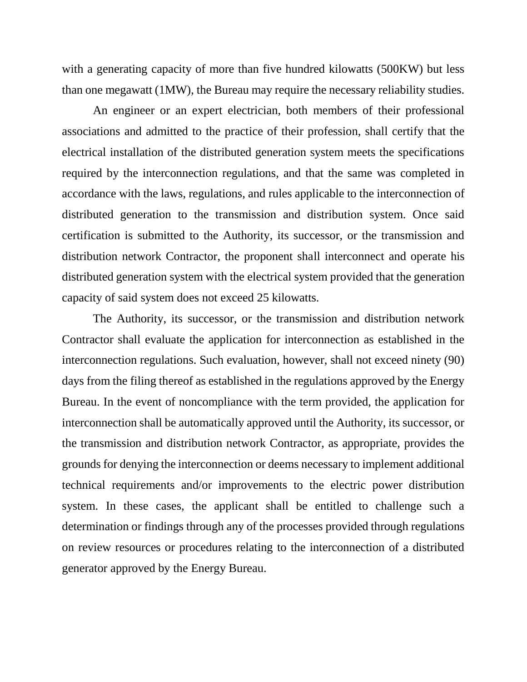with a generating capacity of more than five hundred kilowatts (500KW) but less than one megawatt (1MW), the Bureau may require the necessary reliability studies.

An engineer or an expert electrician, both members of their professional associations and admitted to the practice of their profession, shall certify that the electrical installation of the distributed generation system meets the specifications required by the interconnection regulations, and that the same was completed in accordance with the laws, regulations, and rules applicable to the interconnection of distributed generation to the transmission and distribution system. Once said certification is submitted to the Authority, its successor, or the transmission and distribution network Contractor, the proponent shall interconnect and operate his distributed generation system with the electrical system provided that the generation capacity of said system does not exceed 25 kilowatts.

The Authority, its successor, or the transmission and distribution network Contractor shall evaluate the application for interconnection as established in the interconnection regulations. Such evaluation, however, shall not exceed ninety (90) days from the filing thereof as established in the regulations approved by the Energy Bureau. In the event of noncompliance with the term provided, the application for interconnection shall be automatically approved until the Authority, its successor, or the transmission and distribution network Contractor, as appropriate, provides the grounds for denying the interconnection or deems necessary to implement additional technical requirements and/or improvements to the electric power distribution system. In these cases, the applicant shall be entitled to challenge such a determination or findings through any of the processes provided through regulations on review resources or procedures relating to the interconnection of a distributed generator approved by the Energy Bureau.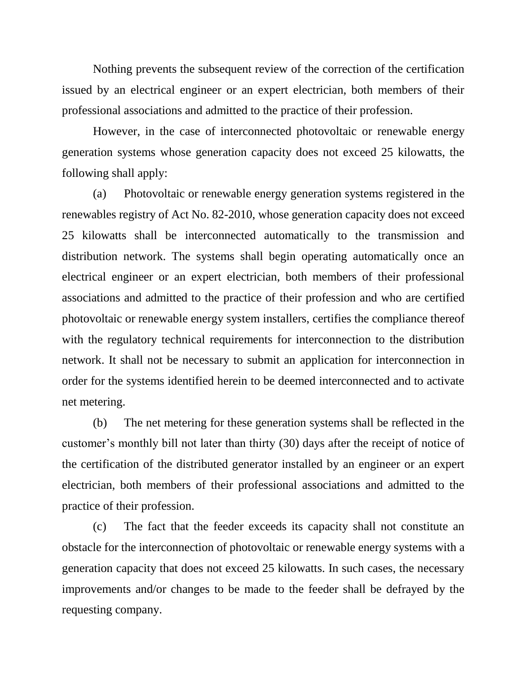Nothing prevents the subsequent review of the correction of the certification issued by an electrical engineer or an expert electrician, both members of their professional associations and admitted to the practice of their profession.

However, in the case of interconnected photovoltaic or renewable energy generation systems whose generation capacity does not exceed 25 kilowatts, the following shall apply:

(a) Photovoltaic or renewable energy generation systems registered in the renewables registry of Act No. 82-2010, whose generation capacity does not exceed 25 kilowatts shall be interconnected automatically to the transmission and distribution network. The systems shall begin operating automatically once an electrical engineer or an expert electrician, both members of their professional associations and admitted to the practice of their profession and who are certified photovoltaic or renewable energy system installers, certifies the compliance thereof with the regulatory technical requirements for interconnection to the distribution network. It shall not be necessary to submit an application for interconnection in order for the systems identified herein to be deemed interconnected and to activate net metering.

(b) The net metering for these generation systems shall be reflected in the customer's monthly bill not later than thirty (30) days after the receipt of notice of the certification of the distributed generator installed by an engineer or an expert electrician, both members of their professional associations and admitted to the practice of their profession.

(c) The fact that the feeder exceeds its capacity shall not constitute an obstacle for the interconnection of photovoltaic or renewable energy systems with a generation capacity that does not exceed 25 kilowatts. In such cases, the necessary improvements and/or changes to be made to the feeder shall be defrayed by the requesting company.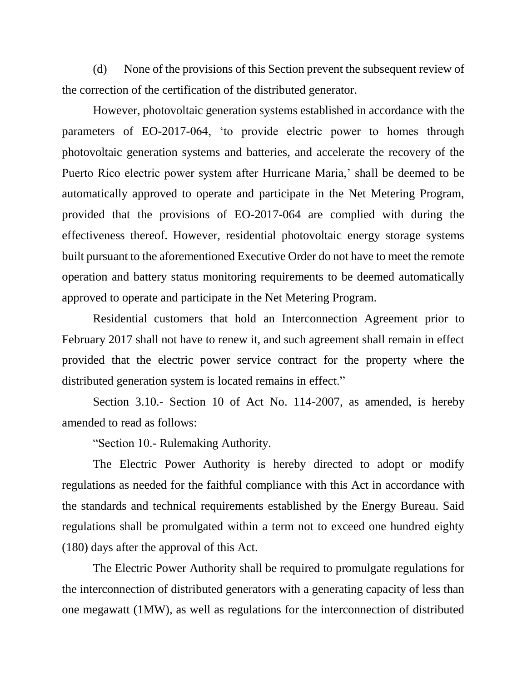(d) None of the provisions of this Section prevent the subsequent review of the correction of the certification of the distributed generator.

However, photovoltaic generation systems established in accordance with the parameters of EO-2017-064, 'to provide electric power to homes through photovoltaic generation systems and batteries, and accelerate the recovery of the Puerto Rico electric power system after Hurricane Maria,' shall be deemed to be automatically approved to operate and participate in the Net Metering Program, provided that the provisions of EO-2017-064 are complied with during the effectiveness thereof. However, residential photovoltaic energy storage systems built pursuant to the aforementioned Executive Order do not have to meet the remote operation and battery status monitoring requirements to be deemed automatically approved to operate and participate in the Net Metering Program.

Residential customers that hold an Interconnection Agreement prior to February 2017 shall not have to renew it, and such agreement shall remain in effect provided that the electric power service contract for the property where the distributed generation system is located remains in effect."

Section 3.10.- Section 10 of Act No. 114-2007, as amended, is hereby amended to read as follows:

"Section 10.- Rulemaking Authority.

The Electric Power Authority is hereby directed to adopt or modify regulations as needed for the faithful compliance with this Act in accordance with the standards and technical requirements established by the Energy Bureau. Said regulations shall be promulgated within a term not to exceed one hundred eighty (180) days after the approval of this Act.

The Electric Power Authority shall be required to promulgate regulations for the interconnection of distributed generators with a generating capacity of less than one megawatt (1MW), as well as regulations for the interconnection of distributed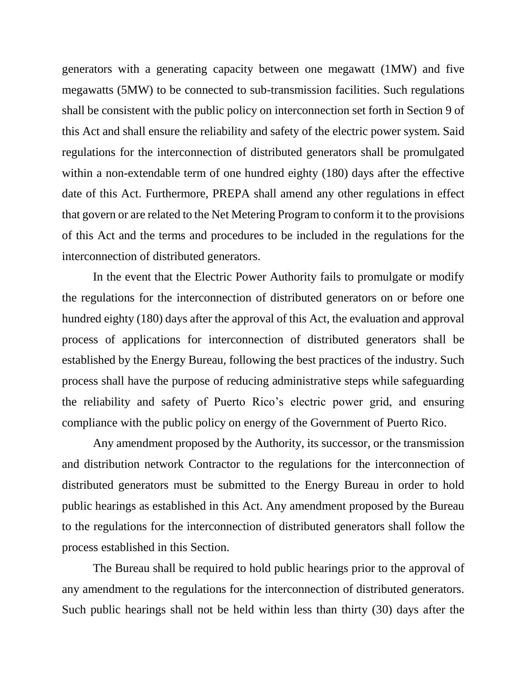generators with a generating capacity between one megawatt (1MW) and five megawatts (5MW) to be connected to sub-transmission facilities. Such regulations shall be consistent with the public policy on interconnection set forth in Section 9 of this Act and shall ensure the reliability and safety of the electric power system. Said regulations for the interconnection of distributed generators shall be promulgated within a non-extendable term of one hundred eighty (180) days after the effective date of this Act. Furthermore, PREPA shall amend any other regulations in effect that govern or are related to the Net Metering Program to conform it to the provisions of this Act and the terms and procedures to be included in the regulations for the interconnection of distributed generators.

In the event that the Electric Power Authority fails to promulgate or modify the regulations for the interconnection of distributed generators on or before one hundred eighty (180) days after the approval of this Act, the evaluation and approval process of applications for interconnection of distributed generators shall be established by the Energy Bureau, following the best practices of the industry. Such process shall have the purpose of reducing administrative steps while safeguarding the reliability and safety of Puerto Rico's electric power grid, and ensuring compliance with the public policy on energy of the Government of Puerto Rico.

Any amendment proposed by the Authority, its successor, or the transmission and distribution network Contractor to the regulations for the interconnection of distributed generators must be submitted to the Energy Bureau in order to hold public hearings as established in this Act. Any amendment proposed by the Bureau to the regulations for the interconnection of distributed generators shall follow the process established in this Section.

The Bureau shall be required to hold public hearings prior to the approval of any amendment to the regulations for the interconnection of distributed generators. Such public hearings shall not be held within less than thirty (30) days after the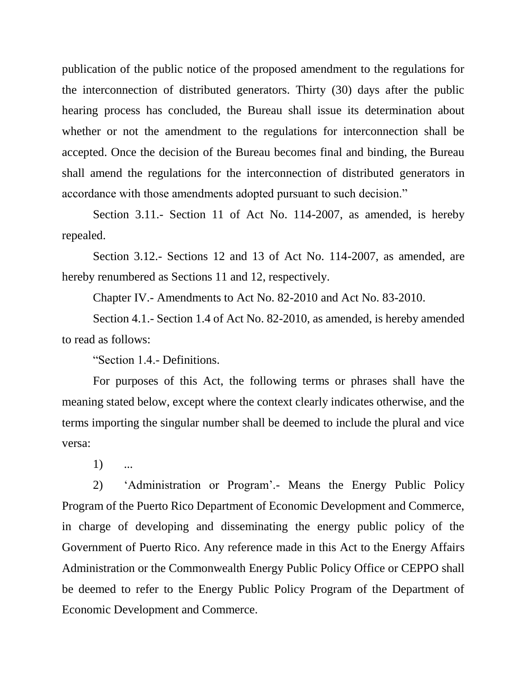publication of the public notice of the proposed amendment to the regulations for the interconnection of distributed generators. Thirty (30) days after the public hearing process has concluded, the Bureau shall issue its determination about whether or not the amendment to the regulations for interconnection shall be accepted. Once the decision of the Bureau becomes final and binding, the Bureau shall amend the regulations for the interconnection of distributed generators in accordance with those amendments adopted pursuant to such decision."

Section 3.11.- Section 11 of Act No. 114-2007, as amended, is hereby repealed.

Section 3.12.- Sections 12 and 13 of Act No. 114-2007, as amended, are hereby renumbered as Sections 11 and 12, respectively.

Chapter IV.- Amendments to Act No. 82-2010 and Act No. 83-2010.

Section 4.1.- Section 1.4 of Act No. 82-2010, as amended, is hereby amended to read as follows:

"Section 1.4.- Definitions.

For purposes of this Act, the following terms or phrases shall have the meaning stated below, except where the context clearly indicates otherwise, and the terms importing the singular number shall be deemed to include the plural and vice versa:

1) ...

2) 'Administration or Program'.- Means the Energy Public Policy Program of the Puerto Rico Department of Economic Development and Commerce, in charge of developing and disseminating the energy public policy of the Government of Puerto Rico. Any reference made in this Act to the Energy Affairs Administration or the Commonwealth Energy Public Policy Office or CEPPO shall be deemed to refer to the Energy Public Policy Program of the Department of Economic Development and Commerce.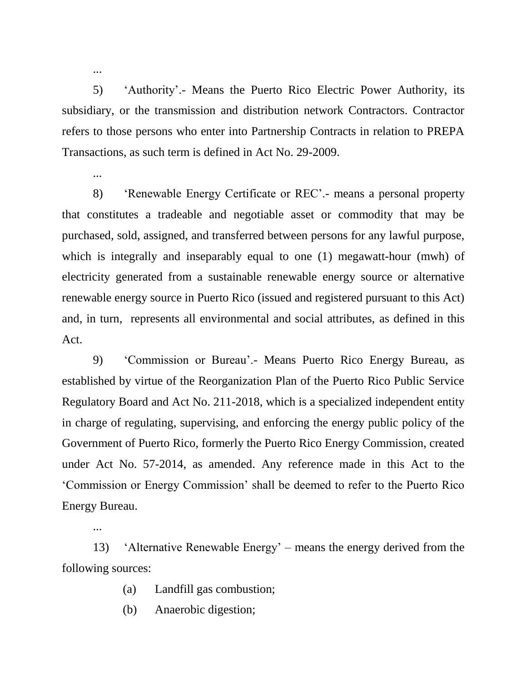5) 'Authority'.- Means the Puerto Rico Electric Power Authority, its subsidiary, or the transmission and distribution network Contractors. Contractor refers to those persons who enter into Partnership Contracts in relation to PREPA Transactions, as such term is defined in Act No. 29-2009.

...

...

...

8) 'Renewable Energy Certificate or REC'.- means a personal property that constitutes a tradeable and negotiable asset or commodity that may be purchased, sold, assigned, and transferred between persons for any lawful purpose, which is integrally and inseparably equal to one (1) megawatt-hour (mwh) of electricity generated from a sustainable renewable energy source or alternative renewable energy source in Puerto Rico (issued and registered pursuant to this Act) and, in turn, represents all environmental and social attributes, as defined in this Act.

9) 'Commission or Bureau'.- Means Puerto Rico Energy Bureau, as established by virtue of the Reorganization Plan of the Puerto Rico Public Service Regulatory Board and Act No. 211-2018, which is a specialized independent entity in charge of regulating, supervising, and enforcing the energy public policy of the Government of Puerto Rico, formerly the Puerto Rico Energy Commission, created under Act No. 57-2014, as amended. Any reference made in this Act to the 'Commission or Energy Commission' shall be deemed to refer to the Puerto Rico Energy Bureau.

13) 'Alternative Renewable Energy' – means the energy derived from the following sources:

- (a) Landfill gas combustion;
- (b) Anaerobic digestion;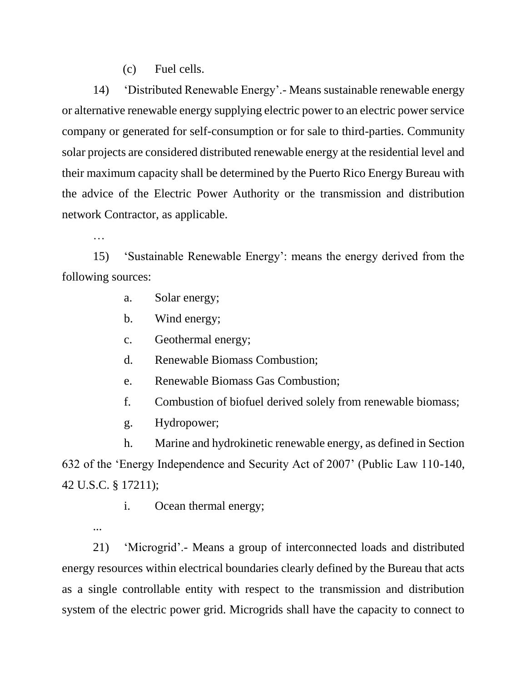(c) Fuel cells.

14) 'Distributed Renewable Energy'.- Means sustainable renewable energy or alternative renewable energy supplying electric power to an electric power service company or generated for self-consumption or for sale to third-parties. Community solar projects are considered distributed renewable energy at the residential level and their maximum capacity shall be determined by the Puerto Rico Energy Bureau with the advice of the Electric Power Authority or the transmission and distribution network Contractor, as applicable.

…

...

15) 'Sustainable Renewable Energy': means the energy derived from the following sources:

a. Solar energy;

b. Wind energy;

c. Geothermal energy;

d. Renewable Biomass Combustion;

e. Renewable Biomass Gas Combustion;

f. Combustion of biofuel derived solely from renewable biomass;

g. Hydropower;

h. Marine and hydrokinetic renewable energy, as defined in Section 632 of the 'Energy Independence and Security Act of 2007' (Public Law 110-140, 42 U.S.C. § 17211);

i. Ocean thermal energy;

21) 'Microgrid'.- Means a group of interconnected loads and distributed energy resources within electrical boundaries clearly defined by the Bureau that acts as a single controllable entity with respect to the transmission and distribution system of the electric power grid. Microgrids shall have the capacity to connect to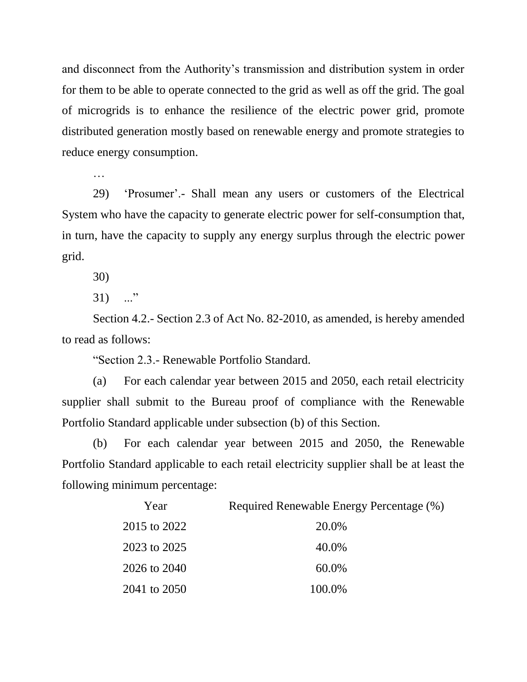and disconnect from the Authority's transmission and distribution system in order for them to be able to operate connected to the grid as well as off the grid. The goal of microgrids is to enhance the resilience of the electric power grid, promote distributed generation mostly based on renewable energy and promote strategies to reduce energy consumption.

…

29) 'Prosumer'.- Shall mean any users or customers of the Electrical System who have the capacity to generate electric power for self-consumption that, in turn, have the capacity to supply any energy surplus through the electric power grid.

30)

 $31)$  ..."

Section 4.2.- Section 2.3 of Act No. 82-2010, as amended, is hereby amended to read as follows:

"Section 2.3.- Renewable Portfolio Standard.

(a) For each calendar year between 2015 and 2050, each retail electricity supplier shall submit to the Bureau proof of compliance with the Renewable Portfolio Standard applicable under subsection (b) of this Section.

(b) For each calendar year between 2015 and 2050, the Renewable Portfolio Standard applicable to each retail electricity supplier shall be at least the following minimum percentage:

| Year         | Required Renewable Energy Percentage (%) |
|--------------|------------------------------------------|
| 2015 to 2022 | 20.0%                                    |
| 2023 to 2025 | 40.0%                                    |
| 2026 to 2040 | 60.0%                                    |
| 2041 to 2050 | 100.0%                                   |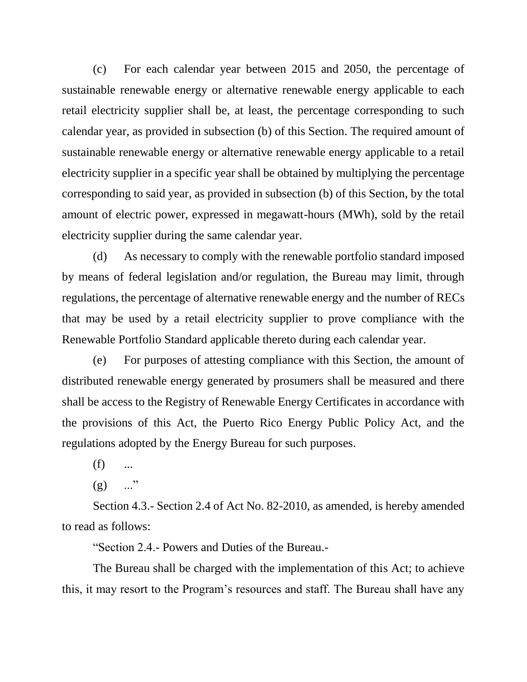(c) For each calendar year between 2015 and 2050, the percentage of sustainable renewable energy or alternative renewable energy applicable to each retail electricity supplier shall be, at least, the percentage corresponding to such calendar year, as provided in subsection (b) of this Section. The required amount of sustainable renewable energy or alternative renewable energy applicable to a retail electricity supplier in a specific year shall be obtained by multiplying the percentage corresponding to said year, as provided in subsection (b) of this Section, by the total amount of electric power, expressed in megawatt-hours (MWh), sold by the retail electricity supplier during the same calendar year.

(d) As necessary to comply with the renewable portfolio standard imposed by means of federal legislation and/or regulation, the Bureau may limit, through regulations, the percentage of alternative renewable energy and the number of RECs that may be used by a retail electricity supplier to prove compliance with the Renewable Portfolio Standard applicable thereto during each calendar year.

(e) For purposes of attesting compliance with this Section, the amount of distributed renewable energy generated by prosumers shall be measured and there shall be access to the Registry of Renewable Energy Certificates in accordance with the provisions of this Act, the Puerto Rico Energy Public Policy Act, and the regulations adopted by the Energy Bureau for such purposes.

 $(f)$  ...

 $(g)$  ..."

Section 4.3.- Section 2.4 of Act No. 82-2010, as amended, is hereby amended to read as follows:

"Section 2.4.- Powers and Duties of the Bureau.-

The Bureau shall be charged with the implementation of this Act; to achieve this, it may resort to the Program's resources and staff. The Bureau shall have any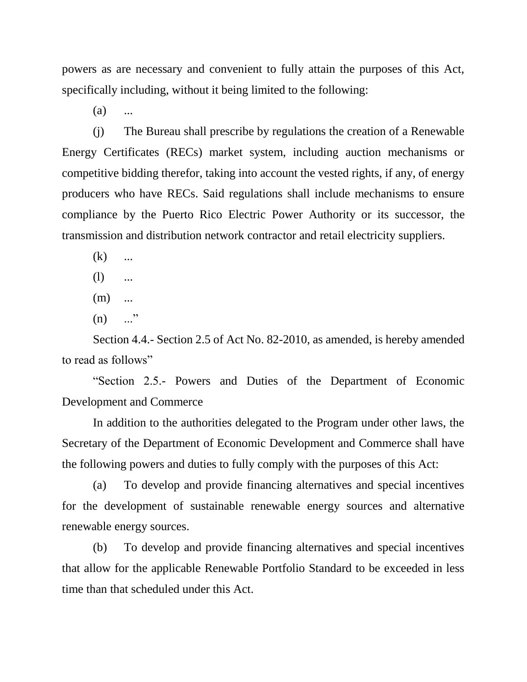powers as are necessary and convenient to fully attain the purposes of this Act, specifically including, without it being limited to the following:

 $(a)$  ...

(j) The Bureau shall prescribe by regulations the creation of a Renewable Energy Certificates (RECs) market system, including auction mechanisms or competitive bidding therefor, taking into account the vested rights, if any, of energy producers who have RECs. Said regulations shall include mechanisms to ensure compliance by the Puerto Rico Electric Power Authority or its successor, the transmission and distribution network contractor and retail electricity suppliers.

- $(k)$  ...
- $(l)$  ...
- $(m)$  ...
- $(n)$  ..."

Section 4.4.- Section 2.5 of Act No. 82-2010, as amended, is hereby amended to read as follows"

"Section 2.5.- Powers and Duties of the Department of Economic Development and Commerce

In addition to the authorities delegated to the Program under other laws, the Secretary of the Department of Economic Development and Commerce shall have the following powers and duties to fully comply with the purposes of this Act:

(a) To develop and provide financing alternatives and special incentives for the development of sustainable renewable energy sources and alternative renewable energy sources.

(b) To develop and provide financing alternatives and special incentives that allow for the applicable Renewable Portfolio Standard to be exceeded in less time than that scheduled under this Act.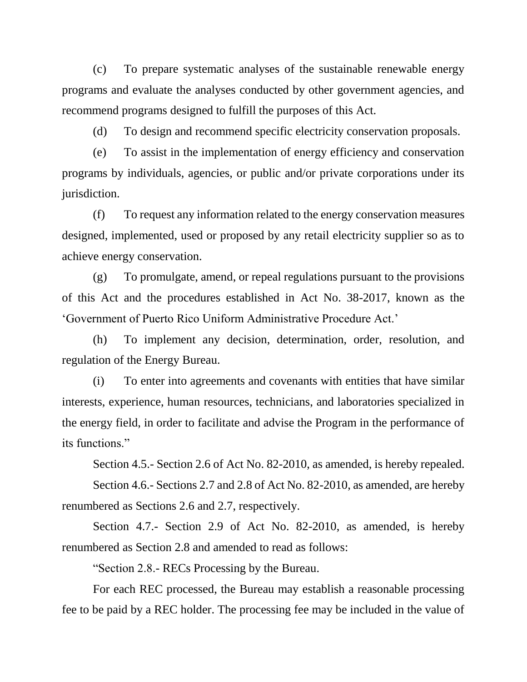(c) To prepare systematic analyses of the sustainable renewable energy programs and evaluate the analyses conducted by other government agencies, and recommend programs designed to fulfill the purposes of this Act.

(d) To design and recommend specific electricity conservation proposals.

(e) To assist in the implementation of energy efficiency and conservation programs by individuals, agencies, or public and/or private corporations under its jurisdiction.

(f) To request any information related to the energy conservation measures designed, implemented, used or proposed by any retail electricity supplier so as to achieve energy conservation.

(g) To promulgate, amend, or repeal regulations pursuant to the provisions of this Act and the procedures established in Act No. 38-2017, known as the 'Government of Puerto Rico Uniform Administrative Procedure Act.'

(h) To implement any decision, determination, order, resolution, and regulation of the Energy Bureau.

(i) To enter into agreements and covenants with entities that have similar interests, experience, human resources, technicians, and laboratories specialized in the energy field, in order to facilitate and advise the Program in the performance of its functions."

Section 4.5.- Section 2.6 of Act No. 82-2010, as amended, is hereby repealed.

Section 4.6.- Sections 2.7 and 2.8 of Act No. 82-2010, as amended, are hereby renumbered as Sections 2.6 and 2.7, respectively.

Section 4.7.- Section 2.9 of Act No. 82-2010, as amended, is hereby renumbered as Section 2.8 and amended to read as follows:

"Section 2.8.- RECs Processing by the Bureau.

For each REC processed, the Bureau may establish a reasonable processing fee to be paid by a REC holder. The processing fee may be included in the value of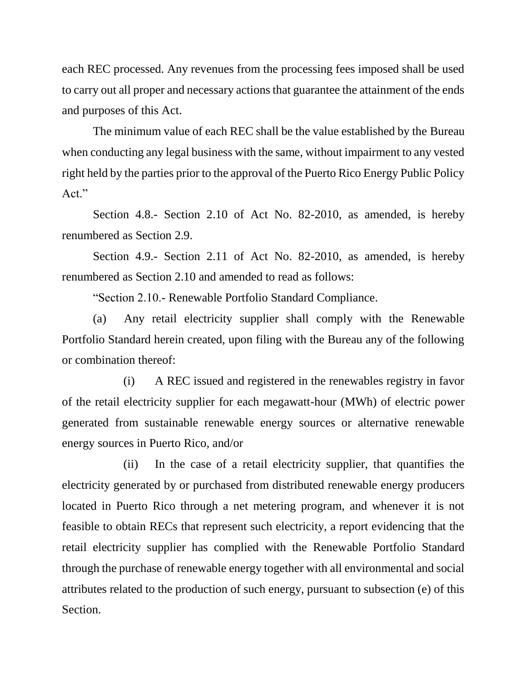each REC processed. Any revenues from the processing fees imposed shall be used to carry out all proper and necessary actions that guarantee the attainment of the ends and purposes of this Act.

The minimum value of each REC shall be the value established by the Bureau when conducting any legal business with the same, without impairment to any vested right held by the parties prior to the approval of the Puerto Rico Energy Public Policy Act."

Section 4.8.- Section 2.10 of Act No. 82-2010, as amended, is hereby renumbered as Section 2.9.

Section 4.9.- Section 2.11 of Act No. 82-2010, as amended, is hereby renumbered as Section 2.10 and amended to read as follows:

"Section 2.10.- Renewable Portfolio Standard Compliance.

(a) Any retail electricity supplier shall comply with the Renewable Portfolio Standard herein created, upon filing with the Bureau any of the following or combination thereof:

(i) A REC issued and registered in the renewables registry in favor of the retail electricity supplier for each megawatt-hour (MWh) of electric power generated from sustainable renewable energy sources or alternative renewable energy sources in Puerto Rico, and/or

(ii) In the case of a retail electricity supplier, that quantifies the electricity generated by or purchased from distributed renewable energy producers located in Puerto Rico through a net metering program, and whenever it is not feasible to obtain RECs that represent such electricity, a report evidencing that the retail electricity supplier has complied with the Renewable Portfolio Standard through the purchase of renewable energy together with all environmental and social attributes related to the production of such energy, pursuant to subsection (e) of this Section.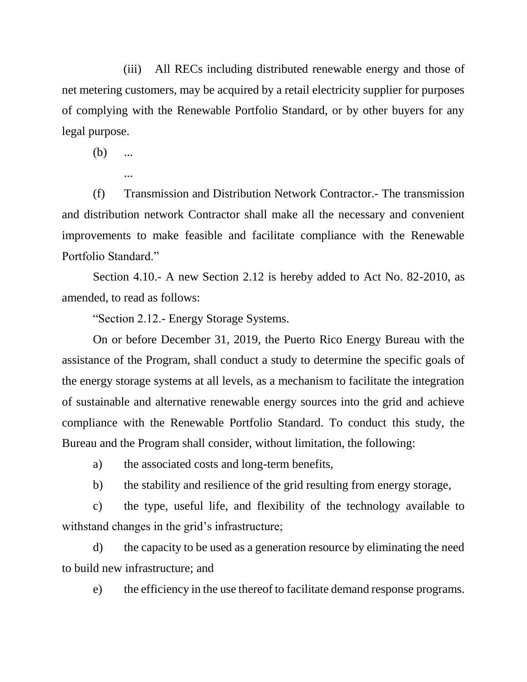(iii) All RECs including distributed renewable energy and those of net metering customers, may be acquired by a retail electricity supplier for purposes of complying with the Renewable Portfolio Standard, or by other buyers for any legal purpose.

(b) ...

```
...
```
(f) Transmission and Distribution Network Contractor.- The transmission and distribution network Contractor shall make all the necessary and convenient improvements to make feasible and facilitate compliance with the Renewable Portfolio Standard."

Section 4.10.- A new Section 2.12 is hereby added to Act No. 82-2010, as amended, to read as follows:

"Section 2.12.- Energy Storage Systems.

On or before December 31, 2019, the Puerto Rico Energy Bureau with the assistance of the Program, shall conduct a study to determine the specific goals of the energy storage systems at all levels, as a mechanism to facilitate the integration of sustainable and alternative renewable energy sources into the grid and achieve compliance with the Renewable Portfolio Standard. To conduct this study, the Bureau and the Program shall consider, without limitation, the following:

a) the associated costs and long-term benefits,

b) the stability and resilience of the grid resulting from energy storage,

c) the type, useful life, and flexibility of the technology available to withstand changes in the grid's infrastructure;

d) the capacity to be used as a generation resource by eliminating the need to build new infrastructure; and

e) the efficiency in the use thereof to facilitate demand response programs.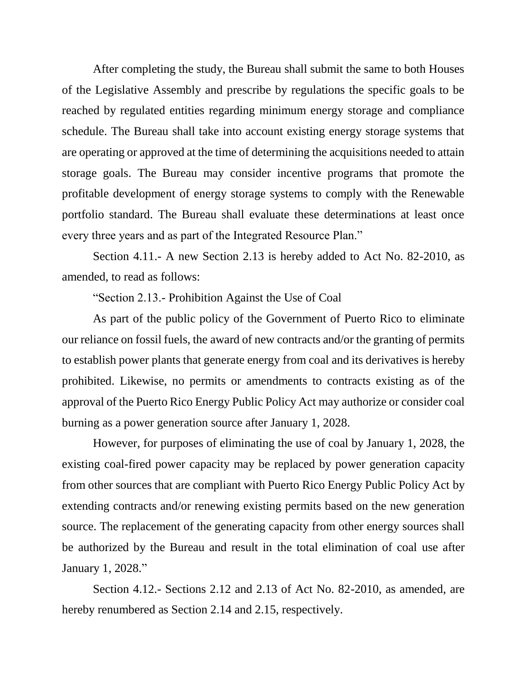After completing the study, the Bureau shall submit the same to both Houses of the Legislative Assembly and prescribe by regulations the specific goals to be reached by regulated entities regarding minimum energy storage and compliance schedule. The Bureau shall take into account existing energy storage systems that are operating or approved at the time of determining the acquisitions needed to attain storage goals. The Bureau may consider incentive programs that promote the profitable development of energy storage systems to comply with the Renewable portfolio standard. The Bureau shall evaluate these determinations at least once every three years and as part of the Integrated Resource Plan."

Section 4.11.- A new Section 2.13 is hereby added to Act No. 82-2010, as amended, to read as follows:

"Section 2.13.- Prohibition Against the Use of Coal

As part of the public policy of the Government of Puerto Rico to eliminate our reliance on fossil fuels, the award of new contracts and/or the granting of permits to establish power plants that generate energy from coal and its derivatives is hereby prohibited. Likewise, no permits or amendments to contracts existing as of the approval of the Puerto Rico Energy Public Policy Act may authorize or consider coal burning as a power generation source after January 1, 2028.

However, for purposes of eliminating the use of coal by January 1, 2028, the existing coal-fired power capacity may be replaced by power generation capacity from other sources that are compliant with Puerto Rico Energy Public Policy Act by extending contracts and/or renewing existing permits based on the new generation source. The replacement of the generating capacity from other energy sources shall be authorized by the Bureau and result in the total elimination of coal use after January 1, 2028."

Section 4.12.- Sections 2.12 and 2.13 of Act No. 82-2010, as amended, are hereby renumbered as Section 2.14 and 2.15, respectively.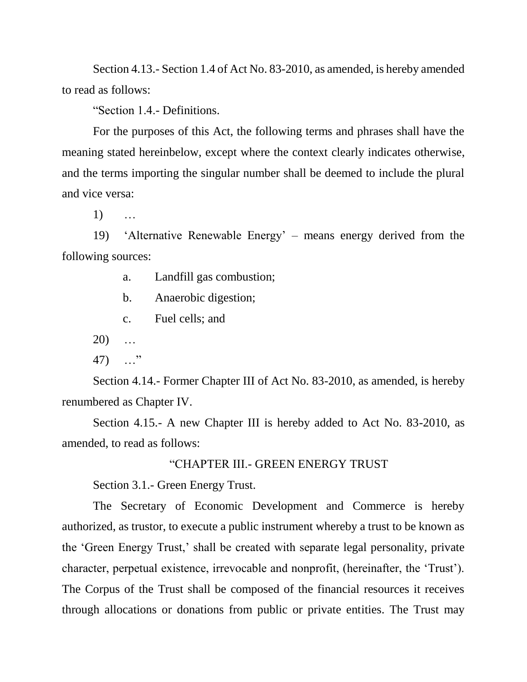Section 4.13.- Section 1.4 of Act No. 83-2010, as amended, is hereby amended to read as follows:

"Section 1.4.- Definitions.

For the purposes of this Act, the following terms and phrases shall have the meaning stated hereinbelow, except where the context clearly indicates otherwise, and the terms importing the singular number shall be deemed to include the plural and vice versa:

1) …

19) 'Alternative Renewable Energy' – means energy derived from the following sources:

a. Landfill gas combustion;

b. Anaerobic digestion;

c. Fuel cells; and

20) …

47) …"

Section 4.14.- Former Chapter III of Act No. 83-2010, as amended, is hereby renumbered as Chapter IV.

Section 4.15.- A new Chapter III is hereby added to Act No. 83-2010, as amended, to read as follows:

## "CHAPTER III.- GREEN ENERGY TRUST

Section 3.1.- Green Energy Trust.

The Secretary of Economic Development and Commerce is hereby authorized, as trustor, to execute a public instrument whereby a trust to be known as the 'Green Energy Trust,' shall be created with separate legal personality, private character, perpetual existence, irrevocable and nonprofit, (hereinafter, the 'Trust'). The Corpus of the Trust shall be composed of the financial resources it receives through allocations or donations from public or private entities. The Trust may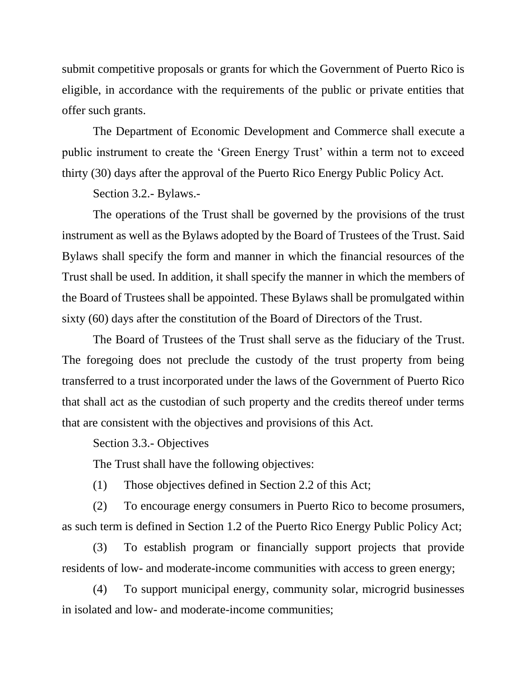submit competitive proposals or grants for which the Government of Puerto Rico is eligible, in accordance with the requirements of the public or private entities that offer such grants.

The Department of Economic Development and Commerce shall execute a public instrument to create the 'Green Energy Trust' within a term not to exceed thirty (30) days after the approval of the Puerto Rico Energy Public Policy Act.

Section 3.2.- Bylaws.-

The operations of the Trust shall be governed by the provisions of the trust instrument as well as the Bylaws adopted by the Board of Trustees of the Trust. Said Bylaws shall specify the form and manner in which the financial resources of the Trust shall be used. In addition, it shall specify the manner in which the members of the Board of Trustees shall be appointed. These Bylaws shall be promulgated within sixty (60) days after the constitution of the Board of Directors of the Trust.

The Board of Trustees of the Trust shall serve as the fiduciary of the Trust. The foregoing does not preclude the custody of the trust property from being transferred to a trust incorporated under the laws of the Government of Puerto Rico that shall act as the custodian of such property and the credits thereof under terms that are consistent with the objectives and provisions of this Act.

Section 3.3.- Objectives

The Trust shall have the following objectives:

(1) Those objectives defined in Section 2.2 of this Act;

(2) To encourage energy consumers in Puerto Rico to become prosumers, as such term is defined in Section 1.2 of the Puerto Rico Energy Public Policy Act;

(3) To establish program or financially support projects that provide residents of low- and moderate-income communities with access to green energy;

(4) To support municipal energy, community solar, microgrid businesses in isolated and low- and moderate-income communities;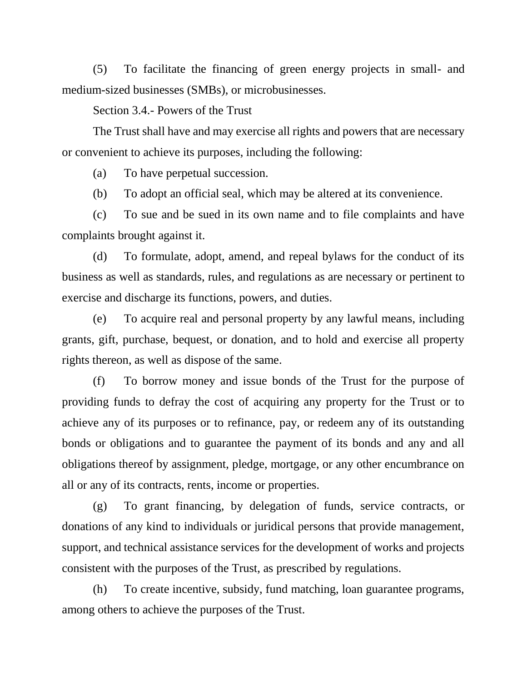(5) To facilitate the financing of green energy projects in small- and medium-sized businesses (SMBs), or microbusinesses.

## Section 3.4.- Powers of the Trust

The Trust shall have and may exercise all rights and powers that are necessary or convenient to achieve its purposes, including the following:

(a) To have perpetual succession.

(b) To adopt an official seal, which may be altered at its convenience.

(c) To sue and be sued in its own name and to file complaints and have complaints brought against it.

(d) To formulate, adopt, amend, and repeal bylaws for the conduct of its business as well as standards, rules, and regulations as are necessary or pertinent to exercise and discharge its functions, powers, and duties.

(e) To acquire real and personal property by any lawful means, including grants, gift, purchase, bequest, or donation, and to hold and exercise all property rights thereon, as well as dispose of the same.

(f) To borrow money and issue bonds of the Trust for the purpose of providing funds to defray the cost of acquiring any property for the Trust or to achieve any of its purposes or to refinance, pay, or redeem any of its outstanding bonds or obligations and to guarantee the payment of its bonds and any and all obligations thereof by assignment, pledge, mortgage, or any other encumbrance on all or any of its contracts, rents, income or properties.

(g) To grant financing, by delegation of funds, service contracts, or donations of any kind to individuals or juridical persons that provide management, support, and technical assistance services for the development of works and projects consistent with the purposes of the Trust, as prescribed by regulations.

(h) To create incentive, subsidy, fund matching, loan guarantee programs, among others to achieve the purposes of the Trust.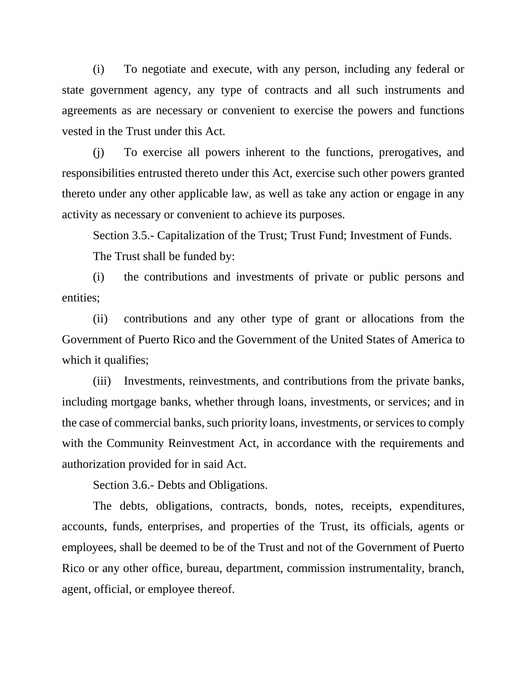(i) To negotiate and execute, with any person, including any federal or state government agency, any type of contracts and all such instruments and agreements as are necessary or convenient to exercise the powers and functions vested in the Trust under this Act.

(j) To exercise all powers inherent to the functions, prerogatives, and responsibilities entrusted thereto under this Act, exercise such other powers granted thereto under any other applicable law, as well as take any action or engage in any activity as necessary or convenient to achieve its purposes.

Section 3.5.- Capitalization of the Trust; Trust Fund; Investment of Funds.

The Trust shall be funded by:

(i) the contributions and investments of private or public persons and entities;

(ii) contributions and any other type of grant or allocations from the Government of Puerto Rico and the Government of the United States of America to which it qualifies;

(iii) Investments, reinvestments, and contributions from the private banks, including mortgage banks, whether through loans, investments, or services; and in the case of commercial banks, such priority loans, investments, or services to comply with the Community Reinvestment Act, in accordance with the requirements and authorization provided for in said Act.

Section 3.6.- Debts and Obligations.

The debts, obligations, contracts, bonds, notes, receipts, expenditures, accounts, funds, enterprises, and properties of the Trust, its officials, agents or employees, shall be deemed to be of the Trust and not of the Government of Puerto Rico or any other office, bureau, department, commission instrumentality, branch, agent, official, or employee thereof.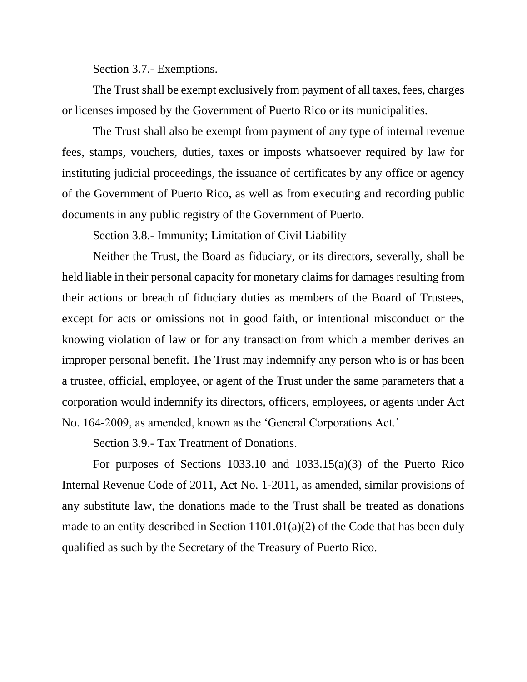Section 3.7.- Exemptions.

The Trust shall be exempt exclusively from payment of all taxes, fees, charges or licenses imposed by the Government of Puerto Rico or its municipalities.

The Trust shall also be exempt from payment of any type of internal revenue fees, stamps, vouchers, duties, taxes or imposts whatsoever required by law for instituting judicial proceedings, the issuance of certificates by any office or agency of the Government of Puerto Rico, as well as from executing and recording public documents in any public registry of the Government of Puerto.

Section 3.8.- Immunity; Limitation of Civil Liability

Neither the Trust, the Board as fiduciary, or its directors, severally, shall be held liable in their personal capacity for monetary claims for damages resulting from their actions or breach of fiduciary duties as members of the Board of Trustees, except for acts or omissions not in good faith, or intentional misconduct or the knowing violation of law or for any transaction from which a member derives an improper personal benefit. The Trust may indemnify any person who is or has been a trustee, official, employee, or agent of the Trust under the same parameters that a corporation would indemnify its directors, officers, employees, or agents under Act No. 164-2009, as amended, known as the 'General Corporations Act.'

Section 3.9.- Tax Treatment of Donations.

For purposes of Sections 1033.10 and 1033.15(a)(3) of the Puerto Rico Internal Revenue Code of 2011, Act No. 1-2011, as amended, similar provisions of any substitute law, the donations made to the Trust shall be treated as donations made to an entity described in Section 1101.01(a)(2) of the Code that has been duly qualified as such by the Secretary of the Treasury of Puerto Rico.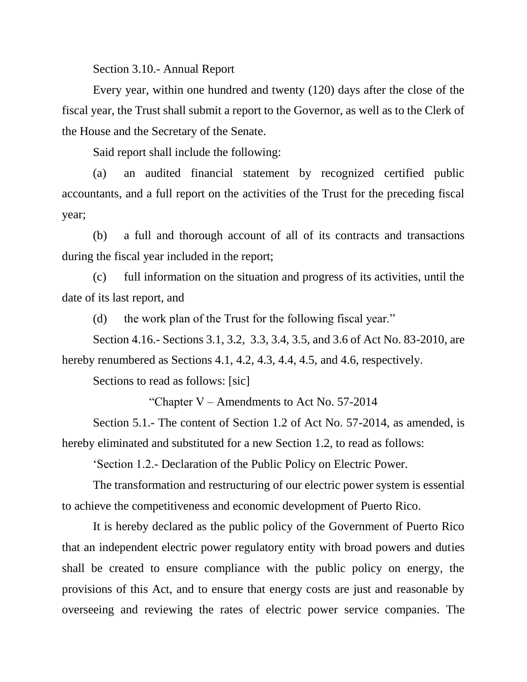Section 3.10.- Annual Report

Every year, within one hundred and twenty (120) days after the close of the fiscal year, the Trust shall submit a report to the Governor, as well as to the Clerk of the House and the Secretary of the Senate.

Said report shall include the following:

(a) an audited financial statement by recognized certified public accountants, and a full report on the activities of the Trust for the preceding fiscal year;

(b) a full and thorough account of all of its contracts and transactions during the fiscal year included in the report;

(c) full information on the situation and progress of its activities, until the date of its last report, and

(d) the work plan of the Trust for the following fiscal year."

Section 4.16.- Sections 3.1, 3.2, 3.3, 3.4, 3.5, and 3.6 of Act No. 83-2010, are hereby renumbered as Sections 4.1, 4.2, 4.3, 4.4, 4.5, and 4.6, respectively.

Sections to read as follows: [sic]

"Chapter V – Amendments to Act No. 57-2014

Section 5.1.- The content of Section 1.2 of Act No. 57-2014, as amended, is hereby eliminated and substituted for a new Section 1.2, to read as follows:

'Section 1.2.- Declaration of the Public Policy on Electric Power.

The transformation and restructuring of our electric power system is essential to achieve the competitiveness and economic development of Puerto Rico.

It is hereby declared as the public policy of the Government of Puerto Rico that an independent electric power regulatory entity with broad powers and duties shall be created to ensure compliance with the public policy on energy, the provisions of this Act, and to ensure that energy costs are just and reasonable by overseeing and reviewing the rates of electric power service companies. The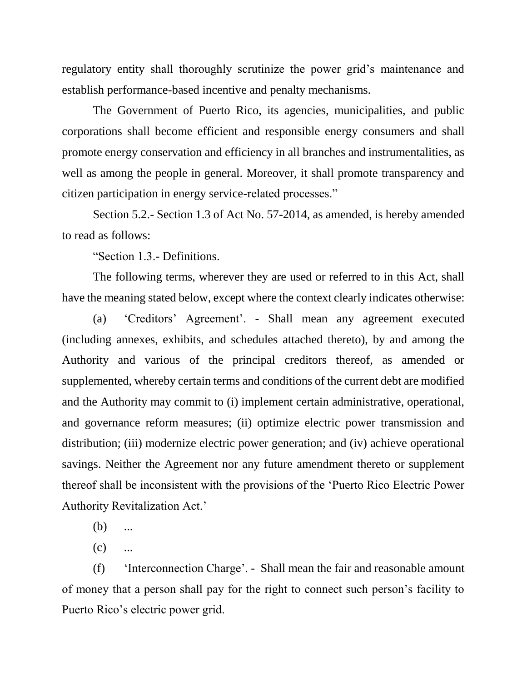regulatory entity shall thoroughly scrutinize the power grid's maintenance and establish performance-based incentive and penalty mechanisms.

The Government of Puerto Rico, its agencies, municipalities, and public corporations shall become efficient and responsible energy consumers and shall promote energy conservation and efficiency in all branches and instrumentalities, as well as among the people in general. Moreover, it shall promote transparency and citizen participation in energy service-related processes."

Section 5.2.- Section 1.3 of Act No. 57-2014, as amended, is hereby amended to read as follows:

"Section 1.3.- Definitions.

The following terms, wherever they are used or referred to in this Act, shall have the meaning stated below, except where the context clearly indicates otherwise:

(a) 'Creditors' Agreement'. - Shall mean any agreement executed (including annexes, exhibits, and schedules attached thereto), by and among the Authority and various of the principal creditors thereof, as amended or supplemented, whereby certain terms and conditions of the current debt are modified and the Authority may commit to (i) implement certain administrative, operational, and governance reform measures; (ii) optimize electric power transmission and distribution; (iii) modernize electric power generation; and (iv) achieve operational savings. Neither the Agreement nor any future amendment thereto or supplement thereof shall be inconsistent with the provisions of the 'Puerto Rico Electric Power Authority Revitalization Act.'

 $(b)$  ...

 $(c)$  ...

(f) 'Interconnection Charge'. - Shall mean the fair and reasonable amount of money that a person shall pay for the right to connect such person's facility to Puerto Rico's electric power grid.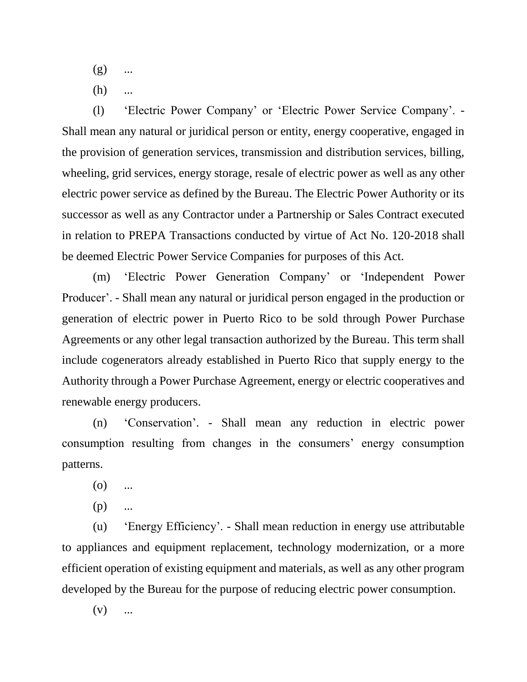- $(g)$  ...
- $(h)$  ...

(l) 'Electric Power Company' or 'Electric Power Service Company'. - Shall mean any natural or juridical person or entity, energy cooperative, engaged in the provision of generation services, transmission and distribution services, billing, wheeling, grid services, energy storage, resale of electric power as well as any other electric power service as defined by the Bureau. The Electric Power Authority or its successor as well as any Contractor under a Partnership or Sales Contract executed in relation to PREPA Transactions conducted by virtue of Act No. 120-2018 shall be deemed Electric Power Service Companies for purposes of this Act.

(m) 'Electric Power Generation Company' or 'Independent Power Producer'. - Shall mean any natural or juridical person engaged in the production or generation of electric power in Puerto Rico to be sold through Power Purchase Agreements or any other legal transaction authorized by the Bureau. This term shall include cogenerators already established in Puerto Rico that supply energy to the Authority through a Power Purchase Agreement, energy or electric cooperatives and renewable energy producers.

(n) 'Conservation'. - Shall mean any reduction in electric power consumption resulting from changes in the consumers' energy consumption patterns.

- $(0)$  ...
- $(p)$  ...

(u) 'Energy Efficiency'. - Shall mean reduction in energy use attributable to appliances and equipment replacement, technology modernization, or a more efficient operation of existing equipment and materials, as well as any other program developed by the Bureau for the purpose of reducing electric power consumption.

 $(v)$  ...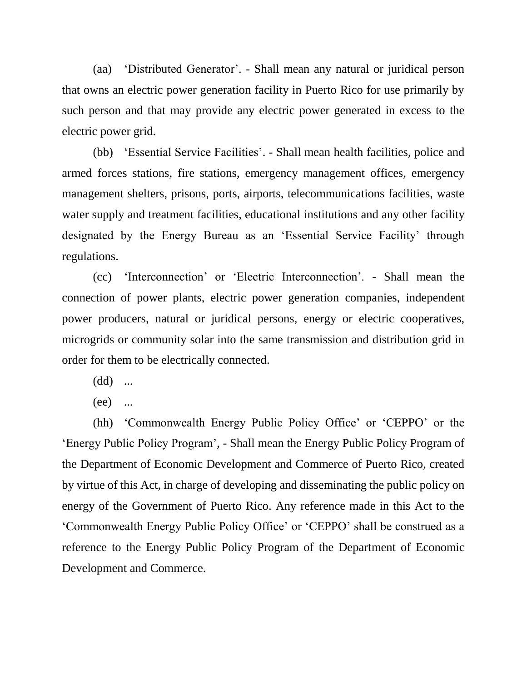(aa) 'Distributed Generator'. - Shall mean any natural or juridical person that owns an electric power generation facility in Puerto Rico for use primarily by such person and that may provide any electric power generated in excess to the electric power grid.

(bb) 'Essential Service Facilities'. - Shall mean health facilities, police and armed forces stations, fire stations, emergency management offices, emergency management shelters, prisons, ports, airports, telecommunications facilities, waste water supply and treatment facilities, educational institutions and any other facility designated by the Energy Bureau as an 'Essential Service Facility' through regulations.

(cc) 'Interconnection' or 'Electric Interconnection'. - Shall mean the connection of power plants, electric power generation companies, independent power producers, natural or juridical persons, energy or electric cooperatives, microgrids or community solar into the same transmission and distribution grid in order for them to be electrically connected.

- (dd) ...
- (ee) ...

(hh) 'Commonwealth Energy Public Policy Office' or 'CEPPO' or the 'Energy Public Policy Program', - Shall mean the Energy Public Policy Program of the Department of Economic Development and Commerce of Puerto Rico, created by virtue of this Act, in charge of developing and disseminating the public policy on energy of the Government of Puerto Rico. Any reference made in this Act to the 'Commonwealth Energy Public Policy Office' or 'CEPPO' shall be construed as a reference to the Energy Public Policy Program of the Department of Economic Development and Commerce.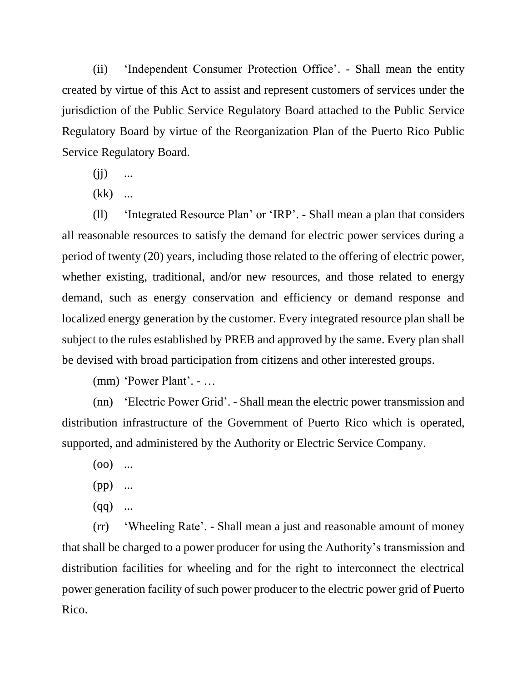(ii) 'Independent Consumer Protection Office'. - Shall mean the entity created by virtue of this Act to assist and represent customers of services under the jurisdiction of the Public Service Regulatory Board attached to the Public Service Regulatory Board by virtue of the Reorganization Plan of the Puerto Rico Public Service Regulatory Board.

- $(ii)$  ...
- (kk) ...

(ll) 'Integrated Resource Plan' or 'IRP'. - Shall mean a plan that considers all reasonable resources to satisfy the demand for electric power services during a period of twenty (20) years, including those related to the offering of electric power, whether existing, traditional, and/or new resources, and those related to energy demand, such as energy conservation and efficiency or demand response and localized energy generation by the customer. Every integrated resource plan shall be subject to the rules established by PREB and approved by the same. Every plan shall be devised with broad participation from citizens and other interested groups.

(mm) 'Power Plant'. - …

(nn) 'Electric Power Grid'. - Shall mean the electric power transmission and distribution infrastructure of the Government of Puerto Rico which is operated, supported, and administered by the Authority or Electric Service Company.

- $(00)$  ...
- (pp) ...
- $(qq)$  ...

(rr) 'Wheeling Rate'. - Shall mean a just and reasonable amount of money that shall be charged to a power producer for using the Authority's transmission and distribution facilities for wheeling and for the right to interconnect the electrical power generation facility of such power producer to the electric power grid of Puerto Rico.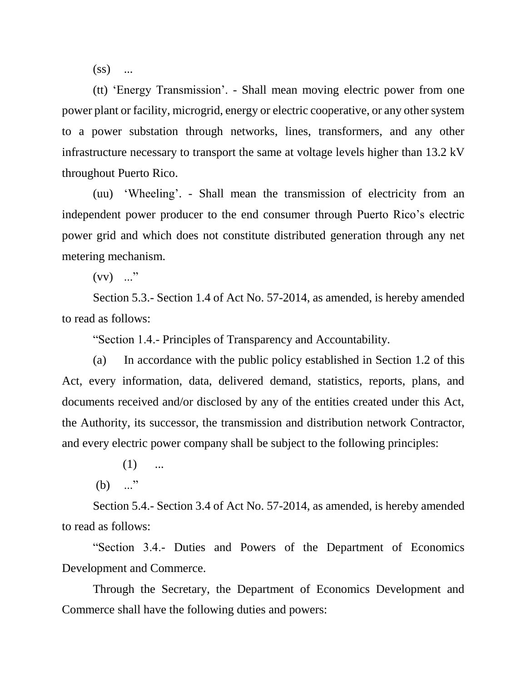$(s<sub>s</sub>)$  ...

(tt) 'Energy Transmission'. - Shall mean moving electric power from one power plant or facility, microgrid, energy or electric cooperative, or any other system to a power substation through networks, lines, transformers, and any other infrastructure necessary to transport the same at voltage levels higher than 13.2 kV throughout Puerto Rico.

(uu) 'Wheeling'. - Shall mean the transmission of electricity from an independent power producer to the end consumer through Puerto Rico's electric power grid and which does not constitute distributed generation through any net metering mechanism.

 $(vv)$  ..."

Section 5.3.- Section 1.4 of Act No. 57-2014, as amended, is hereby amended to read as follows:

"Section 1.4.- Principles of Transparency and Accountability.

(a) In accordance with the public policy established in Section 1.2 of this Act, every information, data, delivered demand, statistics, reports, plans, and documents received and/or disclosed by any of the entities created under this Act, the Authority, its successor, the transmission and distribution network Contractor, and every electric power company shall be subject to the following principles:

 $(1)$  ...

(b) ..."

Section 5.4.- Section 3.4 of Act No. 57-2014, as amended, is hereby amended to read as follows:

"Section 3.4.- Duties and Powers of the Department of Economics Development and Commerce.

Through the Secretary, the Department of Economics Development and Commerce shall have the following duties and powers: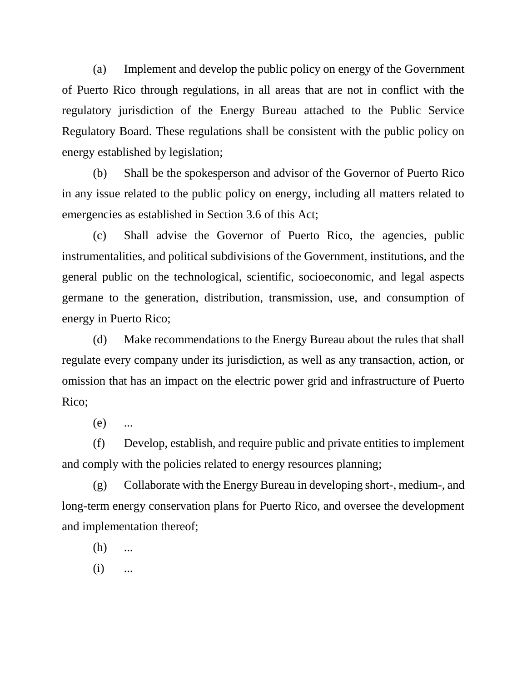(a) Implement and develop the public policy on energy of the Government of Puerto Rico through regulations, in all areas that are not in conflict with the regulatory jurisdiction of the Energy Bureau attached to the Public Service Regulatory Board. These regulations shall be consistent with the public policy on energy established by legislation;

(b) Shall be the spokesperson and advisor of the Governor of Puerto Rico in any issue related to the public policy on energy, including all matters related to emergencies as established in Section 3.6 of this Act;

(c) Shall advise the Governor of Puerto Rico, the agencies, public instrumentalities, and political subdivisions of the Government, institutions, and the general public on the technological, scientific, socioeconomic, and legal aspects germane to the generation, distribution, transmission, use, and consumption of energy in Puerto Rico;

(d) Make recommendations to the Energy Bureau about the rules that shall regulate every company under its jurisdiction, as well as any transaction, action, or omission that has an impact on the electric power grid and infrastructure of Puerto Rico;

(e) ...

(f) Develop, establish, and require public and private entities to implement and comply with the policies related to energy resources planning;

(g) Collaborate with the Energy Bureau in developing short-, medium-, and long-term energy conservation plans for Puerto Rico, and oversee the development and implementation thereof;

(h) ...

 $(i)$  ...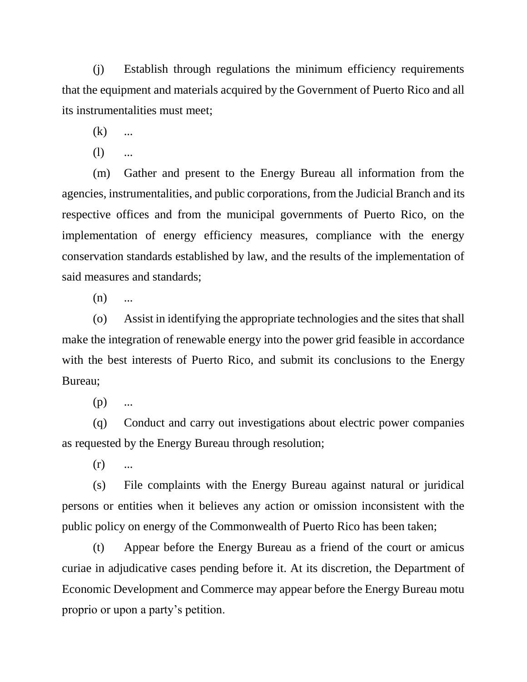(j) Establish through regulations the minimum efficiency requirements that the equipment and materials acquired by the Government of Puerto Rico and all its instrumentalities must meet;

 $(k)$  ...

 $(l)$  ...

(m) Gather and present to the Energy Bureau all information from the agencies, instrumentalities, and public corporations, from the Judicial Branch and its respective offices and from the municipal governments of Puerto Rico, on the implementation of energy efficiency measures, compliance with the energy conservation standards established by law, and the results of the implementation of said measures and standards;

 $(n)$  ...

(o) Assist in identifying the appropriate technologies and the sites that shall make the integration of renewable energy into the power grid feasible in accordance with the best interests of Puerto Rico, and submit its conclusions to the Energy Bureau;

 $(p)$  ...

(q) Conduct and carry out investigations about electric power companies as requested by the Energy Bureau through resolution;

 $(r)$  ...

(s) File complaints with the Energy Bureau against natural or juridical persons or entities when it believes any action or omission inconsistent with the public policy on energy of the Commonwealth of Puerto Rico has been taken;

(t) Appear before the Energy Bureau as a friend of the court or amicus curiae in adjudicative cases pending before it. At its discretion, the Department of Economic Development and Commerce may appear before the Energy Bureau motu proprio or upon a party's petition.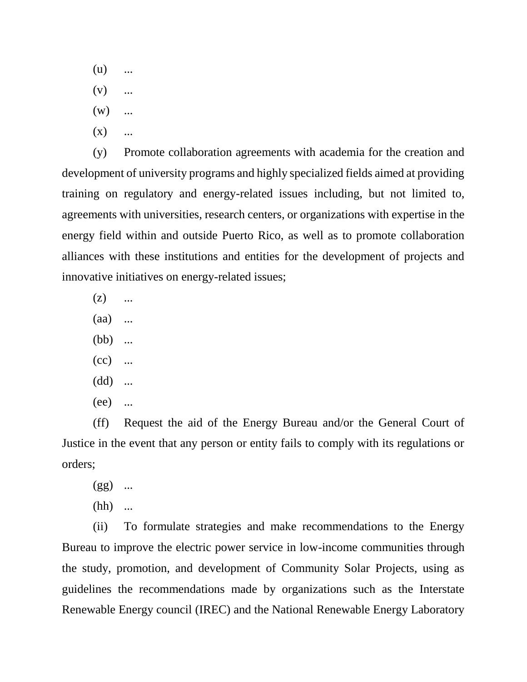- $(u)$  ...
- $(v)$  ...
- $(w)$  ...
- $(X)$  ...

(y) Promote collaboration agreements with academia for the creation and development of university programs and highly specialized fields aimed at providing training on regulatory and energy-related issues including, but not limited to, agreements with universities, research centers, or organizations with expertise in the energy field within and outside Puerto Rico, as well as to promote collaboration alliances with these institutions and entities for the development of projects and innovative initiatives on energy-related issues;

- $(z)$  ...
- (aa) ...
- (bb) ...
- $(cc)$  ...
- (dd) ...
- (ee) ...

(ff) Request the aid of the Energy Bureau and/or the General Court of Justice in the event that any person or entity fails to comply with its regulations or orders;

- $(gg)$  ...
- (hh) ...

(ii) To formulate strategies and make recommendations to the Energy Bureau to improve the electric power service in low-income communities through the study, promotion, and development of Community Solar Projects, using as guidelines the recommendations made by organizations such as the Interstate Renewable Energy council (IREC) and the National Renewable Energy Laboratory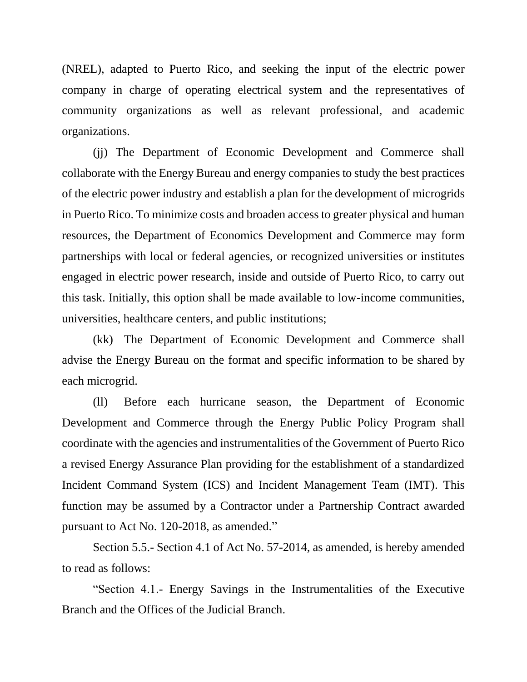(NREL), adapted to Puerto Rico, and seeking the input of the electric power company in charge of operating electrical system and the representatives of community organizations as well as relevant professional, and academic organizations.

(jj) The Department of Economic Development and Commerce shall collaborate with the Energy Bureau and energy companies to study the best practices of the electric power industry and establish a plan for the development of microgrids in Puerto Rico. To minimize costs and broaden access to greater physical and human resources, the Department of Economics Development and Commerce may form partnerships with local or federal agencies, or recognized universities or institutes engaged in electric power research, inside and outside of Puerto Rico, to carry out this task. Initially, this option shall be made available to low-income communities, universities, healthcare centers, and public institutions;

(kk) The Department of Economic Development and Commerce shall advise the Energy Bureau on the format and specific information to be shared by each microgrid.

(ll) Before each hurricane season, the Department of Economic Development and Commerce through the Energy Public Policy Program shall coordinate with the agencies and instrumentalities of the Government of Puerto Rico a revised Energy Assurance Plan providing for the establishment of a standardized Incident Command System (ICS) and Incident Management Team (IMT). This function may be assumed by a Contractor under a Partnership Contract awarded pursuant to Act No. 120-2018, as amended."

Section 5.5.- Section 4.1 of Act No. 57-2014, as amended, is hereby amended to read as follows:

"Section 4.1.- Energy Savings in the Instrumentalities of the Executive Branch and the Offices of the Judicial Branch.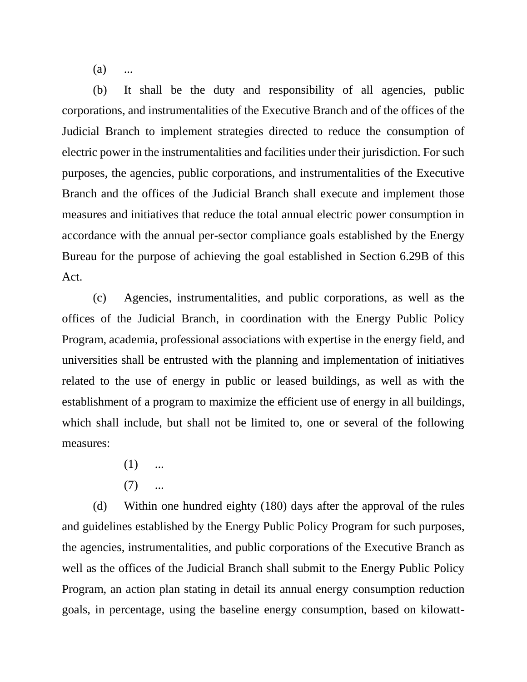$(a)$ 

(b) It shall be the duty and responsibility of all agencies, public corporations, and instrumentalities of the Executive Branch and of the offices of the Judicial Branch to implement strategies directed to reduce the consumption of electric power in the instrumentalities and facilities under their jurisdiction. For such purposes, the agencies, public corporations, and instrumentalities of the Executive Branch and the offices of the Judicial Branch shall execute and implement those measures and initiatives that reduce the total annual electric power consumption in accordance with the annual per-sector compliance goals established by the Energy Bureau for the purpose of achieving the goal established in Section 6.29B of this Act.

(c) Agencies, instrumentalities, and public corporations, as well as the offices of the Judicial Branch, in coordination with the Energy Public Policy Program, academia, professional associations with expertise in the energy field, and universities shall be entrusted with the planning and implementation of initiatives related to the use of energy in public or leased buildings, as well as with the establishment of a program to maximize the efficient use of energy in all buildings, which shall include, but shall not be limited to, one or several of the following measures:

- $(1)$  ...
- $(7)$  ...

(d) Within one hundred eighty (180) days after the approval of the rules and guidelines established by the Energy Public Policy Program for such purposes, the agencies, instrumentalities, and public corporations of the Executive Branch as well as the offices of the Judicial Branch shall submit to the Energy Public Policy Program, an action plan stating in detail its annual energy consumption reduction goals, in percentage, using the baseline energy consumption, based on kilowatt-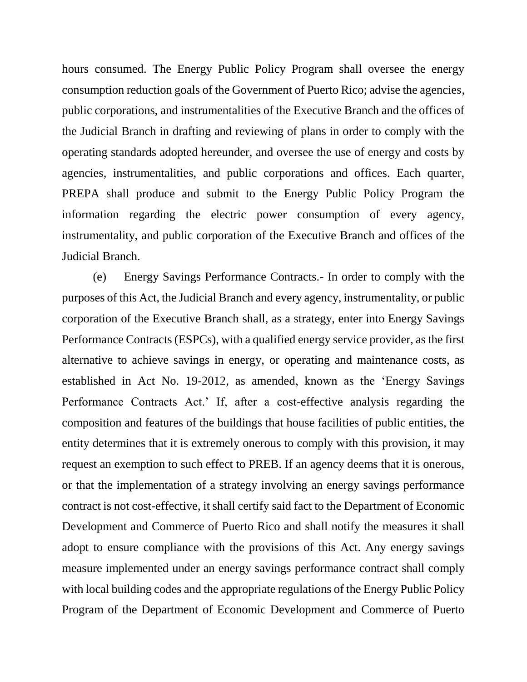hours consumed. The Energy Public Policy Program shall oversee the energy consumption reduction goals of the Government of Puerto Rico; advise the agencies, public corporations, and instrumentalities of the Executive Branch and the offices of the Judicial Branch in drafting and reviewing of plans in order to comply with the operating standards adopted hereunder, and oversee the use of energy and costs by agencies, instrumentalities, and public corporations and offices. Each quarter, PREPA shall produce and submit to the Energy Public Policy Program the information regarding the electric power consumption of every agency, instrumentality, and public corporation of the Executive Branch and offices of the Judicial Branch.

(e) Energy Savings Performance Contracts.- In order to comply with the purposes of this Act, the Judicial Branch and every agency, instrumentality, or public corporation of the Executive Branch shall, as a strategy, enter into Energy Savings Performance Contracts (ESPCs), with a qualified energy service provider, as the first alternative to achieve savings in energy, or operating and maintenance costs, as established in Act No. 19-2012, as amended, known as the 'Energy Savings Performance Contracts Act.' If, after a cost-effective analysis regarding the composition and features of the buildings that house facilities of public entities, the entity determines that it is extremely onerous to comply with this provision, it may request an exemption to such effect to PREB. If an agency deems that it is onerous, or that the implementation of a strategy involving an energy savings performance contract is not cost-effective, it shall certify said fact to the Department of Economic Development and Commerce of Puerto Rico and shall notify the measures it shall adopt to ensure compliance with the provisions of this Act. Any energy savings measure implemented under an energy savings performance contract shall comply with local building codes and the appropriate regulations of the Energy Public Policy Program of the Department of Economic Development and Commerce of Puerto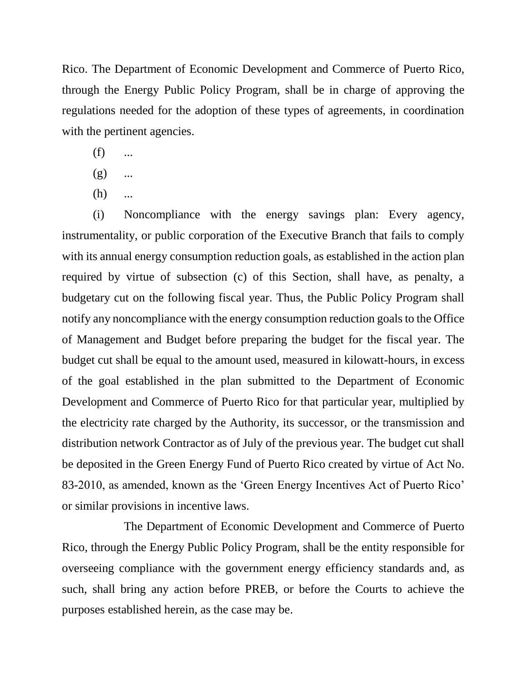Rico. The Department of Economic Development and Commerce of Puerto Rico, through the Energy Public Policy Program, shall be in charge of approving the regulations needed for the adoption of these types of agreements, in coordination with the pertinent agencies.

- $(f)$  ...
- $(g)$  ...
- $(h)$  ...

(i) Noncompliance with the energy savings plan: Every agency, instrumentality, or public corporation of the Executive Branch that fails to comply with its annual energy consumption reduction goals, as established in the action plan required by virtue of subsection (c) of this Section, shall have, as penalty, a budgetary cut on the following fiscal year. Thus, the Public Policy Program shall notify any noncompliance with the energy consumption reduction goals to the Office of Management and Budget before preparing the budget for the fiscal year. The budget cut shall be equal to the amount used, measured in kilowatt-hours, in excess of the goal established in the plan submitted to the Department of Economic Development and Commerce of Puerto Rico for that particular year, multiplied by the electricity rate charged by the Authority, its successor, or the transmission and distribution network Contractor as of July of the previous year. The budget cut shall be deposited in the Green Energy Fund of Puerto Rico created by virtue of Act No. 83-2010, as amended, known as the 'Green Energy Incentives Act of Puerto Rico' or similar provisions in incentive laws.

The Department of Economic Development and Commerce of Puerto Rico, through the Energy Public Policy Program, shall be the entity responsible for overseeing compliance with the government energy efficiency standards and, as such, shall bring any action before PREB, or before the Courts to achieve the purposes established herein, as the case may be.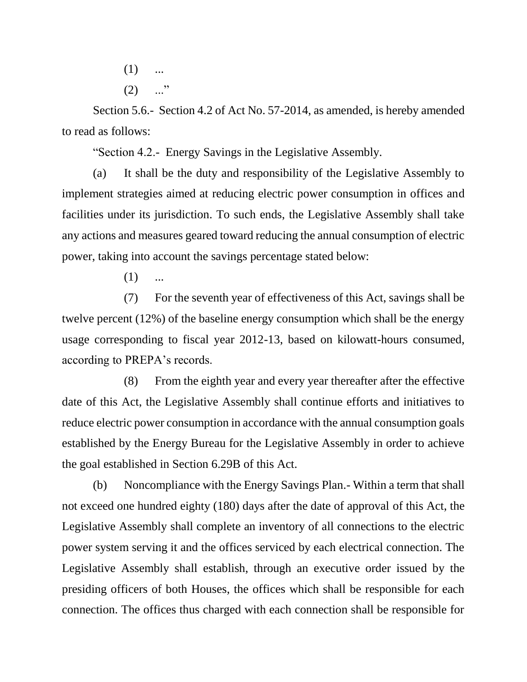- $(1)$  ...
- $(2)$  ..."

Section 5.6.- Section 4.2 of Act No. 57-2014, as amended, is hereby amended to read as follows:

"Section 4.2.- Energy Savings in the Legislative Assembly.

(a) It shall be the duty and responsibility of the Legislative Assembly to implement strategies aimed at reducing electric power consumption in offices and facilities under its jurisdiction. To such ends, the Legislative Assembly shall take any actions and measures geared toward reducing the annual consumption of electric power, taking into account the savings percentage stated below:

 $(1)$  ...

(7) For the seventh year of effectiveness of this Act, savings shall be twelve percent (12%) of the baseline energy consumption which shall be the energy usage corresponding to fiscal year 2012-13, based on kilowatt-hours consumed, according to PREPA's records.

(8) From the eighth year and every year thereafter after the effective date of this Act, the Legislative Assembly shall continue efforts and initiatives to reduce electric power consumption in accordance with the annual consumption goals established by the Energy Bureau for the Legislative Assembly in order to achieve the goal established in Section 6.29B of this Act.

(b) Noncompliance with the Energy Savings Plan.- Within a term that shall not exceed one hundred eighty (180) days after the date of approval of this Act, the Legislative Assembly shall complete an inventory of all connections to the electric power system serving it and the offices serviced by each electrical connection. The Legislative Assembly shall establish, through an executive order issued by the presiding officers of both Houses, the offices which shall be responsible for each connection. The offices thus charged with each connection shall be responsible for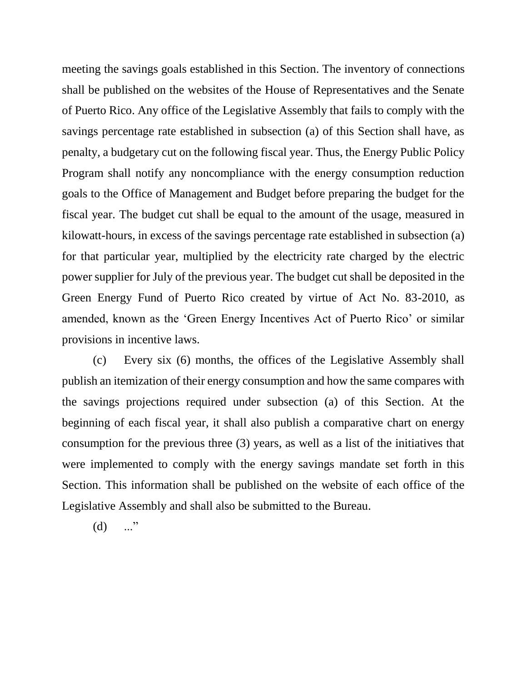meeting the savings goals established in this Section. The inventory of connections shall be published on the websites of the House of Representatives and the Senate of Puerto Rico. Any office of the Legislative Assembly that fails to comply with the savings percentage rate established in subsection (a) of this Section shall have, as penalty, a budgetary cut on the following fiscal year. Thus, the Energy Public Policy Program shall notify any noncompliance with the energy consumption reduction goals to the Office of Management and Budget before preparing the budget for the fiscal year. The budget cut shall be equal to the amount of the usage, measured in kilowatt-hours, in excess of the savings percentage rate established in subsection (a) for that particular year, multiplied by the electricity rate charged by the electric power supplier for July of the previous year. The budget cut shall be deposited in the Green Energy Fund of Puerto Rico created by virtue of Act No. 83-2010, as amended, known as the 'Green Energy Incentives Act of Puerto Rico' or similar provisions in incentive laws.

(c) Every six (6) months, the offices of the Legislative Assembly shall publish an itemization of their energy consumption and how the same compares with the savings projections required under subsection (a) of this Section. At the beginning of each fiscal year, it shall also publish a comparative chart on energy consumption for the previous three (3) years, as well as a list of the initiatives that were implemented to comply with the energy savings mandate set forth in this Section. This information shall be published on the website of each office of the Legislative Assembly and shall also be submitted to the Bureau.

 $(d)$  ..."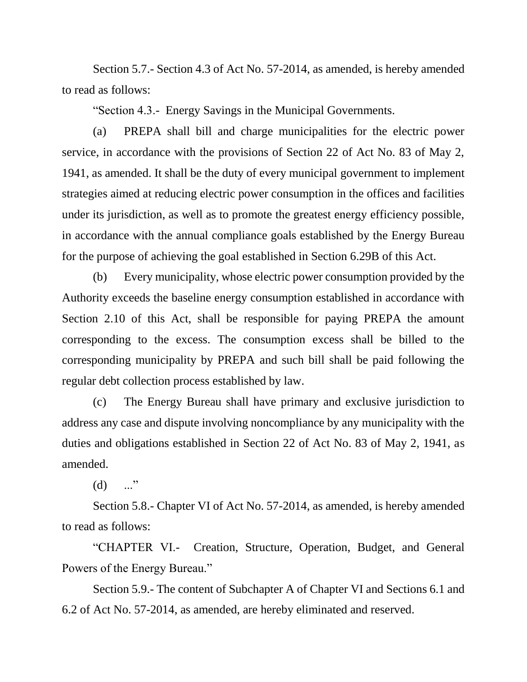Section 5.7.- Section 4.3 of Act No. 57-2014, as amended, is hereby amended to read as follows:

"Section 4.3.- Energy Savings in the Municipal Governments.

(a) PREPA shall bill and charge municipalities for the electric power service, in accordance with the provisions of Section 22 of Act No. 83 of May 2, 1941, as amended. It shall be the duty of every municipal government to implement strategies aimed at reducing electric power consumption in the offices and facilities under its jurisdiction, as well as to promote the greatest energy efficiency possible, in accordance with the annual compliance goals established by the Energy Bureau for the purpose of achieving the goal established in Section 6.29B of this Act.

(b) Every municipality, whose electric power consumption provided by the Authority exceeds the baseline energy consumption established in accordance with Section 2.10 of this Act, shall be responsible for paying PREPA the amount corresponding to the excess. The consumption excess shall be billed to the corresponding municipality by PREPA and such bill shall be paid following the regular debt collection process established by law.

(c) The Energy Bureau shall have primary and exclusive jurisdiction to address any case and dispute involving noncompliance by any municipality with the duties and obligations established in Section 22 of Act No. 83 of May 2, 1941, as amended.

 $(d)$  ..."

Section 5.8.- Chapter VI of Act No. 57-2014, as amended, is hereby amended to read as follows:

"CHAPTER VI.- Creation, Structure, Operation, Budget, and General Powers of the Energy Bureau."

Section 5.9.- The content of Subchapter A of Chapter VI and Sections 6.1 and 6.2 of Act No. 57-2014, as amended, are hereby eliminated and reserved.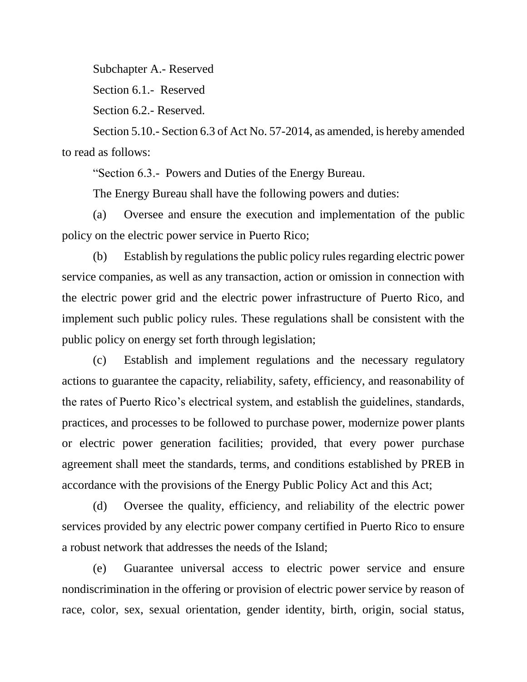Subchapter A.- Reserved

Section 6.1.- Reserved

Section 6.2.- Reserved.

Section 5.10.- Section 6.3 of Act No. 57-2014, as amended, is hereby amended to read as follows:

"Section 6.3.- Powers and Duties of the Energy Bureau.

The Energy Bureau shall have the following powers and duties:

(a) Oversee and ensure the execution and implementation of the public policy on the electric power service in Puerto Rico;

(b) Establish by regulations the public policy rules regarding electric power service companies, as well as any transaction, action or omission in connection with the electric power grid and the electric power infrastructure of Puerto Rico, and implement such public policy rules. These regulations shall be consistent with the public policy on energy set forth through legislation;

(c) Establish and implement regulations and the necessary regulatory actions to guarantee the capacity, reliability, safety, efficiency, and reasonability of the rates of Puerto Rico's electrical system, and establish the guidelines, standards, practices, and processes to be followed to purchase power, modernize power plants or electric power generation facilities; provided, that every power purchase agreement shall meet the standards, terms, and conditions established by PREB in accordance with the provisions of the Energy Public Policy Act and this Act;

(d) Oversee the quality, efficiency, and reliability of the electric power services provided by any electric power company certified in Puerto Rico to ensure a robust network that addresses the needs of the Island;

(e) Guarantee universal access to electric power service and ensure nondiscrimination in the offering or provision of electric power service by reason of race, color, sex, sexual orientation, gender identity, birth, origin, social status,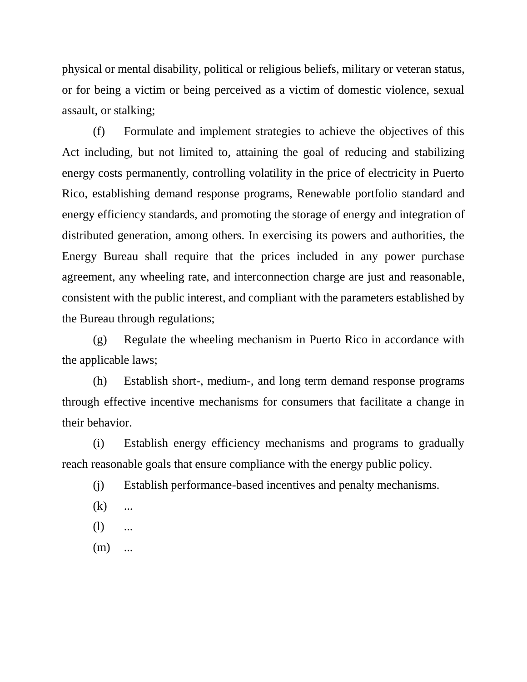physical or mental disability, political or religious beliefs, military or veteran status, or for being a victim or being perceived as a victim of domestic violence, sexual assault, or stalking;

(f) Formulate and implement strategies to achieve the objectives of this Act including, but not limited to, attaining the goal of reducing and stabilizing energy costs permanently, controlling volatility in the price of electricity in Puerto Rico, establishing demand response programs, Renewable portfolio standard and energy efficiency standards, and promoting the storage of energy and integration of distributed generation, among others. In exercising its powers and authorities, the Energy Bureau shall require that the prices included in any power purchase agreement, any wheeling rate, and interconnection charge are just and reasonable, consistent with the public interest, and compliant with the parameters established by the Bureau through regulations;

(g) Regulate the wheeling mechanism in Puerto Rico in accordance with the applicable laws;

(h) Establish short-, medium-, and long term demand response programs through effective incentive mechanisms for consumers that facilitate a change in their behavior.

(i) Establish energy efficiency mechanisms and programs to gradually reach reasonable goals that ensure compliance with the energy public policy.

(j) Establish performance-based incentives and penalty mechanisms.

- $(k)$  ...
- $(l)$  ...
- $(m)$  ...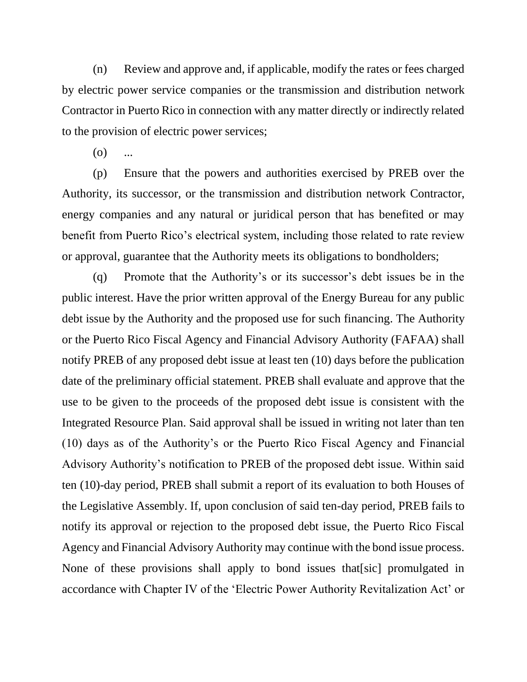(n) Review and approve and, if applicable, modify the rates or fees charged by electric power service companies or the transmission and distribution network Contractor in Puerto Rico in connection with any matter directly or indirectly related to the provision of electric power services;

 $(0)$ 

(p) Ensure that the powers and authorities exercised by PREB over the Authority, its successor, or the transmission and distribution network Contractor, energy companies and any natural or juridical person that has benefited or may benefit from Puerto Rico's electrical system, including those related to rate review or approval, guarantee that the Authority meets its obligations to bondholders;

(q) Promote that the Authority's or its successor's debt issues be in the public interest. Have the prior written approval of the Energy Bureau for any public debt issue by the Authority and the proposed use for such financing. The Authority or the Puerto Rico Fiscal Agency and Financial Advisory Authority (FAFAA) shall notify PREB of any proposed debt issue at least ten (10) days before the publication date of the preliminary official statement. PREB shall evaluate and approve that the use to be given to the proceeds of the proposed debt issue is consistent with the Integrated Resource Plan. Said approval shall be issued in writing not later than ten (10) days as of the Authority's or the Puerto Rico Fiscal Agency and Financial Advisory Authority's notification to PREB of the proposed debt issue. Within said ten (10)-day period, PREB shall submit a report of its evaluation to both Houses of the Legislative Assembly. If, upon conclusion of said ten-day period, PREB fails to notify its approval or rejection to the proposed debt issue, the Puerto Rico Fiscal Agency and Financial Advisory Authority may continue with the bond issue process. None of these provisions shall apply to bond issues that[sic] promulgated in accordance with Chapter IV of the 'Electric Power Authority Revitalization Act' or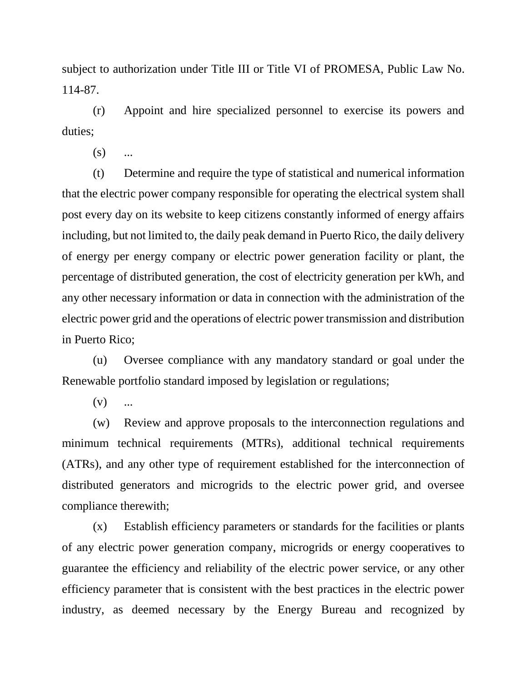subject to authorization under Title III or Title VI of PROMESA, Public Law No. 114-87.

(r) Appoint and hire specialized personnel to exercise its powers and duties;

 $(s)$  ...

(t) Determine and require the type of statistical and numerical information that the electric power company responsible for operating the electrical system shall post every day on its website to keep citizens constantly informed of energy affairs including, but not limited to, the daily peak demand in Puerto Rico, the daily delivery of energy per energy company or electric power generation facility or plant, the percentage of distributed generation, the cost of electricity generation per kWh, and any other necessary information or data in connection with the administration of the electric power grid and the operations of electric power transmission and distribution in Puerto Rico;

(u) Oversee compliance with any mandatory standard or goal under the Renewable portfolio standard imposed by legislation or regulations;

 $(v)$  ...

(w) Review and approve proposals to the interconnection regulations and minimum technical requirements (MTRs), additional technical requirements (ATRs), and any other type of requirement established for the interconnection of distributed generators and microgrids to the electric power grid, and oversee compliance therewith;

(x) Establish efficiency parameters or standards for the facilities or plants of any electric power generation company, microgrids or energy cooperatives to guarantee the efficiency and reliability of the electric power service, or any other efficiency parameter that is consistent with the best practices in the electric power industry, as deemed necessary by the Energy Bureau and recognized by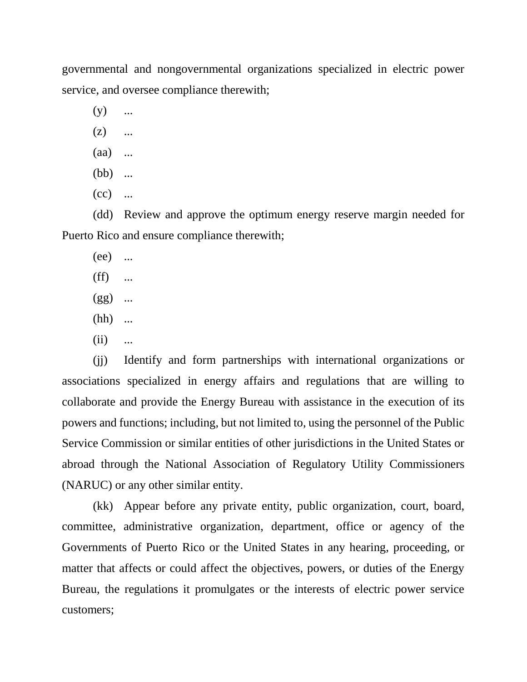governmental and nongovernmental organizations specialized in electric power service, and oversee compliance therewith;

- $(y)$  ...
- $(z)$  ...
- (aa) ...
- (bb) ...
- $(cc)$  ...

(dd) Review and approve the optimum energy reserve margin needed for Puerto Rico and ensure compliance therewith;

- (ee) ...
- $(ff)$  ...
- $(gg)$  ...
- (hh) ...
- $(ii)$  ...

(jj) Identify and form partnerships with international organizations or associations specialized in energy affairs and regulations that are willing to collaborate and provide the Energy Bureau with assistance in the execution of its powers and functions; including, but not limited to, using the personnel of the Public Service Commission or similar entities of other jurisdictions in the United States or abroad through the National Association of Regulatory Utility Commissioners (NARUC) or any other similar entity.

(kk) Appear before any private entity, public organization, court, board, committee, administrative organization, department, office or agency of the Governments of Puerto Rico or the United States in any hearing, proceeding, or matter that affects or could affect the objectives, powers, or duties of the Energy Bureau, the regulations it promulgates or the interests of electric power service customers;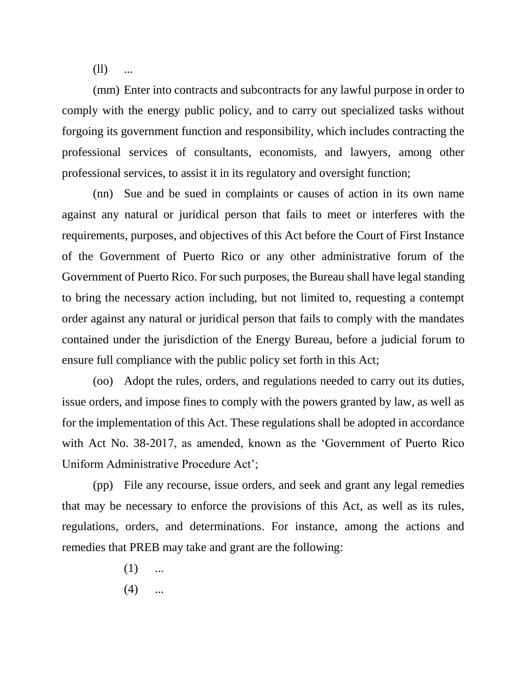$(11)$ 

(mm) Enter into contracts and subcontracts for any lawful purpose in order to comply with the energy public policy, and to carry out specialized tasks without forgoing its government function and responsibility, which includes contracting the professional services of consultants, economists, and lawyers, among other professional services, to assist it in its regulatory and oversight function;

(nn) Sue and be sued in complaints or causes of action in its own name against any natural or juridical person that fails to meet or interferes with the requirements, purposes, and objectives of this Act before the Court of First Instance of the Government of Puerto Rico or any other administrative forum of the Government of Puerto Rico. For such purposes, the Bureau shall have legal standing to bring the necessary action including, but not limited to, requesting a contempt order against any natural or juridical person that fails to comply with the mandates contained under the jurisdiction of the Energy Bureau, before a judicial forum to ensure full compliance with the public policy set forth in this Act;

(oo) Adopt the rules, orders, and regulations needed to carry out its duties, issue orders, and impose fines to comply with the powers granted by law, as well as for the implementation of this Act. These regulations shall be adopted in accordance with Act No. 38-2017, as amended, known as the 'Government of Puerto Rico Uniform Administrative Procedure Act';

(pp) File any recourse, issue orders, and seek and grant any legal remedies that may be necessary to enforce the provisions of this Act, as well as its rules, regulations, orders, and determinations. For instance, among the actions and remedies that PREB may take and grant are the following:

- $(1)$  ...
- $(4)$  ...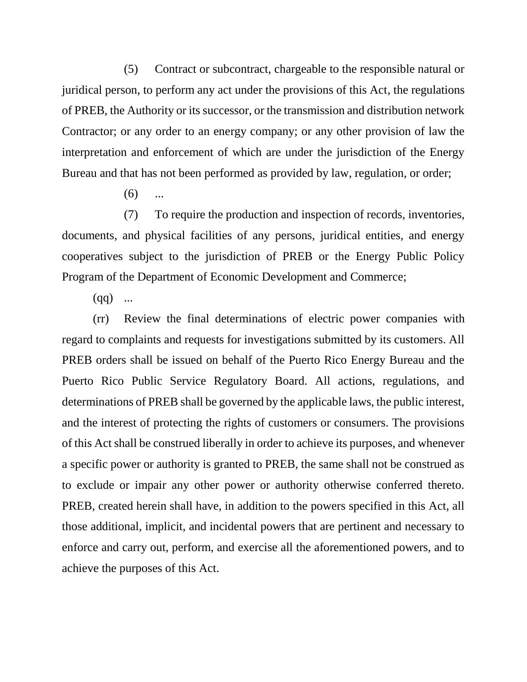(5) Contract or subcontract, chargeable to the responsible natural or juridical person, to perform any act under the provisions of this Act, the regulations of PREB, the Authority or its successor, or the transmission and distribution network Contractor; or any order to an energy company; or any other provision of law the interpretation and enforcement of which are under the jurisdiction of the Energy Bureau and that has not been performed as provided by law, regulation, or order;

 $(6)$ 

(7) To require the production and inspection of records, inventories, documents, and physical facilities of any persons, juridical entities, and energy cooperatives subject to the jurisdiction of PREB or the Energy Public Policy Program of the Department of Economic Development and Commerce;

 $(qq)$  ...

(rr) Review the final determinations of electric power companies with regard to complaints and requests for investigations submitted by its customers. All PREB orders shall be issued on behalf of the Puerto Rico Energy Bureau and the Puerto Rico Public Service Regulatory Board. All actions, regulations, and determinations of PREB shall be governed by the applicable laws, the public interest, and the interest of protecting the rights of customers or consumers. The provisions of this Act shall be construed liberally in order to achieve its purposes, and whenever a specific power or authority is granted to PREB, the same shall not be construed as to exclude or impair any other power or authority otherwise conferred thereto. PREB, created herein shall have, in addition to the powers specified in this Act, all those additional, implicit, and incidental powers that are pertinent and necessary to enforce and carry out, perform, and exercise all the aforementioned powers, and to achieve the purposes of this Act.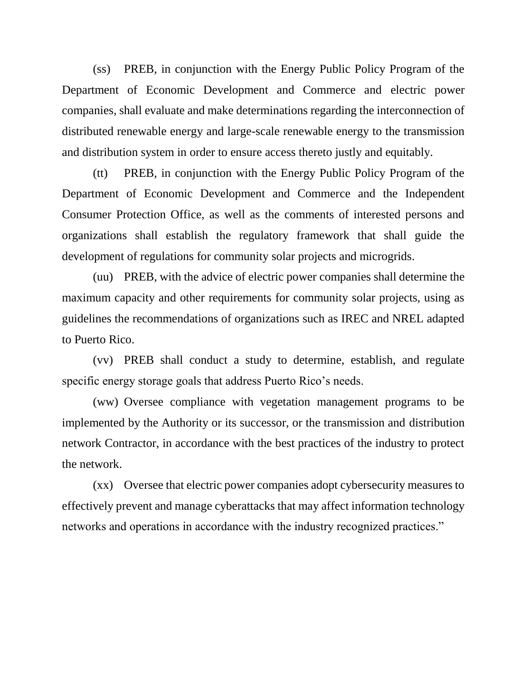(ss) PREB, in conjunction with the Energy Public Policy Program of the Department of Economic Development and Commerce and electric power companies, shall evaluate and make determinations regarding the interconnection of distributed renewable energy and large-scale renewable energy to the transmission and distribution system in order to ensure access thereto justly and equitably.

(tt) PREB, in conjunction with the Energy Public Policy Program of the Department of Economic Development and Commerce and the Independent Consumer Protection Office, as well as the comments of interested persons and organizations shall establish the regulatory framework that shall guide the development of regulations for community solar projects and microgrids.

(uu) PREB, with the advice of electric power companies shall determine the maximum capacity and other requirements for community solar projects, using as guidelines the recommendations of organizations such as IREC and NREL adapted to Puerto Rico.

(vv) PREB shall conduct a study to determine, establish, and regulate specific energy storage goals that address Puerto Rico's needs.

(ww) Oversee compliance with vegetation management programs to be implemented by the Authority or its successor, or the transmission and distribution network Contractor, in accordance with the best practices of the industry to protect the network.

(xx) Oversee that electric power companies adopt cybersecurity measures to effectively prevent and manage cyberattacks that may affect information technology networks and operations in accordance with the industry recognized practices."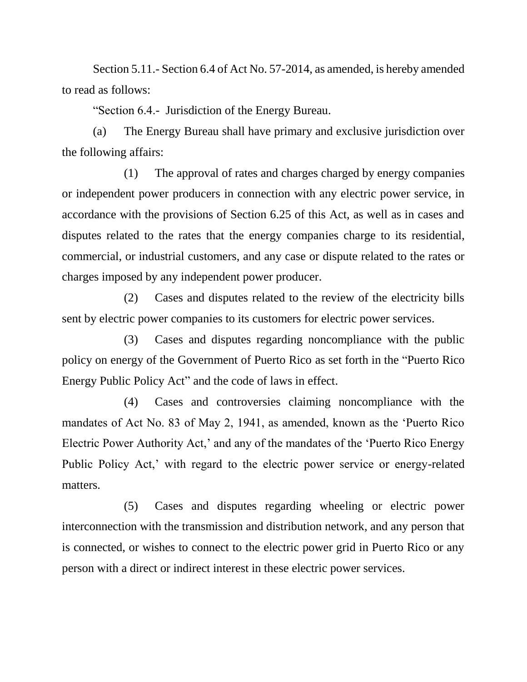Section 5.11.- Section 6.4 of Act No. 57-2014, as amended, is hereby amended to read as follows:

"Section 6.4.- Jurisdiction of the Energy Bureau.

(a) The Energy Bureau shall have primary and exclusive jurisdiction over the following affairs:

(1) The approval of rates and charges charged by energy companies or independent power producers in connection with any electric power service, in accordance with the provisions of Section 6.25 of this Act, as well as in cases and disputes related to the rates that the energy companies charge to its residential, commercial, or industrial customers, and any case or dispute related to the rates or charges imposed by any independent power producer.

(2) Cases and disputes related to the review of the electricity bills sent by electric power companies to its customers for electric power services.

(3) Cases and disputes regarding noncompliance with the public policy on energy of the Government of Puerto Rico as set forth in the "Puerto Rico Energy Public Policy Act" and the code of laws in effect.

(4) Cases and controversies claiming noncompliance with the mandates of Act No. 83 of May 2, 1941, as amended, known as the 'Puerto Rico Electric Power Authority Act,' and any of the mandates of the 'Puerto Rico Energy Public Policy Act,' with regard to the electric power service or energy-related matters.

(5) Cases and disputes regarding wheeling or electric power interconnection with the transmission and distribution network, and any person that is connected, or wishes to connect to the electric power grid in Puerto Rico or any person with a direct or indirect interest in these electric power services.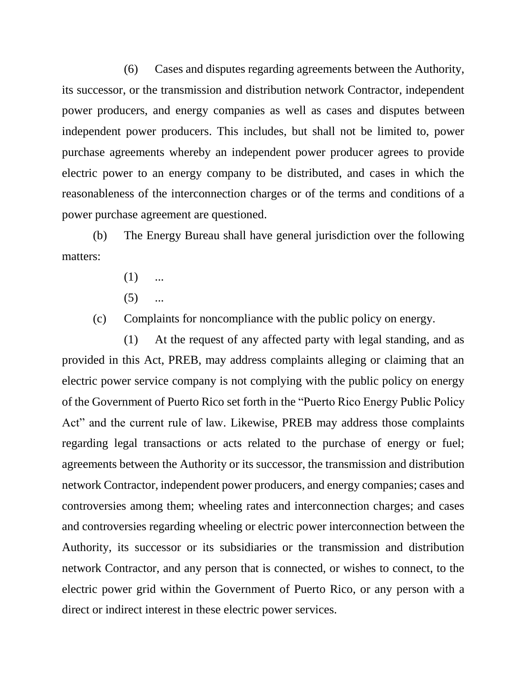(6) Cases and disputes regarding agreements between the Authority, its successor, or the transmission and distribution network Contractor, independent power producers, and energy companies as well as cases and disputes between independent power producers. This includes, but shall not be limited to, power purchase agreements whereby an independent power producer agrees to provide electric power to an energy company to be distributed, and cases in which the reasonableness of the interconnection charges or of the terms and conditions of a power purchase agreement are questioned.

(b) The Energy Bureau shall have general jurisdiction over the following matters:

- $(1)$  ...
- $(5)$  ...

(c) Complaints for noncompliance with the public policy on energy.

(1) At the request of any affected party with legal standing, and as provided in this Act, PREB, may address complaints alleging or claiming that an electric power service company is not complying with the public policy on energy of the Government of Puerto Rico set forth in the "Puerto Rico Energy Public Policy Act" and the current rule of law. Likewise, PREB may address those complaints regarding legal transactions or acts related to the purchase of energy or fuel; agreements between the Authority or its successor, the transmission and distribution network Contractor, independent power producers, and energy companies; cases and controversies among them; wheeling rates and interconnection charges; and cases and controversies regarding wheeling or electric power interconnection between the Authority, its successor or its subsidiaries or the transmission and distribution network Contractor, and any person that is connected, or wishes to connect, to the electric power grid within the Government of Puerto Rico, or any person with a direct or indirect interest in these electric power services.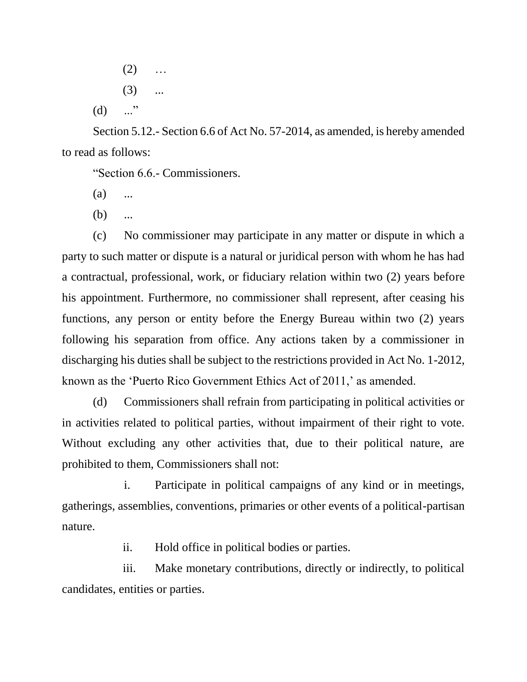$(2)$  ...  $(3)$  ...  $(d)$  ..."

Section 5.12.- Section 6.6 of Act No. 57-2014, as amended, is hereby amended to read as follows:

"Section 6.6.- Commissioners.

- $(a)$  ...
- (b) ...

(c) No commissioner may participate in any matter or dispute in which a party to such matter or dispute is a natural or juridical person with whom he has had a contractual, professional, work, or fiduciary relation within two (2) years before his appointment. Furthermore, no commissioner shall represent, after ceasing his functions, any person or entity before the Energy Bureau within two (2) years following his separation from office. Any actions taken by a commissioner in discharging his duties shall be subject to the restrictions provided in Act No. 1-2012, known as the 'Puerto Rico Government Ethics Act of 2011,' as amended.

(d) Commissioners shall refrain from participating in political activities or in activities related to political parties, without impairment of their right to vote. Without excluding any other activities that, due to their political nature, are prohibited to them, Commissioners shall not:

i. Participate in political campaigns of any kind or in meetings, gatherings, assemblies, conventions, primaries or other events of a political-partisan nature.

ii. Hold office in political bodies or parties.

iii. Make monetary contributions, directly or indirectly, to political candidates, entities or parties.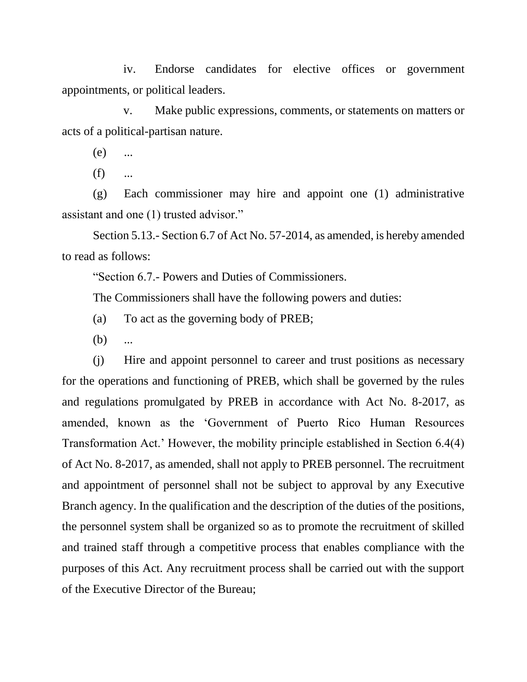iv. Endorse candidates for elective offices or government appointments, or political leaders.

v. Make public expressions, comments, or statements on matters or acts of a political-partisan nature.

(e) ...

 $(f)$  ...

(g) Each commissioner may hire and appoint one (1) administrative assistant and one (1) trusted advisor."

Section 5.13.- Section 6.7 of Act No. 57-2014, as amended, is hereby amended to read as follows:

"Section 6.7.- Powers and Duties of Commissioners.

The Commissioners shall have the following powers and duties:

- (a) To act as the governing body of PREB;
- $(b)$  ...

(j) Hire and appoint personnel to career and trust positions as necessary for the operations and functioning of PREB, which shall be governed by the rules and regulations promulgated by PREB in accordance with Act No. 8-2017, as amended, known as the 'Government of Puerto Rico Human Resources Transformation Act.' However, the mobility principle established in Section 6.4(4) of Act No. 8-2017, as amended, shall not apply to PREB personnel. The recruitment and appointment of personnel shall not be subject to approval by any Executive Branch agency. In the qualification and the description of the duties of the positions, the personnel system shall be organized so as to promote the recruitment of skilled and trained staff through a competitive process that enables compliance with the purposes of this Act. Any recruitment process shall be carried out with the support of the Executive Director of the Bureau;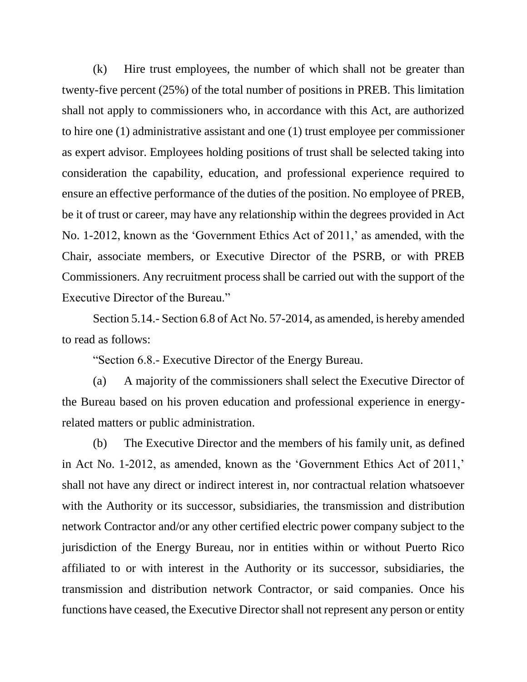(k) Hire trust employees, the number of which shall not be greater than twenty-five percent (25%) of the total number of positions in PREB. This limitation shall not apply to commissioners who, in accordance with this Act, are authorized to hire one (1) administrative assistant and one (1) trust employee per commissioner as expert advisor. Employees holding positions of trust shall be selected taking into consideration the capability, education, and professional experience required to ensure an effective performance of the duties of the position. No employee of PREB, be it of trust or career, may have any relationship within the degrees provided in Act No. 1-2012, known as the 'Government Ethics Act of 2011,' as amended, with the Chair, associate members, or Executive Director of the PSRB, or with PREB Commissioners. Any recruitment process shall be carried out with the support of the Executive Director of the Bureau."

Section 5.14.- Section 6.8 of Act No. 57-2014, as amended, is hereby amended to read as follows:

"Section 6.8.- Executive Director of the Energy Bureau.

(a) A majority of the commissioners shall select the Executive Director of the Bureau based on his proven education and professional experience in energyrelated matters or public administration.

(b) The Executive Director and the members of his family unit, as defined in Act No. 1-2012, as amended, known as the 'Government Ethics Act of 2011,' shall not have any direct or indirect interest in, nor contractual relation whatsoever with the Authority or its successor, subsidiaries, the transmission and distribution network Contractor and/or any other certified electric power company subject to the jurisdiction of the Energy Bureau, nor in entities within or without Puerto Rico affiliated to or with interest in the Authority or its successor, subsidiaries, the transmission and distribution network Contractor, or said companies. Once his functions have ceased, the Executive Director shall not represent any person or entity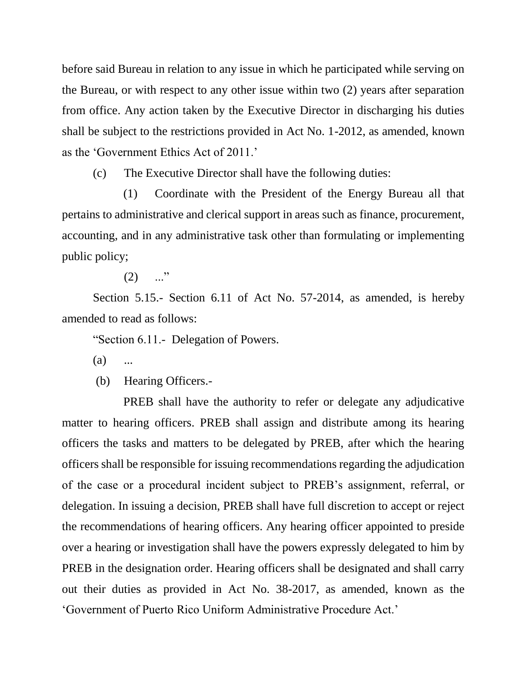before said Bureau in relation to any issue in which he participated while serving on the Bureau, or with respect to any other issue within two (2) years after separation from office. Any action taken by the Executive Director in discharging his duties shall be subject to the restrictions provided in Act No. 1-2012, as amended, known as the 'Government Ethics Act of 2011.'

(c) The Executive Director shall have the following duties:

(1) Coordinate with the President of the Energy Bureau all that pertains to administrative and clerical support in areas such as finance, procurement, accounting, and in any administrative task other than formulating or implementing public policy;

 $(2)$  ..."

Section 5.15.- Section 6.11 of Act No. 57-2014, as amended, is hereby amended to read as follows:

"Section 6.11.- Delegation of Powers.

 $(a)$  ...

(b) Hearing Officers.-

PREB shall have the authority to refer or delegate any adjudicative matter to hearing officers. PREB shall assign and distribute among its hearing officers the tasks and matters to be delegated by PREB, after which the hearing officers shall be responsible for issuing recommendations regarding the adjudication of the case or a procedural incident subject to PREB's assignment, referral, or delegation. In issuing a decision, PREB shall have full discretion to accept or reject the recommendations of hearing officers. Any hearing officer appointed to preside over a hearing or investigation shall have the powers expressly delegated to him by PREB in the designation order. Hearing officers shall be designated and shall carry out their duties as provided in Act No. 38-2017, as amended, known as the 'Government of Puerto Rico Uniform Administrative Procedure Act.'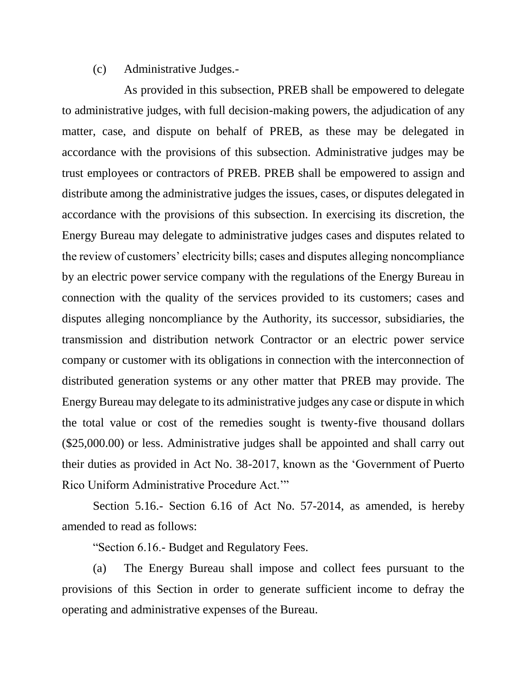## (c) Administrative Judges.-

As provided in this subsection, PREB shall be empowered to delegate to administrative judges, with full decision-making powers, the adjudication of any matter, case, and dispute on behalf of PREB, as these may be delegated in accordance with the provisions of this subsection. Administrative judges may be trust employees or contractors of PREB. PREB shall be empowered to assign and distribute among the administrative judges the issues, cases, or disputes delegated in accordance with the provisions of this subsection. In exercising its discretion, the Energy Bureau may delegate to administrative judges cases and disputes related to the review of customers' electricity bills; cases and disputes alleging noncompliance by an electric power service company with the regulations of the Energy Bureau in connection with the quality of the services provided to its customers; cases and disputes alleging noncompliance by the Authority, its successor, subsidiaries, the transmission and distribution network Contractor or an electric power service company or customer with its obligations in connection with the interconnection of distributed generation systems or any other matter that PREB may provide. The Energy Bureau may delegate to its administrative judges any case or dispute in which the total value or cost of the remedies sought is twenty-five thousand dollars (\$25,000.00) or less. Administrative judges shall be appointed and shall carry out their duties as provided in Act No. 38-2017, known as the 'Government of Puerto Rico Uniform Administrative Procedure Act.'"

Section 5.16.- Section 6.16 of Act No. 57-2014, as amended, is hereby amended to read as follows:

"Section 6.16.- Budget and Regulatory Fees.

(a) The Energy Bureau shall impose and collect fees pursuant to the provisions of this Section in order to generate sufficient income to defray the operating and administrative expenses of the Bureau.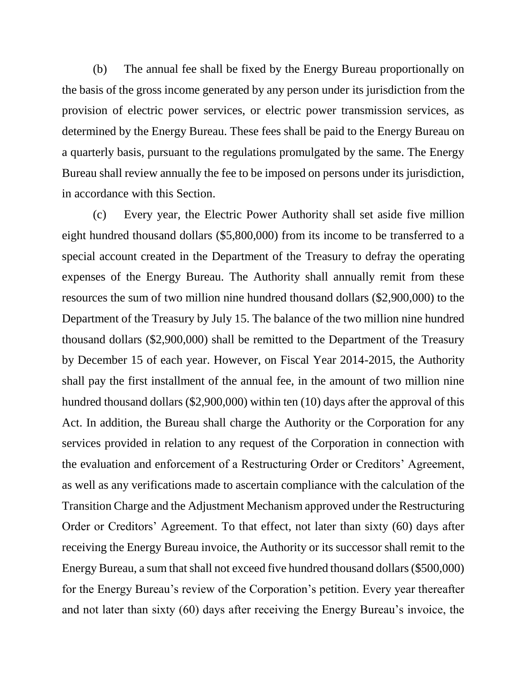(b) The annual fee shall be fixed by the Energy Bureau proportionally on the basis of the gross income generated by any person under its jurisdiction from the provision of electric power services, or electric power transmission services, as determined by the Energy Bureau. These fees shall be paid to the Energy Bureau on a quarterly basis, pursuant to the regulations promulgated by the same. The Energy Bureau shall review annually the fee to be imposed on persons under its jurisdiction, in accordance with this Section.

(c) Every year, the Electric Power Authority shall set aside five million eight hundred thousand dollars (\$5,800,000) from its income to be transferred to a special account created in the Department of the Treasury to defray the operating expenses of the Energy Bureau. The Authority shall annually remit from these resources the sum of two million nine hundred thousand dollars (\$2,900,000) to the Department of the Treasury by July 15. The balance of the two million nine hundred thousand dollars (\$2,900,000) shall be remitted to the Department of the Treasury by December 15 of each year. However, on Fiscal Year 2014-2015, the Authority shall pay the first installment of the annual fee, in the amount of two million nine hundred thousand dollars (\$2,900,000) within ten (10) days after the approval of this Act. In addition, the Bureau shall charge the Authority or the Corporation for any services provided in relation to any request of the Corporation in connection with the evaluation and enforcement of a Restructuring Order or Creditors' Agreement, as well as any verifications made to ascertain compliance with the calculation of the Transition Charge and the Adjustment Mechanism approved under the Restructuring Order or Creditors' Agreement. To that effect, not later than sixty (60) days after receiving the Energy Bureau invoice, the Authority or its successor shall remit to the Energy Bureau, a sum that shall not exceed five hundred thousand dollars (\$500,000) for the Energy Bureau's review of the Corporation's petition. Every year thereafter and not later than sixty (60) days after receiving the Energy Bureau's invoice, the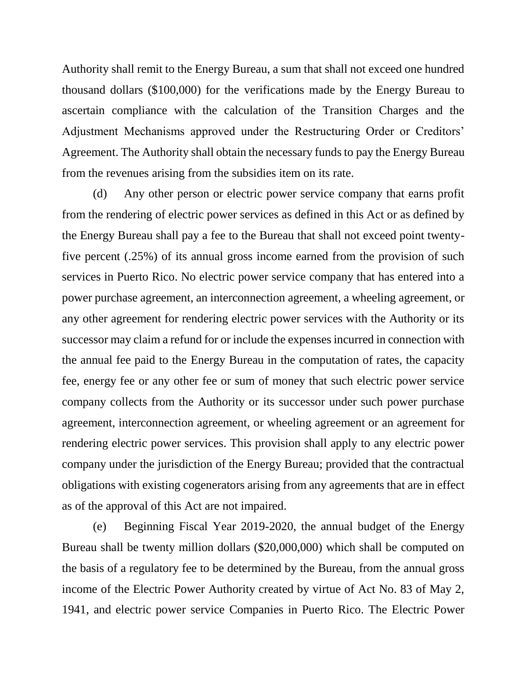Authority shall remit to the Energy Bureau, a sum that shall not exceed one hundred thousand dollars (\$100,000) for the verifications made by the Energy Bureau to ascertain compliance with the calculation of the Transition Charges and the Adjustment Mechanisms approved under the Restructuring Order or Creditors' Agreement. The Authority shall obtain the necessary funds to pay the Energy Bureau from the revenues arising from the subsidies item on its rate.

(d) Any other person or electric power service company that earns profit from the rendering of electric power services as defined in this Act or as defined by the Energy Bureau shall pay a fee to the Bureau that shall not exceed point twentyfive percent (.25%) of its annual gross income earned from the provision of such services in Puerto Rico. No electric power service company that has entered into a power purchase agreement, an interconnection agreement, a wheeling agreement, or any other agreement for rendering electric power services with the Authority or its successor may claim a refund for or include the expenses incurred in connection with the annual fee paid to the Energy Bureau in the computation of rates, the capacity fee, energy fee or any other fee or sum of money that such electric power service company collects from the Authority or its successor under such power purchase agreement, interconnection agreement, or wheeling agreement or an agreement for rendering electric power services. This provision shall apply to any electric power company under the jurisdiction of the Energy Bureau; provided that the contractual obligations with existing cogenerators arising from any agreements that are in effect as of the approval of this Act are not impaired.

(e) Beginning Fiscal Year 2019-2020, the annual budget of the Energy Bureau shall be twenty million dollars (\$20,000,000) which shall be computed on the basis of a regulatory fee to be determined by the Bureau, from the annual gross income of the Electric Power Authority created by virtue of Act No. 83 of May 2, 1941, and electric power service Companies in Puerto Rico. The Electric Power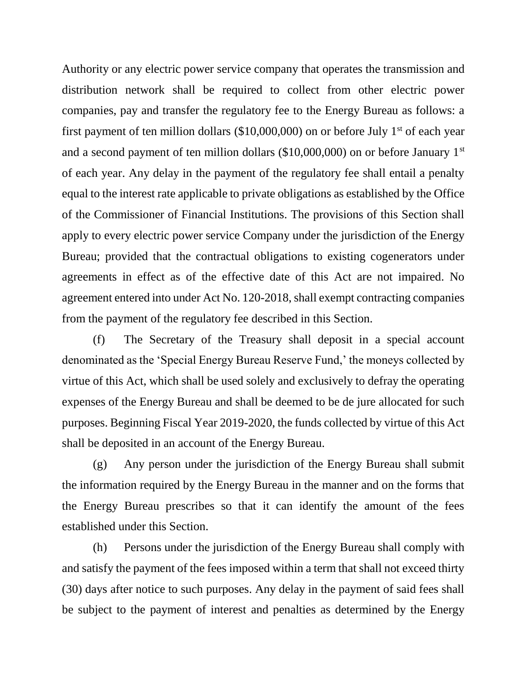Authority or any electric power service company that operates the transmission and distribution network shall be required to collect from other electric power companies, pay and transfer the regulatory fee to the Energy Bureau as follows: a first payment of ten million dollars (\$10,000,000) on or before July  $1<sup>st</sup>$  of each year and a second payment of ten million dollars  $(\$10,000,000)$  on or before January  $1<sup>st</sup>$ of each year. Any delay in the payment of the regulatory fee shall entail a penalty equal to the interest rate applicable to private obligations as established by the Office of the Commissioner of Financial Institutions. The provisions of this Section shall apply to every electric power service Company under the jurisdiction of the Energy Bureau; provided that the contractual obligations to existing cogenerators under agreements in effect as of the effective date of this Act are not impaired. No agreement entered into under Act No. 120-2018, shall exempt contracting companies from the payment of the regulatory fee described in this Section.

(f) The Secretary of the Treasury shall deposit in a special account denominated as the 'Special Energy Bureau Reserve Fund,' the moneys collected by virtue of this Act, which shall be used solely and exclusively to defray the operating expenses of the Energy Bureau and shall be deemed to be de jure allocated for such purposes. Beginning Fiscal Year 2019-2020, the funds collected by virtue of this Act shall be deposited in an account of the Energy Bureau.

(g) Any person under the jurisdiction of the Energy Bureau shall submit the information required by the Energy Bureau in the manner and on the forms that the Energy Bureau prescribes so that it can identify the amount of the fees established under this Section.

(h) Persons under the jurisdiction of the Energy Bureau shall comply with and satisfy the payment of the fees imposed within a term that shall not exceed thirty (30) days after notice to such purposes. Any delay in the payment of said fees shall be subject to the payment of interest and penalties as determined by the Energy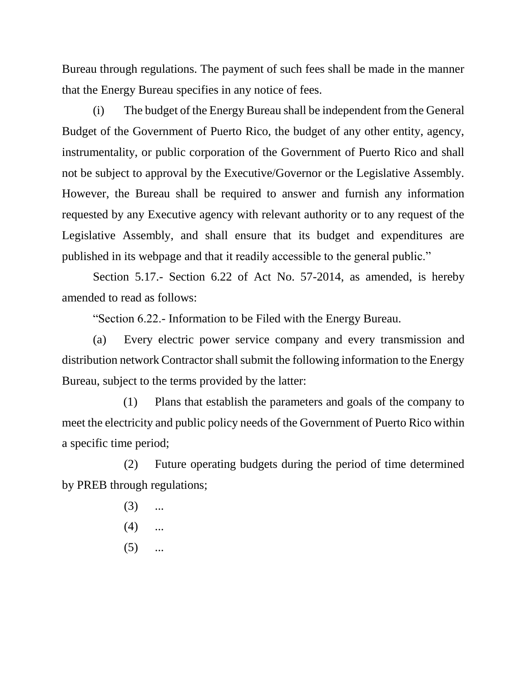Bureau through regulations. The payment of such fees shall be made in the manner that the Energy Bureau specifies in any notice of fees.

(i) The budget of the Energy Bureau shall be independent from the General Budget of the Government of Puerto Rico, the budget of any other entity, agency, instrumentality, or public corporation of the Government of Puerto Rico and shall not be subject to approval by the Executive/Governor or the Legislative Assembly. However, the Bureau shall be required to answer and furnish any information requested by any Executive agency with relevant authority or to any request of the Legislative Assembly, and shall ensure that its budget and expenditures are published in its webpage and that it readily accessible to the general public."

Section 5.17.- Section 6.22 of Act No. 57-2014, as amended, is hereby amended to read as follows:

"Section 6.22.- Information to be Filed with the Energy Bureau.

(a) Every electric power service company and every transmission and distribution network Contractor shall submit the following information to the Energy Bureau, subject to the terms provided by the latter:

(1) Plans that establish the parameters and goals of the company to meet the electricity and public policy needs of the Government of Puerto Rico within a specific time period;

(2) Future operating budgets during the period of time determined by PREB through regulations;

- $(3)$  ...
- $(4)$  ...
- $(5)$  ...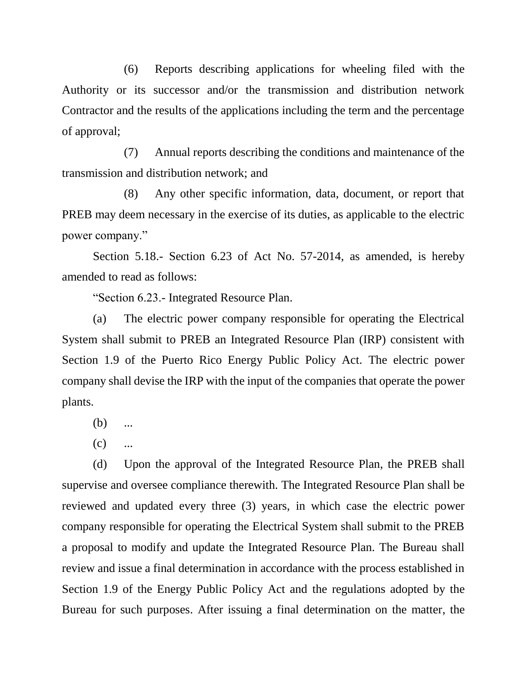(6) Reports describing applications for wheeling filed with the Authority or its successor and/or the transmission and distribution network Contractor and the results of the applications including the term and the percentage of approval;

(7) Annual reports describing the conditions and maintenance of the transmission and distribution network; and

(8) Any other specific information, data, document, or report that PREB may deem necessary in the exercise of its duties, as applicable to the electric power company."

Section 5.18.- Section 6.23 of Act No. 57-2014, as amended, is hereby amended to read as follows:

"Section 6.23.- Integrated Resource Plan.

(a) The electric power company responsible for operating the Electrical System shall submit to PREB an Integrated Resource Plan (IRP) consistent with Section 1.9 of the Puerto Rico Energy Public Policy Act. The electric power company shall devise the IRP with the input of the companies that operate the power plants.

- $(b)$  ...
- $(c)$  ...

(d) Upon the approval of the Integrated Resource Plan, the PREB shall supervise and oversee compliance therewith. The Integrated Resource Plan shall be reviewed and updated every three (3) years, in which case the electric power company responsible for operating the Electrical System shall submit to the PREB a proposal to modify and update the Integrated Resource Plan. The Bureau shall review and issue a final determination in accordance with the process established in Section 1.9 of the Energy Public Policy Act and the regulations adopted by the Bureau for such purposes. After issuing a final determination on the matter, the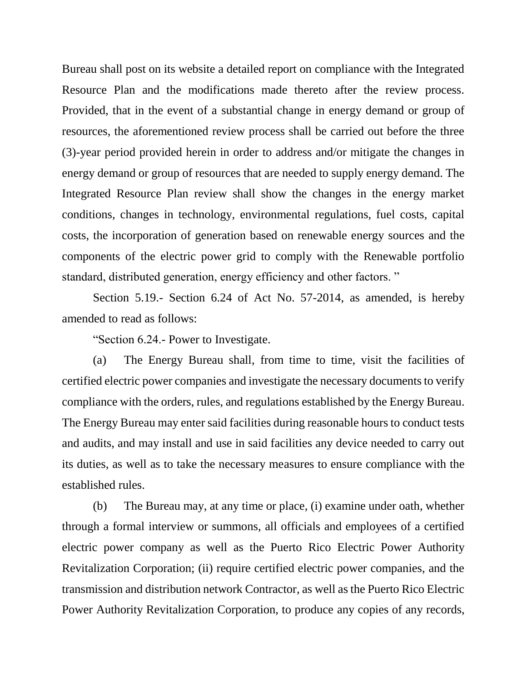Bureau shall post on its website a detailed report on compliance with the Integrated Resource Plan and the modifications made thereto after the review process. Provided, that in the event of a substantial change in energy demand or group of resources, the aforementioned review process shall be carried out before the three (3)-year period provided herein in order to address and/or mitigate the changes in energy demand or group of resources that are needed to supply energy demand. The Integrated Resource Plan review shall show the changes in the energy market conditions, changes in technology, environmental regulations, fuel costs, capital costs, the incorporation of generation based on renewable energy sources and the components of the electric power grid to comply with the Renewable portfolio standard, distributed generation, energy efficiency and other factors. "

Section 5.19.- Section 6.24 of Act No. 57-2014, as amended, is hereby amended to read as follows:

"Section 6.24.- Power to Investigate.

(a) The Energy Bureau shall, from time to time, visit the facilities of certified electric power companies and investigate the necessary documents to verify compliance with the orders, rules, and regulations established by the Energy Bureau. The Energy Bureau may enter said facilities during reasonable hours to conduct tests and audits, and may install and use in said facilities any device needed to carry out its duties, as well as to take the necessary measures to ensure compliance with the established rules.

(b) The Bureau may, at any time or place, (i) examine under oath, whether through a formal interview or summons, all officials and employees of a certified electric power company as well as the Puerto Rico Electric Power Authority Revitalization Corporation; (ii) require certified electric power companies, and the transmission and distribution network Contractor, as well as the Puerto Rico Electric Power Authority Revitalization Corporation, to produce any copies of any records,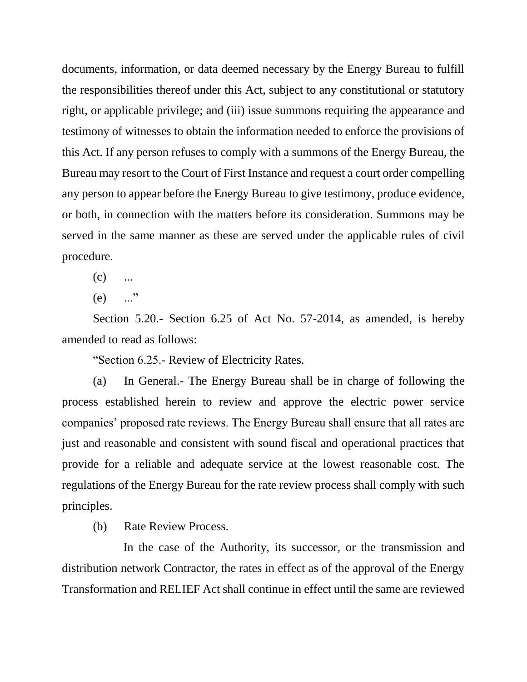documents, information, or data deemed necessary by the Energy Bureau to fulfill the responsibilities thereof under this Act, subject to any constitutional or statutory right, or applicable privilege; and (iii) issue summons requiring the appearance and testimony of witnesses to obtain the information needed to enforce the provisions of this Act. If any person refuses to comply with a summons of the Energy Bureau, the Bureau may resort to the Court of First Instance and request a court order compelling any person to appear before the Energy Bureau to give testimony, produce evidence, or both, in connection with the matters before its consideration. Summons may be served in the same manner as these are served under the applicable rules of civil procedure.

 $(c)$  ...

 $(e)$  ..."

Section 5.20.- Section 6.25 of Act No. 57-2014, as amended, is hereby amended to read as follows:

"Section 6.25.- Review of Electricity Rates.

(a) In General.- The Energy Bureau shall be in charge of following the process established herein to review and approve the electric power service companies' proposed rate reviews. The Energy Bureau shall ensure that all rates are just and reasonable and consistent with sound fiscal and operational practices that provide for a reliable and adequate service at the lowest reasonable cost. The regulations of the Energy Bureau for the rate review process shall comply with such principles.

(b) Rate Review Process.

In the case of the Authority, its successor, or the transmission and distribution network Contractor, the rates in effect as of the approval of the Energy Transformation and RELIEF Act shall continue in effect until the same are reviewed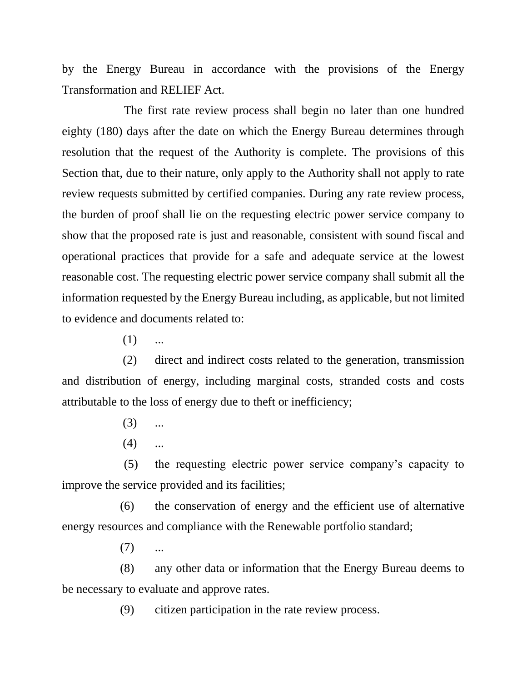by the Energy Bureau in accordance with the provisions of the Energy Transformation and RELIEF Act.

The first rate review process shall begin no later than one hundred eighty (180) days after the date on which the Energy Bureau determines through resolution that the request of the Authority is complete. The provisions of this Section that, due to their nature, only apply to the Authority shall not apply to rate review requests submitted by certified companies. During any rate review process, the burden of proof shall lie on the requesting electric power service company to show that the proposed rate is just and reasonable, consistent with sound fiscal and operational practices that provide for a safe and adequate service at the lowest reasonable cost. The requesting electric power service company shall submit all the information requested by the Energy Bureau including, as applicable, but not limited to evidence and documents related to:

 $(1)$  ...

(2) direct and indirect costs related to the generation, transmission and distribution of energy, including marginal costs, stranded costs and costs attributable to the loss of energy due to theft or inefficiency;

- $(3)$  ...
- $(4)$  ...

(5) the requesting electric power service company's capacity to improve the service provided and its facilities;

(6) the conservation of energy and the efficient use of alternative energy resources and compliance with the Renewable portfolio standard;

 $(7)$  ...

(8) any other data or information that the Energy Bureau deems to be necessary to evaluate and approve rates.

(9) citizen participation in the rate review process.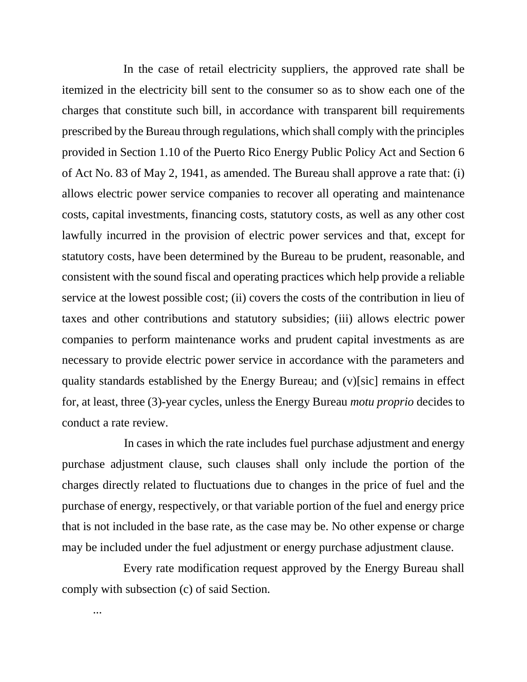In the case of retail electricity suppliers, the approved rate shall be itemized in the electricity bill sent to the consumer so as to show each one of the charges that constitute such bill, in accordance with transparent bill requirements prescribed by the Bureau through regulations, which shall comply with the principles provided in Section 1.10 of the Puerto Rico Energy Public Policy Act and Section 6 of Act No. 83 of May 2, 1941, as amended. The Bureau shall approve a rate that: (i) allows electric power service companies to recover all operating and maintenance costs, capital investments, financing costs, statutory costs, as well as any other cost lawfully incurred in the provision of electric power services and that, except for statutory costs, have been determined by the Bureau to be prudent, reasonable, and consistent with the sound fiscal and operating practices which help provide a reliable service at the lowest possible cost; (ii) covers the costs of the contribution in lieu of taxes and other contributions and statutory subsidies; (iii) allows electric power companies to perform maintenance works and prudent capital investments as are necessary to provide electric power service in accordance with the parameters and quality standards established by the Energy Bureau; and (v)[sic] remains in effect for, at least, three (3)-year cycles, unless the Energy Bureau *motu proprio* decides to conduct a rate review.

In cases in which the rate includes fuel purchase adjustment and energy purchase adjustment clause, such clauses shall only include the portion of the charges directly related to fluctuations due to changes in the price of fuel and the purchase of energy, respectively, or that variable portion of the fuel and energy price that is not included in the base rate, as the case may be. No other expense or charge may be included under the fuel adjustment or energy purchase adjustment clause.

Every rate modification request approved by the Energy Bureau shall comply with subsection (c) of said Section.

...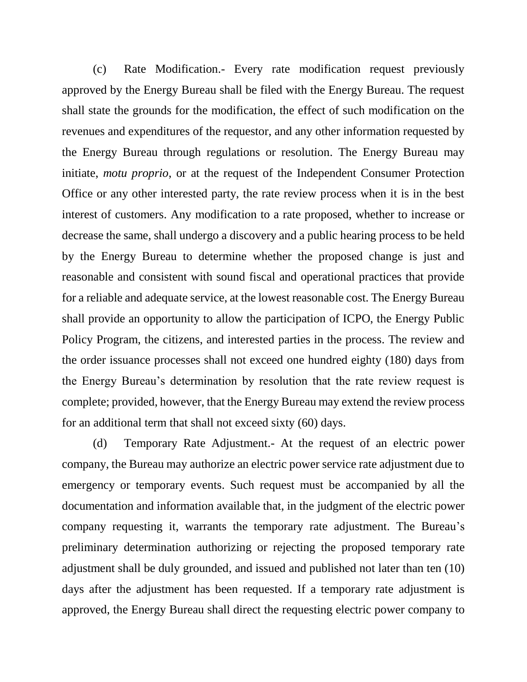(c) Rate Modification.- Every rate modification request previously approved by the Energy Bureau shall be filed with the Energy Bureau. The request shall state the grounds for the modification, the effect of such modification on the revenues and expenditures of the requestor, and any other information requested by the Energy Bureau through regulations or resolution. The Energy Bureau may initiate, *motu proprio*, or at the request of the Independent Consumer Protection Office or any other interested party, the rate review process when it is in the best interest of customers. Any modification to a rate proposed, whether to increase or decrease the same, shall undergo a discovery and a public hearing process to be held by the Energy Bureau to determine whether the proposed change is just and reasonable and consistent with sound fiscal and operational practices that provide for a reliable and adequate service, at the lowest reasonable cost. The Energy Bureau shall provide an opportunity to allow the participation of ICPO, the Energy Public Policy Program, the citizens, and interested parties in the process. The review and the order issuance processes shall not exceed one hundred eighty (180) days from the Energy Bureau's determination by resolution that the rate review request is complete; provided, however, that the Energy Bureau may extend the review process for an additional term that shall not exceed sixty (60) days.

(d) Temporary Rate Adjustment.- At the request of an electric power company, the Bureau may authorize an electric power service rate adjustment due to emergency or temporary events. Such request must be accompanied by all the documentation and information available that, in the judgment of the electric power company requesting it, warrants the temporary rate adjustment. The Bureau's preliminary determination authorizing or rejecting the proposed temporary rate adjustment shall be duly grounded, and issued and published not later than ten (10) days after the adjustment has been requested. If a temporary rate adjustment is approved, the Energy Bureau shall direct the requesting electric power company to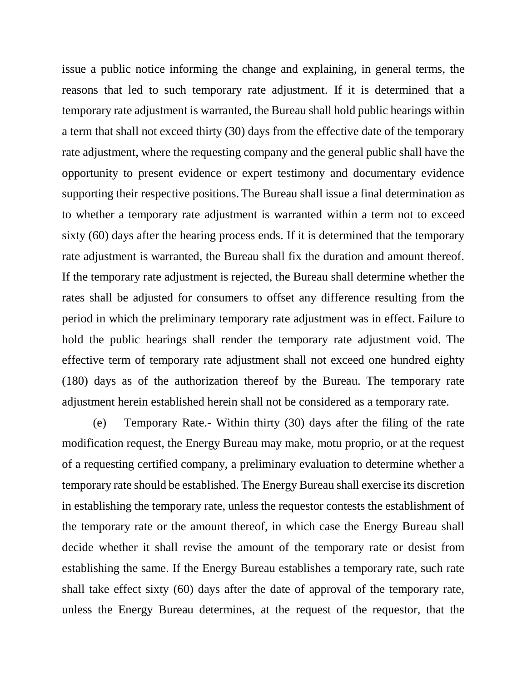issue a public notice informing the change and explaining, in general terms, the reasons that led to such temporary rate adjustment. If it is determined that a temporary rate adjustment is warranted, the Bureau shall hold public hearings within a term that shall not exceed thirty (30) days from the effective date of the temporary rate adjustment, where the requesting company and the general public shall have the opportunity to present evidence or expert testimony and documentary evidence supporting their respective positions. The Bureau shall issue a final determination as to whether a temporary rate adjustment is warranted within a term not to exceed sixty (60) days after the hearing process ends. If it is determined that the temporary rate adjustment is warranted, the Bureau shall fix the duration and amount thereof. If the temporary rate adjustment is rejected, the Bureau shall determine whether the rates shall be adjusted for consumers to offset any difference resulting from the period in which the preliminary temporary rate adjustment was in effect. Failure to hold the public hearings shall render the temporary rate adjustment void. The effective term of temporary rate adjustment shall not exceed one hundred eighty (180) days as of the authorization thereof by the Bureau. The temporary rate adjustment herein established herein shall not be considered as a temporary rate.

(e) Temporary Rate.- Within thirty (30) days after the filing of the rate modification request, the Energy Bureau may make, motu proprio, or at the request of a requesting certified company, a preliminary evaluation to determine whether a temporary rate should be established. The Energy Bureau shall exercise its discretion in establishing the temporary rate, unless the requestor contests the establishment of the temporary rate or the amount thereof, in which case the Energy Bureau shall decide whether it shall revise the amount of the temporary rate or desist from establishing the same. If the Energy Bureau establishes a temporary rate, such rate shall take effect sixty (60) days after the date of approval of the temporary rate, unless the Energy Bureau determines, at the request of the requestor, that the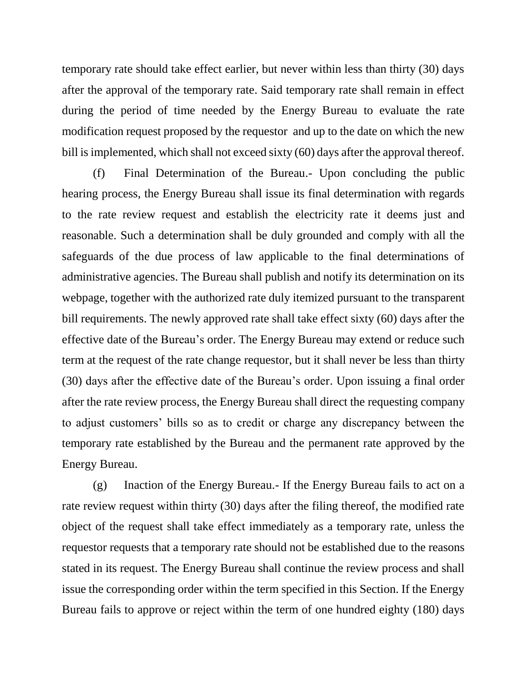temporary rate should take effect earlier, but never within less than thirty (30) days after the approval of the temporary rate. Said temporary rate shall remain in effect during the period of time needed by the Energy Bureau to evaluate the rate modification request proposed by the requestor and up to the date on which the new bill is implemented, which shall not exceed sixty (60) days after the approval thereof.

(f) Final Determination of the Bureau.- Upon concluding the public hearing process, the Energy Bureau shall issue its final determination with regards to the rate review request and establish the electricity rate it deems just and reasonable. Such a determination shall be duly grounded and comply with all the safeguards of the due process of law applicable to the final determinations of administrative agencies. The Bureau shall publish and notify its determination on its webpage, together with the authorized rate duly itemized pursuant to the transparent bill requirements. The newly approved rate shall take effect sixty (60) days after the effective date of the Bureau's order. The Energy Bureau may extend or reduce such term at the request of the rate change requestor, but it shall never be less than thirty (30) days after the effective date of the Bureau's order. Upon issuing a final order after the rate review process, the Energy Bureau shall direct the requesting company to adjust customers' bills so as to credit or charge any discrepancy between the temporary rate established by the Bureau and the permanent rate approved by the Energy Bureau.

(g) Inaction of the Energy Bureau.- If the Energy Bureau fails to act on a rate review request within thirty (30) days after the filing thereof, the modified rate object of the request shall take effect immediately as a temporary rate, unless the requestor requests that a temporary rate should not be established due to the reasons stated in its request. The Energy Bureau shall continue the review process and shall issue the corresponding order within the term specified in this Section. If the Energy Bureau fails to approve or reject within the term of one hundred eighty (180) days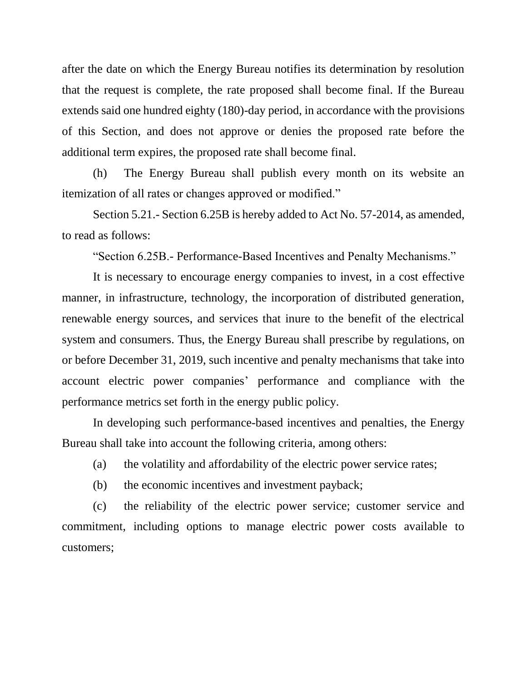after the date on which the Energy Bureau notifies its determination by resolution that the request is complete, the rate proposed shall become final. If the Bureau extends said one hundred eighty (180)-day period, in accordance with the provisions of this Section, and does not approve or denies the proposed rate before the additional term expires, the proposed rate shall become final.

(h) The Energy Bureau shall publish every month on its website an itemization of all rates or changes approved or modified."

Section 5.21.- Section 6.25B is hereby added to Act No. 57-2014, as amended, to read as follows:

"Section 6.25B.- Performance-Based Incentives and Penalty Mechanisms."

It is necessary to encourage energy companies to invest, in a cost effective manner, in infrastructure, technology, the incorporation of distributed generation, renewable energy sources, and services that inure to the benefit of the electrical system and consumers. Thus, the Energy Bureau shall prescribe by regulations, on or before December 31, 2019, such incentive and penalty mechanisms that take into account electric power companies' performance and compliance with the performance metrics set forth in the energy public policy.

In developing such performance-based incentives and penalties, the Energy Bureau shall take into account the following criteria, among others:

(a) the volatility and affordability of the electric power service rates;

(b) the economic incentives and investment payback;

(c) the reliability of the electric power service; customer service and commitment, including options to manage electric power costs available to customers;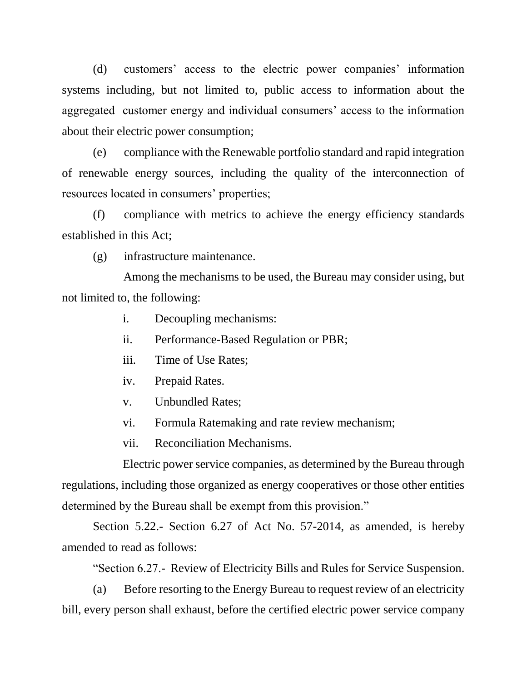(d) customers' access to the electric power companies' information systems including, but not limited to, public access to information about the aggregated customer energy and individual consumers' access to the information about their electric power consumption;

(e) compliance with the Renewable portfolio standard and rapid integration of renewable energy sources, including the quality of the interconnection of resources located in consumers' properties;

(f) compliance with metrics to achieve the energy efficiency standards established in this Act;

(g) infrastructure maintenance.

Among the mechanisms to be used, the Bureau may consider using, but not limited to, the following:

- i. Decoupling mechanisms:
- ii. Performance-Based Regulation or PBR;
- iii. Time of Use Rates;
- iv. Prepaid Rates.
- v. Unbundled Rates;
- vi. Formula Ratemaking and rate review mechanism;
- vii. Reconciliation Mechanisms.

Electric power service companies, as determined by the Bureau through regulations, including those organized as energy cooperatives or those other entities determined by the Bureau shall be exempt from this provision."

Section 5.22.- Section 6.27 of Act No. 57-2014, as amended, is hereby amended to read as follows:

"Section 6.27.- Review of Electricity Bills and Rules for Service Suspension.

(a) Before resorting to the Energy Bureau to request review of an electricity bill, every person shall exhaust, before the certified electric power service company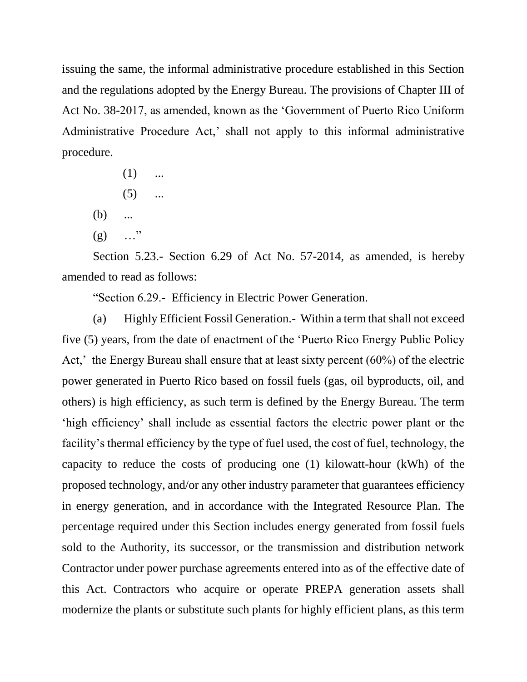issuing the same, the informal administrative procedure established in this Section and the regulations adopted by the Energy Bureau. The provisions of Chapter III of Act No. 38-2017, as amended, known as the 'Government of Puerto Rico Uniform Administrative Procedure Act,' shall not apply to this informal administrative procedure.

- $(1)$  ...  $(5)$  ...
- (b) ...
- $(g)$  …"

Section 5.23.- Section 6.29 of Act No. 57-2014, as amended, is hereby amended to read as follows:

"Section 6.29.- Efficiency in Electric Power Generation.

(a) Highly Efficient Fossil Generation.- Within a term that shall not exceed five (5) years, from the date of enactment of the 'Puerto Rico Energy Public Policy Act,' the Energy Bureau shall ensure that at least sixty percent (60%) of the electric power generated in Puerto Rico based on fossil fuels (gas, oil byproducts, oil, and others) is high efficiency, as such term is defined by the Energy Bureau. The term 'high efficiency' shall include as essential factors the electric power plant or the facility's thermal efficiency by the type of fuel used, the cost of fuel, technology, the capacity to reduce the costs of producing one (1) kilowatt-hour (kWh) of the proposed technology, and/or any other industry parameter that guarantees efficiency in energy generation, and in accordance with the Integrated Resource Plan. The percentage required under this Section includes energy generated from fossil fuels sold to the Authority, its successor, or the transmission and distribution network Contractor under power purchase agreements entered into as of the effective date of this Act. Contractors who acquire or operate PREPA generation assets shall modernize the plants or substitute such plants for highly efficient plans, as this term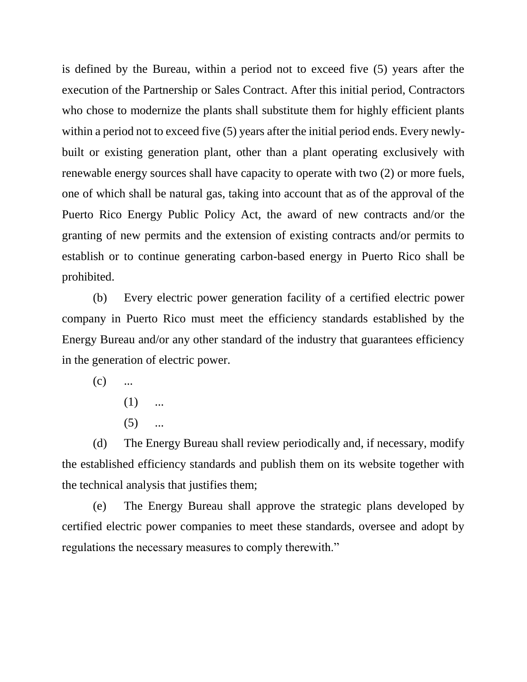is defined by the Bureau, within a period not to exceed five (5) years after the execution of the Partnership or Sales Contract. After this initial period, Contractors who chose to modernize the plants shall substitute them for highly efficient plants within a period not to exceed five (5) years after the initial period ends. Every newlybuilt or existing generation plant, other than a plant operating exclusively with renewable energy sources shall have capacity to operate with two (2) or more fuels, one of which shall be natural gas, taking into account that as of the approval of the Puerto Rico Energy Public Policy Act, the award of new contracts and/or the granting of new permits and the extension of existing contracts and/or permits to establish or to continue generating carbon-based energy in Puerto Rico shall be prohibited.

(b) Every electric power generation facility of a certified electric power company in Puerto Rico must meet the efficiency standards established by the Energy Bureau and/or any other standard of the industry that guarantees efficiency in the generation of electric power.

 $(c)$  ...

- $(1)$  ...
- $(5)$  ...

(d) The Energy Bureau shall review periodically and, if necessary, modify the established efficiency standards and publish them on its website together with the technical analysis that justifies them;

(e) The Energy Bureau shall approve the strategic plans developed by certified electric power companies to meet these standards, oversee and adopt by regulations the necessary measures to comply therewith."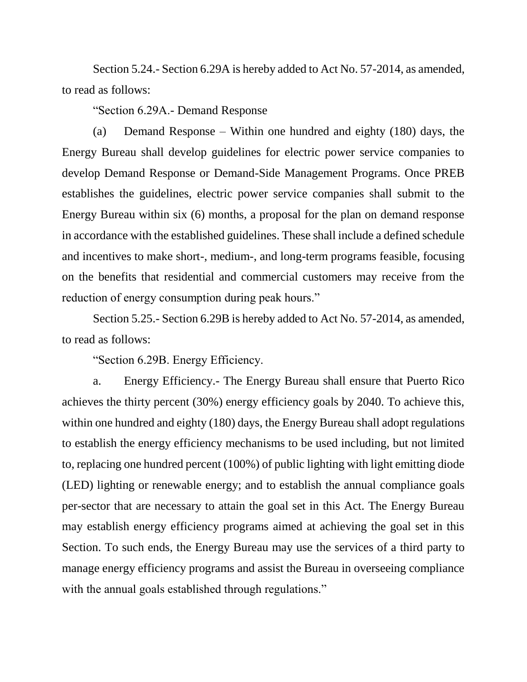Section 5.24.- Section 6.29A is hereby added to Act No. 57-2014, as amended, to read as follows:

"Section 6.29A.- Demand Response

(a) Demand Response – Within one hundred and eighty (180) days, the Energy Bureau shall develop guidelines for electric power service companies to develop Demand Response or Demand-Side Management Programs. Once PREB establishes the guidelines, electric power service companies shall submit to the Energy Bureau within six (6) months, a proposal for the plan on demand response in accordance with the established guidelines. These shall include a defined schedule and incentives to make short-, medium-, and long-term programs feasible, focusing on the benefits that residential and commercial customers may receive from the reduction of energy consumption during peak hours."

Section 5.25.- Section 6.29B is hereby added to Act No. 57-2014, as amended, to read as follows:

"Section 6.29B. Energy Efficiency.

a. Energy Efficiency.- The Energy Bureau shall ensure that Puerto Rico achieves the thirty percent (30%) energy efficiency goals by 2040. To achieve this, within one hundred and eighty (180) days, the Energy Bureau shall adopt regulations to establish the energy efficiency mechanisms to be used including, but not limited to, replacing one hundred percent (100%) of public lighting with light emitting diode (LED) lighting or renewable energy; and to establish the annual compliance goals per-sector that are necessary to attain the goal set in this Act. The Energy Bureau may establish energy efficiency programs aimed at achieving the goal set in this Section. To such ends, the Energy Bureau may use the services of a third party to manage energy efficiency programs and assist the Bureau in overseeing compliance with the annual goals established through regulations."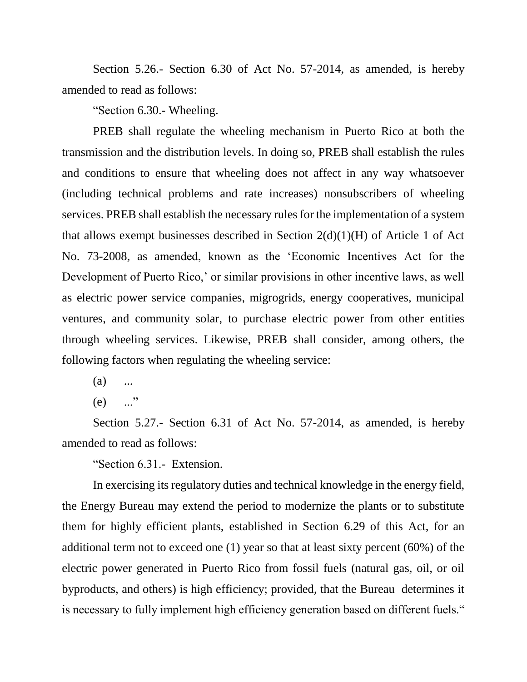Section 5.26.- Section 6.30 of Act No. 57-2014, as amended, is hereby amended to read as follows:

"Section 6.30.- Wheeling.

PREB shall regulate the wheeling mechanism in Puerto Rico at both the transmission and the distribution levels. In doing so, PREB shall establish the rules and conditions to ensure that wheeling does not affect in any way whatsoever (including technical problems and rate increases) nonsubscribers of wheeling services. PREB shall establish the necessary rules for the implementation of a system that allows exempt businesses described in Section  $2(d)(1)(H)$  of Article 1 of Act No. 73-2008, as amended, known as the 'Economic Incentives Act for the Development of Puerto Rico,' or similar provisions in other incentive laws, as well as electric power service companies, migrogrids, energy cooperatives, municipal ventures, and community solar, to purchase electric power from other entities through wheeling services. Likewise, PREB shall consider, among others, the following factors when regulating the wheeling service:

- $(a)$  ...
- $(e)$  ..."

Section 5.27.- Section 6.31 of Act No. 57-2014, as amended, is hereby amended to read as follows:

"Section 6.31.- Extension.

In exercising its regulatory duties and technical knowledge in the energy field, the Energy Bureau may extend the period to modernize the plants or to substitute them for highly efficient plants, established in Section 6.29 of this Act, for an additional term not to exceed one (1) year so that at least sixty percent (60%) of the electric power generated in Puerto Rico from fossil fuels (natural gas, oil, or oil byproducts, and others) is high efficiency; provided, that the Bureau determines it is necessary to fully implement high efficiency generation based on different fuels."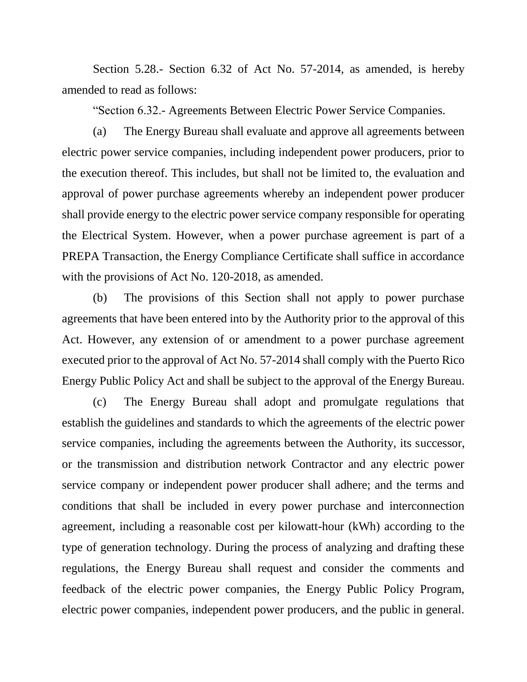Section 5.28.- Section 6.32 of Act No. 57-2014, as amended, is hereby amended to read as follows:

"Section 6.32.- Agreements Between Electric Power Service Companies.

(a) The Energy Bureau shall evaluate and approve all agreements between electric power service companies, including independent power producers, prior to the execution thereof. This includes, but shall not be limited to, the evaluation and approval of power purchase agreements whereby an independent power producer shall provide energy to the electric power service company responsible for operating the Electrical System. However, when a power purchase agreement is part of a PREPA Transaction, the Energy Compliance Certificate shall suffice in accordance with the provisions of Act No. 120-2018, as amended.

(b) The provisions of this Section shall not apply to power purchase agreements that have been entered into by the Authority prior to the approval of this Act. However, any extension of or amendment to a power purchase agreement executed prior to the approval of Act No. 57-2014 shall comply with the Puerto Rico Energy Public Policy Act and shall be subject to the approval of the Energy Bureau.

(c) The Energy Bureau shall adopt and promulgate regulations that establish the guidelines and standards to which the agreements of the electric power service companies, including the agreements between the Authority, its successor, or the transmission and distribution network Contractor and any electric power service company or independent power producer shall adhere; and the terms and conditions that shall be included in every power purchase and interconnection agreement, including a reasonable cost per kilowatt-hour (kWh) according to the type of generation technology. During the process of analyzing and drafting these regulations, the Energy Bureau shall request and consider the comments and feedback of the electric power companies, the Energy Public Policy Program, electric power companies, independent power producers, and the public in general.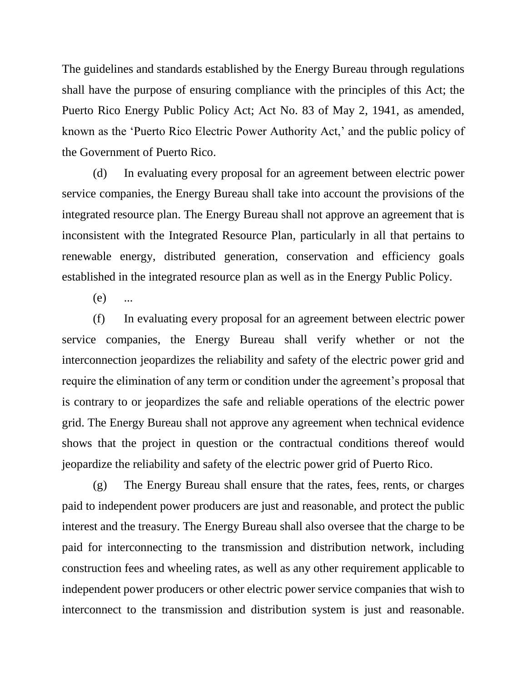The guidelines and standards established by the Energy Bureau through regulations shall have the purpose of ensuring compliance with the principles of this Act; the Puerto Rico Energy Public Policy Act; Act No. 83 of May 2, 1941, as amended, known as the 'Puerto Rico Electric Power Authority Act,' and the public policy of the Government of Puerto Rico.

(d) In evaluating every proposal for an agreement between electric power service companies, the Energy Bureau shall take into account the provisions of the integrated resource plan. The Energy Bureau shall not approve an agreement that is inconsistent with the Integrated Resource Plan, particularly in all that pertains to renewable energy, distributed generation, conservation and efficiency goals established in the integrated resource plan as well as in the Energy Public Policy.

(e) ...

(f) In evaluating every proposal for an agreement between electric power service companies, the Energy Bureau shall verify whether or not the interconnection jeopardizes the reliability and safety of the electric power grid and require the elimination of any term or condition under the agreement's proposal that is contrary to or jeopardizes the safe and reliable operations of the electric power grid. The Energy Bureau shall not approve any agreement when technical evidence shows that the project in question or the contractual conditions thereof would jeopardize the reliability and safety of the electric power grid of Puerto Rico.

(g) The Energy Bureau shall ensure that the rates, fees, rents, or charges paid to independent power producers are just and reasonable, and protect the public interest and the treasury. The Energy Bureau shall also oversee that the charge to be paid for interconnecting to the transmission and distribution network, including construction fees and wheeling rates, as well as any other requirement applicable to independent power producers or other electric power service companies that wish to interconnect to the transmission and distribution system is just and reasonable.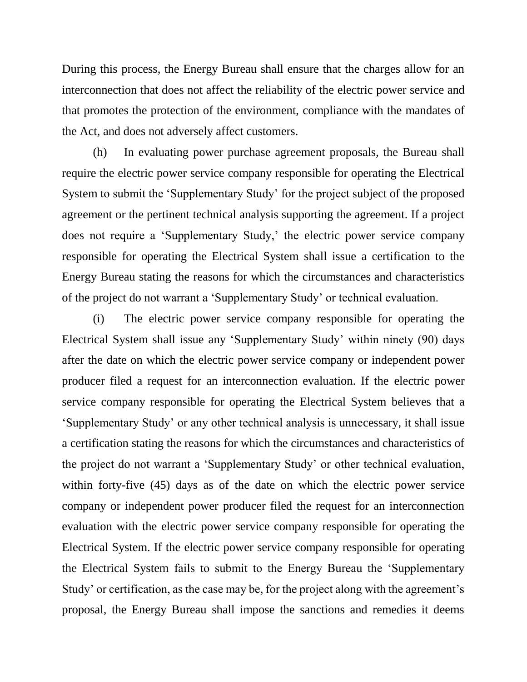During this process, the Energy Bureau shall ensure that the charges allow for an interconnection that does not affect the reliability of the electric power service and that promotes the protection of the environment, compliance with the mandates of the Act, and does not adversely affect customers.

(h) In evaluating power purchase agreement proposals, the Bureau shall require the electric power service company responsible for operating the Electrical System to submit the 'Supplementary Study' for the project subject of the proposed agreement or the pertinent technical analysis supporting the agreement. If a project does not require a 'Supplementary Study,' the electric power service company responsible for operating the Electrical System shall issue a certification to the Energy Bureau stating the reasons for which the circumstances and characteristics of the project do not warrant a 'Supplementary Study' or technical evaluation.

(i) The electric power service company responsible for operating the Electrical System shall issue any 'Supplementary Study' within ninety (90) days after the date on which the electric power service company or independent power producer filed a request for an interconnection evaluation. If the electric power service company responsible for operating the Electrical System believes that a 'Supplementary Study' or any other technical analysis is unnecessary, it shall issue a certification stating the reasons for which the circumstances and characteristics of the project do not warrant a 'Supplementary Study' or other technical evaluation, within forty-five (45) days as of the date on which the electric power service company or independent power producer filed the request for an interconnection evaluation with the electric power service company responsible for operating the Electrical System. If the electric power service company responsible for operating the Electrical System fails to submit to the Energy Bureau the 'Supplementary Study' or certification, as the case may be, for the project along with the agreement's proposal, the Energy Bureau shall impose the sanctions and remedies it deems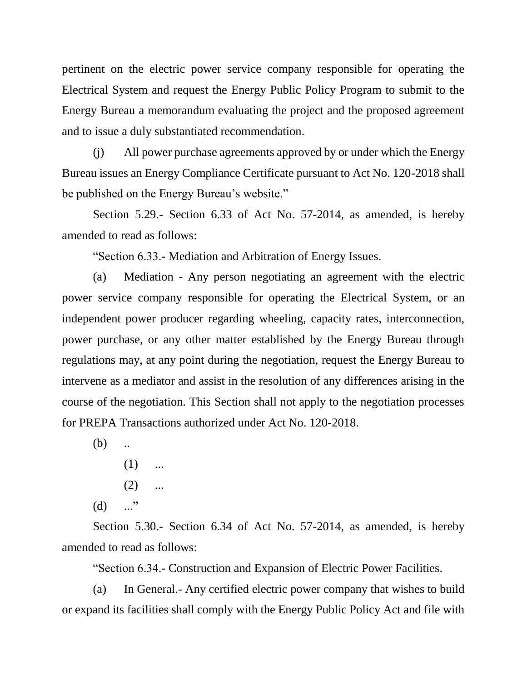pertinent on the electric power service company responsible for operating the Electrical System and request the Energy Public Policy Program to submit to the Energy Bureau a memorandum evaluating the project and the proposed agreement and to issue a duly substantiated recommendation.

(j) All power purchase agreements approved by or under which the Energy Bureau issues an Energy Compliance Certificate pursuant to Act No. 120-2018 shall be published on the Energy Bureau's website."

Section 5.29.- Section 6.33 of Act No. 57-2014, as amended, is hereby amended to read as follows:

"Section 6.33.- Mediation and Arbitration of Energy Issues.

(a) Mediation - Any person negotiating an agreement with the electric power service company responsible for operating the Electrical System, or an independent power producer regarding wheeling, capacity rates, interconnection, power purchase, or any other matter established by the Energy Bureau through regulations may, at any point during the negotiation, request the Energy Bureau to intervene as a mediator and assist in the resolution of any differences arising in the course of the negotiation. This Section shall not apply to the negotiation processes for PREPA Transactions authorized under Act No. 120-2018.

 $(b)$  ...

- $(1)$  ...
- $(2)$  ...
- $(d)$  ..."

Section 5.30.- Section 6.34 of Act No. 57-2014, as amended, is hereby amended to read as follows:

"Section 6.34.- Construction and Expansion of Electric Power Facilities.

(a) In General.- Any certified electric power company that wishes to build or expand its facilities shall comply with the Energy Public Policy Act and file with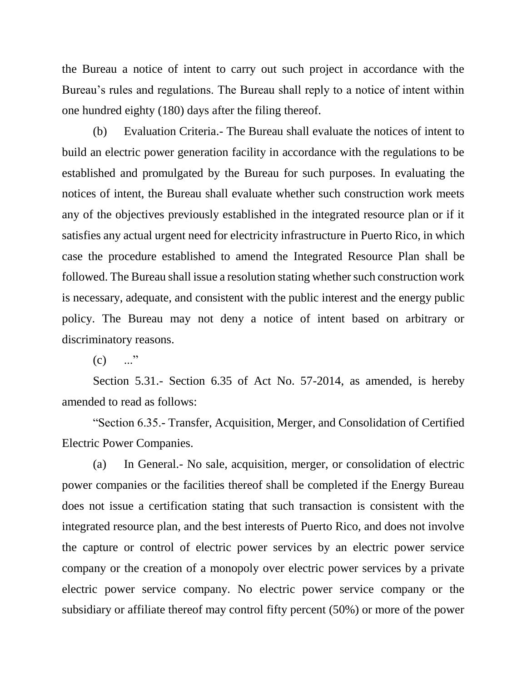the Bureau a notice of intent to carry out such project in accordance with the Bureau's rules and regulations. The Bureau shall reply to a notice of intent within one hundred eighty (180) days after the filing thereof.

(b) Evaluation Criteria.- The Bureau shall evaluate the notices of intent to build an electric power generation facility in accordance with the regulations to be established and promulgated by the Bureau for such purposes. In evaluating the notices of intent, the Bureau shall evaluate whether such construction work meets any of the objectives previously established in the integrated resource plan or if it satisfies any actual urgent need for electricity infrastructure in Puerto Rico, in which case the procedure established to amend the Integrated Resource Plan shall be followed. The Bureau shall issue a resolution stating whether such construction work is necessary, adequate, and consistent with the public interest and the energy public policy. The Bureau may not deny a notice of intent based on arbitrary or discriminatory reasons.

 $(c)$  ..."

Section 5.31.- Section 6.35 of Act No. 57-2014, as amended, is hereby amended to read as follows:

"Section 6.35.- Transfer, Acquisition, Merger, and Consolidation of Certified Electric Power Companies.

(a) In General.- No sale, acquisition, merger, or consolidation of electric power companies or the facilities thereof shall be completed if the Energy Bureau does not issue a certification stating that such transaction is consistent with the integrated resource plan, and the best interests of Puerto Rico, and does not involve the capture or control of electric power services by an electric power service company or the creation of a monopoly over electric power services by a private electric power service company. No electric power service company or the subsidiary or affiliate thereof may control fifty percent (50%) or more of the power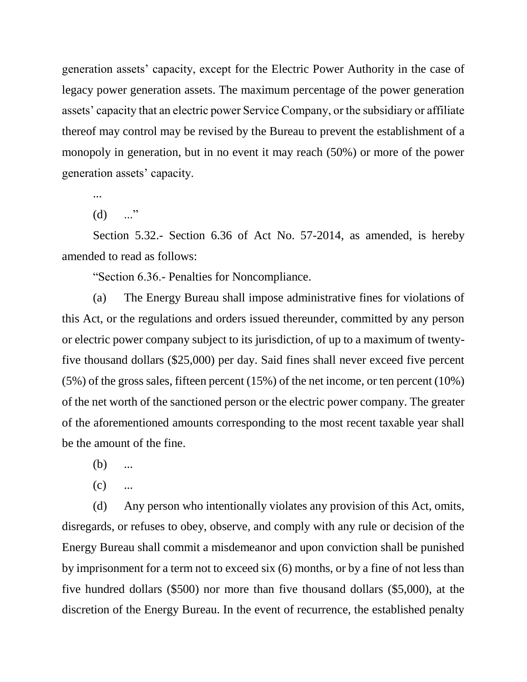generation assets' capacity, except for the Electric Power Authority in the case of legacy power generation assets. The maximum percentage of the power generation assets' capacity that an electric power Service Company, or the subsidiary or affiliate thereof may control may be revised by the Bureau to prevent the establishment of a monopoly in generation, but in no event it may reach (50%) or more of the power generation assets' capacity.

...

 $(d)$  ..."

Section 5.32.- Section 6.36 of Act No. 57-2014, as amended, is hereby amended to read as follows:

"Section 6.36.- Penalties for Noncompliance.

(a) The Energy Bureau shall impose administrative fines for violations of this Act, or the regulations and orders issued thereunder, committed by any person or electric power company subject to its jurisdiction, of up to a maximum of twentyfive thousand dollars (\$25,000) per day. Said fines shall never exceed five percent (5%) of the gross sales, fifteen percent (15%) of the net income, or ten percent (10%) of the net worth of the sanctioned person or the electric power company. The greater of the aforementioned amounts corresponding to the most recent taxable year shall be the amount of the fine.

(b) ...

 $(c)$  ...

(d) Any person who intentionally violates any provision of this Act, omits, disregards, or refuses to obey, observe, and comply with any rule or decision of the Energy Bureau shall commit a misdemeanor and upon conviction shall be punished by imprisonment for a term not to exceed six (6) months, or by a fine of not less than five hundred dollars (\$500) nor more than five thousand dollars (\$5,000), at the discretion of the Energy Bureau. In the event of recurrence, the established penalty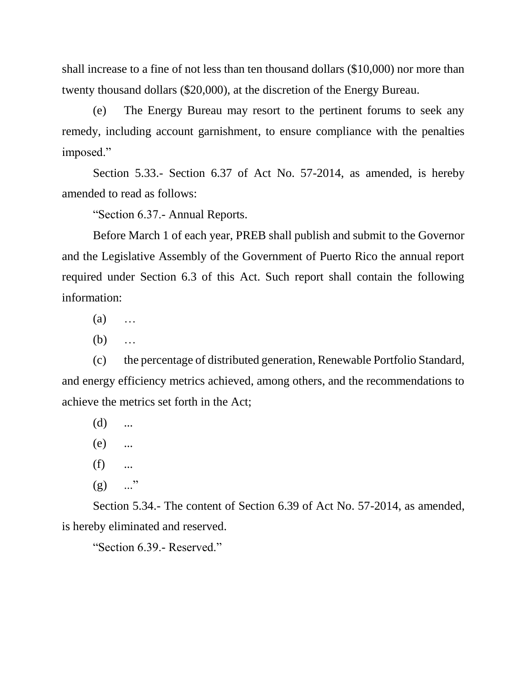shall increase to a fine of not less than ten thousand dollars (\$10,000) nor more than twenty thousand dollars (\$20,000), at the discretion of the Energy Bureau.

(e) The Energy Bureau may resort to the pertinent forums to seek any remedy, including account garnishment, to ensure compliance with the penalties imposed."

Section 5.33.- Section 6.37 of Act No. 57-2014, as amended, is hereby amended to read as follows:

"Section 6.37.- Annual Reports.

Before March 1 of each year, PREB shall publish and submit to the Governor and the Legislative Assembly of the Government of Puerto Rico the annual report required under Section 6.3 of this Act. Such report shall contain the following information:

 $(a)$  …

(b) …

(c) the percentage of distributed generation, Renewable Portfolio Standard, and energy efficiency metrics achieved, among others, and the recommendations to achieve the metrics set forth in the Act;

 $(d)$  ...

(e) ...

 $(f)$  ...

 $(g)$  ..."

Section 5.34.- The content of Section 6.39 of Act No. 57-2014, as amended, is hereby eliminated and reserved.

"Section 6.39.- Reserved."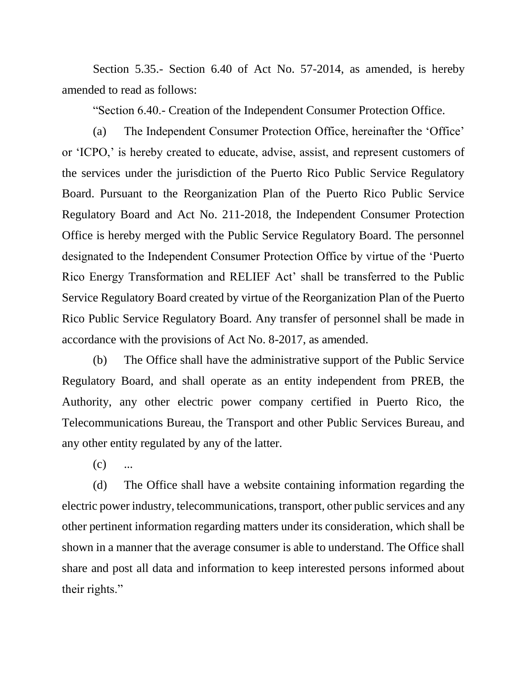Section 5.35.- Section 6.40 of Act No. 57-2014, as amended, is hereby amended to read as follows:

"Section 6.40.- Creation of the Independent Consumer Protection Office.

(a) The Independent Consumer Protection Office, hereinafter the 'Office' or 'ICPO,' is hereby created to educate, advise, assist, and represent customers of the services under the jurisdiction of the Puerto Rico Public Service Regulatory Board. Pursuant to the Reorganization Plan of the Puerto Rico Public Service Regulatory Board and Act No. 211-2018, the Independent Consumer Protection Office is hereby merged with the Public Service Regulatory Board. The personnel designated to the Independent Consumer Protection Office by virtue of the 'Puerto Rico Energy Transformation and RELIEF Act' shall be transferred to the Public Service Regulatory Board created by virtue of the Reorganization Plan of the Puerto Rico Public Service Regulatory Board. Any transfer of personnel shall be made in accordance with the provisions of Act No. 8-2017, as amended.

(b) The Office shall have the administrative support of the Public Service Regulatory Board, and shall operate as an entity independent from PREB, the Authority, any other electric power company certified in Puerto Rico, the Telecommunications Bureau, the Transport and other Public Services Bureau, and any other entity regulated by any of the latter.

 $(c)$ 

(d) The Office shall have a website containing information regarding the electric power industry, telecommunications, transport, other public services and any other pertinent information regarding matters under its consideration, which shall be shown in a manner that the average consumer is able to understand. The Office shall share and post all data and information to keep interested persons informed about their rights."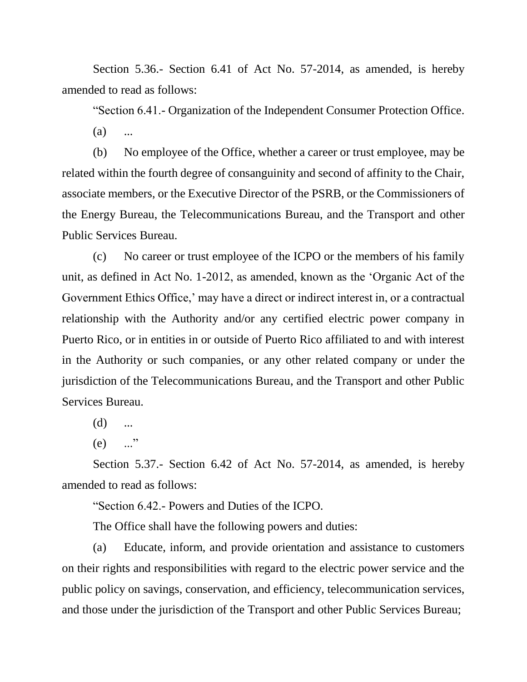Section 5.36.- Section 6.41 of Act No. 57-2014, as amended, is hereby amended to read as follows:

"Section 6.41.- Organization of the Independent Consumer Protection Office.

 $(a)$  ...

(b) No employee of the Office, whether a career or trust employee, may be related within the fourth degree of consanguinity and second of affinity to the Chair, associate members, or the Executive Director of the PSRB, or the Commissioners of the Energy Bureau, the Telecommunications Bureau, and the Transport and other Public Services Bureau.

(c) No career or trust employee of the ICPO or the members of his family unit, as defined in Act No. 1-2012, as amended, known as the 'Organic Act of the Government Ethics Office,' may have a direct or indirect interest in, or a contractual relationship with the Authority and/or any certified electric power company in Puerto Rico, or in entities in or outside of Puerto Rico affiliated to and with interest in the Authority or such companies, or any other related company or under the jurisdiction of the Telecommunications Bureau, and the Transport and other Public Services Bureau.

 $(d)$  ...

 $(e)$  ..."

Section 5.37.- Section 6.42 of Act No. 57-2014, as amended, is hereby amended to read as follows:

"Section 6.42.- Powers and Duties of the ICPO.

The Office shall have the following powers and duties:

(a) Educate, inform, and provide orientation and assistance to customers on their rights and responsibilities with regard to the electric power service and the public policy on savings, conservation, and efficiency, telecommunication services, and those under the jurisdiction of the Transport and other Public Services Bureau;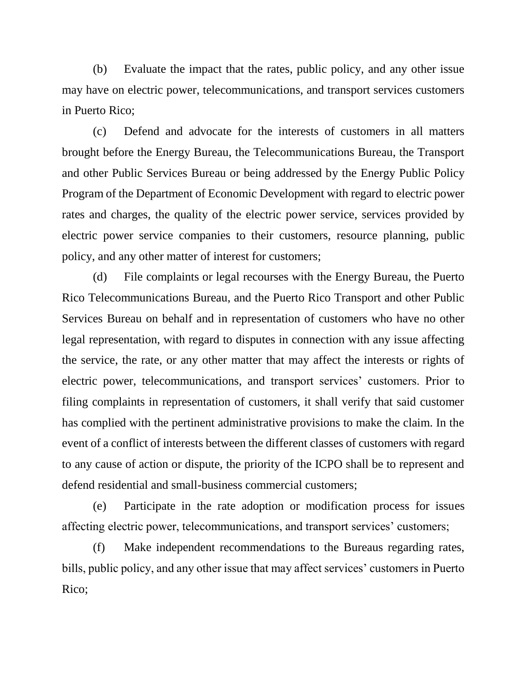(b) Evaluate the impact that the rates, public policy, and any other issue may have on electric power, telecommunications, and transport services customers in Puerto Rico;

(c) Defend and advocate for the interests of customers in all matters brought before the Energy Bureau, the Telecommunications Bureau, the Transport and other Public Services Bureau or being addressed by the Energy Public Policy Program of the Department of Economic Development with regard to electric power rates and charges, the quality of the electric power service, services provided by electric power service companies to their customers, resource planning, public policy, and any other matter of interest for customers;

(d) File complaints or legal recourses with the Energy Bureau, the Puerto Rico Telecommunications Bureau, and the Puerto Rico Transport and other Public Services Bureau on behalf and in representation of customers who have no other legal representation, with regard to disputes in connection with any issue affecting the service, the rate, or any other matter that may affect the interests or rights of electric power, telecommunications, and transport services' customers. Prior to filing complaints in representation of customers, it shall verify that said customer has complied with the pertinent administrative provisions to make the claim. In the event of a conflict of interests between the different classes of customers with regard to any cause of action or dispute, the priority of the ICPO shall be to represent and defend residential and small-business commercial customers;

(e) Participate in the rate adoption or modification process for issues affecting electric power, telecommunications, and transport services' customers;

(f) Make independent recommendations to the Bureaus regarding rates, bills, public policy, and any other issue that may affect services' customers in Puerto Rico;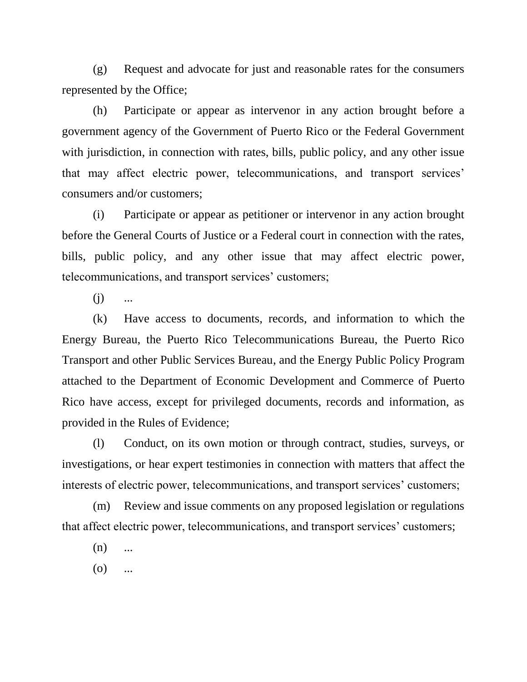(g) Request and advocate for just and reasonable rates for the consumers represented by the Office;

(h) Participate or appear as intervenor in any action brought before a government agency of the Government of Puerto Rico or the Federal Government with jurisdiction, in connection with rates, bills, public policy, and any other issue that may affect electric power, telecommunications, and transport services' consumers and/or customers;

(i) Participate or appear as petitioner or intervenor in any action brought before the General Courts of Justice or a Federal court in connection with the rates, bills, public policy, and any other issue that may affect electric power, telecommunications, and transport services' customers;

 $(i)$  ...

(k) Have access to documents, records, and information to which the Energy Bureau, the Puerto Rico Telecommunications Bureau, the Puerto Rico Transport and other Public Services Bureau, and the Energy Public Policy Program attached to the Department of Economic Development and Commerce of Puerto Rico have access, except for privileged documents, records and information, as provided in the Rules of Evidence;

(l) Conduct, on its own motion or through contract, studies, surveys, or investigations, or hear expert testimonies in connection with matters that affect the interests of electric power, telecommunications, and transport services' customers;

(m) Review and issue comments on any proposed legislation or regulations that affect electric power, telecommunications, and transport services' customers;

 $(n)$  ...

 $(0)$  ...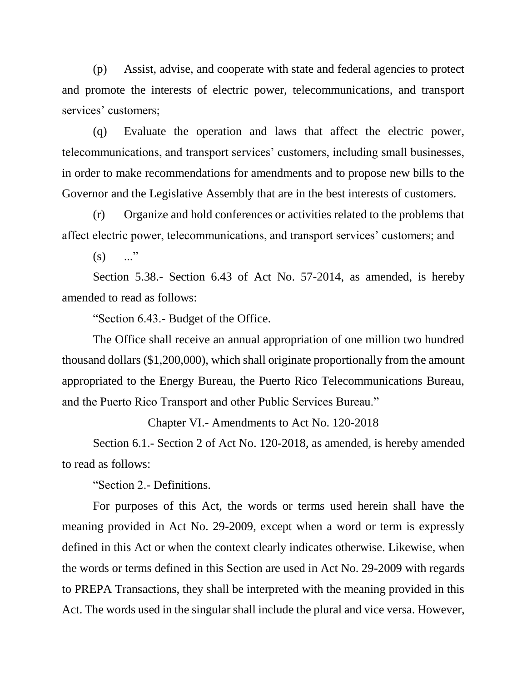(p) Assist, advise, and cooperate with state and federal agencies to protect and promote the interests of electric power, telecommunications, and transport services' customers;

(q) Evaluate the operation and laws that affect the electric power, telecommunications, and transport services' customers, including small businesses, in order to make recommendations for amendments and to propose new bills to the Governor and the Legislative Assembly that are in the best interests of customers.

(r) Organize and hold conferences or activities related to the problems that affect electric power, telecommunications, and transport services' customers; and

 $(s)$  ..."

Section 5.38.- Section 6.43 of Act No. 57-2014, as amended, is hereby amended to read as follows:

"Section 6.43.- Budget of the Office.

The Office shall receive an annual appropriation of one million two hundred thousand dollars (\$1,200,000), which shall originate proportionally from the amount appropriated to the Energy Bureau, the Puerto Rico Telecommunications Bureau, and the Puerto Rico Transport and other Public Services Bureau."

Chapter VI.- Amendments to Act No. 120-2018

Section 6.1.- Section 2 of Act No. 120-2018, as amended, is hereby amended to read as follows:

"Section 2.- Definitions.

For purposes of this Act, the words or terms used herein shall have the meaning provided in Act No. 29-2009, except when a word or term is expressly defined in this Act or when the context clearly indicates otherwise. Likewise, when the words or terms defined in this Section are used in Act No. 29-2009 with regards to PREPA Transactions, they shall be interpreted with the meaning provided in this Act. The words used in the singular shall include the plural and vice versa. However,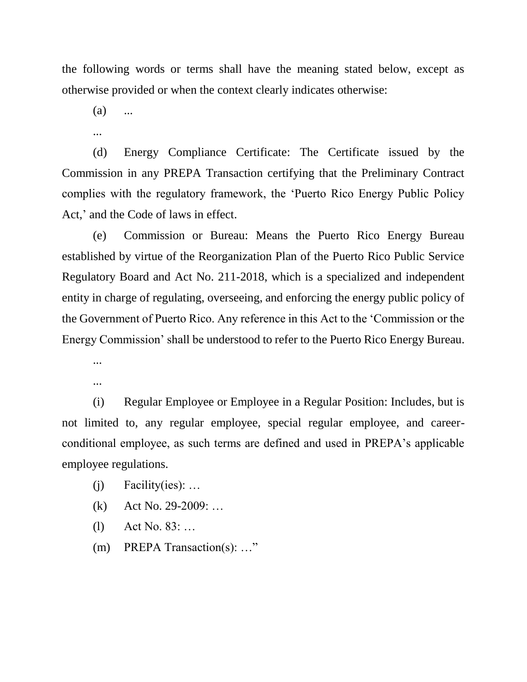the following words or terms shall have the meaning stated below, except as otherwise provided or when the context clearly indicates otherwise:

 $(a)$  ...

...

(d) Energy Compliance Certificate: The Certificate issued by the Commission in any PREPA Transaction certifying that the Preliminary Contract complies with the regulatory framework, the 'Puerto Rico Energy Public Policy Act,' and the Code of laws in effect.

(e) Commission or Bureau: Means the Puerto Rico Energy Bureau established by virtue of the Reorganization Plan of the Puerto Rico Public Service Regulatory Board and Act No. 211-2018, which is a specialized and independent entity in charge of regulating, overseeing, and enforcing the energy public policy of the Government of Puerto Rico. Any reference in this Act to the 'Commission or the Energy Commission' shall be understood to refer to the Puerto Rico Energy Bureau.

...

...

(i) Regular Employee or Employee in a Regular Position: Includes, but is not limited to, any regular employee, special regular employee, and careerconditional employee, as such terms are defined and used in PREPA's applicable employee regulations.

- $(i)$  Facility(ies): ...
- (k) Act No. 29-2009: …
- (l) Act No. 83: …
- (m) PREPA Transaction(s): …"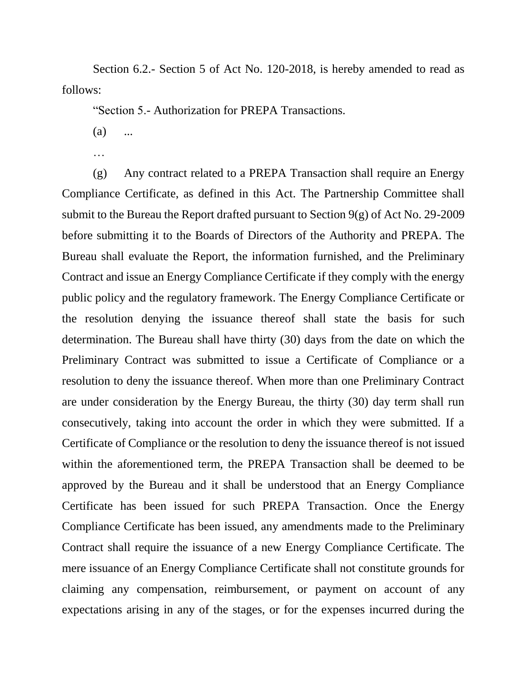Section 6.2.- Section 5 of Act No. 120-2018, is hereby amended to read as follows:

"Section 5.- Authorization for PREPA Transactions.

- $(a)$  ...
- …

(g) Any contract related to a PREPA Transaction shall require an Energy Compliance Certificate, as defined in this Act. The Partnership Committee shall submit to the Bureau the Report drafted pursuant to Section 9(g) of Act No. 29-2009 before submitting it to the Boards of Directors of the Authority and PREPA. The Bureau shall evaluate the Report, the information furnished, and the Preliminary Contract and issue an Energy Compliance Certificate if they comply with the energy public policy and the regulatory framework. The Energy Compliance Certificate or the resolution denying the issuance thereof shall state the basis for such determination. The Bureau shall have thirty (30) days from the date on which the Preliminary Contract was submitted to issue a Certificate of Compliance or a resolution to deny the issuance thereof. When more than one Preliminary Contract are under consideration by the Energy Bureau, the thirty (30) day term shall run consecutively, taking into account the order in which they were submitted. If a Certificate of Compliance or the resolution to deny the issuance thereof is not issued within the aforementioned term, the PREPA Transaction shall be deemed to be approved by the Bureau and it shall be understood that an Energy Compliance Certificate has been issued for such PREPA Transaction. Once the Energy Compliance Certificate has been issued, any amendments made to the Preliminary Contract shall require the issuance of a new Energy Compliance Certificate. The mere issuance of an Energy Compliance Certificate shall not constitute grounds for claiming any compensation, reimbursement, or payment on account of any expectations arising in any of the stages, or for the expenses incurred during the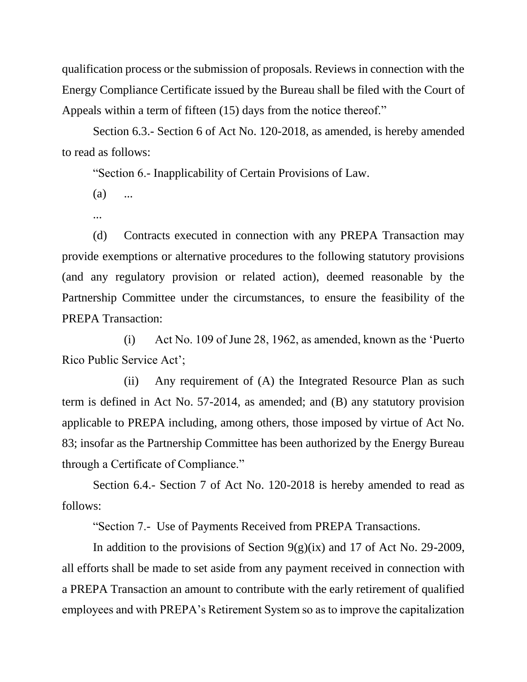qualification process or the submission of proposals. Reviews in connection with the Energy Compliance Certificate issued by the Bureau shall be filed with the Court of Appeals within a term of fifteen (15) days from the notice thereof."

Section 6.3.- Section 6 of Act No. 120-2018, as amended, is hereby amended to read as follows:

"Section 6.- Inapplicability of Certain Provisions of Law.

 $(a)$  ...

...

(d) Contracts executed in connection with any PREPA Transaction may provide exemptions or alternative procedures to the following statutory provisions (and any regulatory provision or related action), deemed reasonable by the Partnership Committee under the circumstances, to ensure the feasibility of the PREPA Transaction:

(i) Act No. 109 of June 28, 1962, as amended, known as the 'Puerto Rico Public Service Act';

(ii) Any requirement of (A) the Integrated Resource Plan as such term is defined in Act No. 57-2014, as amended; and (B) any statutory provision applicable to PREPA including, among others, those imposed by virtue of Act No. 83; insofar as the Partnership Committee has been authorized by the Energy Bureau through a Certificate of Compliance."

Section 6.4.- Section 7 of Act No. 120-2018 is hereby amended to read as follows:

"Section 7.- Use of Payments Received from PREPA Transactions.

In addition to the provisions of Section  $9(g)(ix)$  and 17 of Act No. 29-2009, all efforts shall be made to set aside from any payment received in connection with a PREPA Transaction an amount to contribute with the early retirement of qualified employees and with PREPA's Retirement System so as to improve the capitalization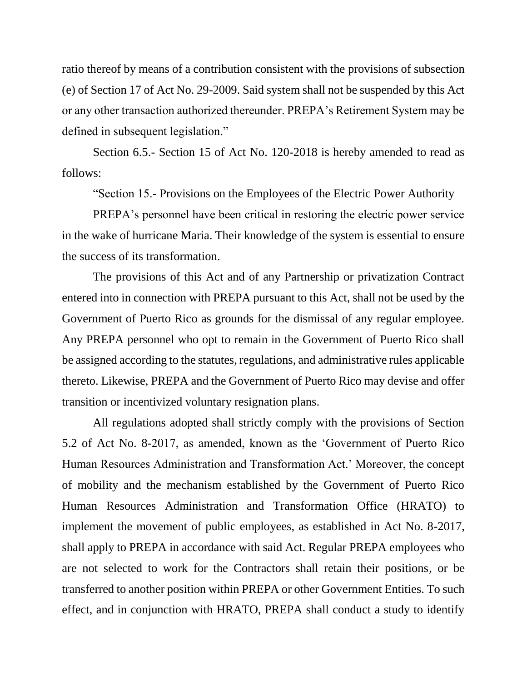ratio thereof by means of a contribution consistent with the provisions of subsection (e) of Section 17 of Act No. 29-2009. Said system shall not be suspended by this Act or any other transaction authorized thereunder. PREPA's Retirement System may be defined in subsequent legislation."

Section 6.5.- Section 15 of Act No. 120-2018 is hereby amended to read as follows:

"Section 15.- Provisions on the Employees of the Electric Power Authority

PREPA's personnel have been critical in restoring the electric power service in the wake of hurricane Maria. Their knowledge of the system is essential to ensure the success of its transformation.

The provisions of this Act and of any Partnership or privatization Contract entered into in connection with PREPA pursuant to this Act, shall not be used by the Government of Puerto Rico as grounds for the dismissal of any regular employee. Any PREPA personnel who opt to remain in the Government of Puerto Rico shall be assigned according to the statutes, regulations, and administrative rules applicable thereto. Likewise, PREPA and the Government of Puerto Rico may devise and offer transition or incentivized voluntary resignation plans.

All regulations adopted shall strictly comply with the provisions of Section 5.2 of Act No. 8-2017, as amended, known as the 'Government of Puerto Rico Human Resources Administration and Transformation Act.' Moreover, the concept of mobility and the mechanism established by the Government of Puerto Rico Human Resources Administration and Transformation Office (HRATO) to implement the movement of public employees, as established in Act No. 8-2017, shall apply to PREPA in accordance with said Act. Regular PREPA employees who are not selected to work for the Contractors shall retain their positions, or be transferred to another position within PREPA or other Government Entities. To such effect, and in conjunction with HRATO, PREPA shall conduct a study to identify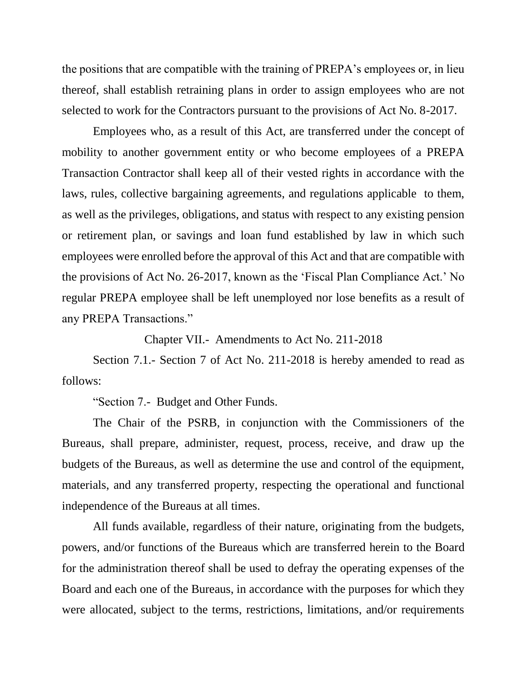the positions that are compatible with the training of PREPA's employees or, in lieu thereof, shall establish retraining plans in order to assign employees who are not selected to work for the Contractors pursuant to the provisions of Act No. 8-2017.

Employees who, as a result of this Act, are transferred under the concept of mobility to another government entity or who become employees of a PREPA Transaction Contractor shall keep all of their vested rights in accordance with the laws, rules, collective bargaining agreements, and regulations applicable to them, as well as the privileges, obligations, and status with respect to any existing pension or retirement plan, or savings and loan fund established by law in which such employees were enrolled before the approval of this Act and that are compatible with the provisions of Act No. 26-2017, known as the 'Fiscal Plan Compliance Act.' No regular PREPA employee shall be left unemployed nor lose benefits as a result of any PREPA Transactions."

Chapter VII.- Amendments to Act No. 211-2018

Section 7.1.- Section 7 of Act No. 211-2018 is hereby amended to read as follows:

"Section 7.- Budget and Other Funds.

The Chair of the PSRB, in conjunction with the Commissioners of the Bureaus, shall prepare, administer, request, process, receive, and draw up the budgets of the Bureaus, as well as determine the use and control of the equipment, materials, and any transferred property, respecting the operational and functional independence of the Bureaus at all times.

All funds available, regardless of their nature, originating from the budgets, powers, and/or functions of the Bureaus which are transferred herein to the Board for the administration thereof shall be used to defray the operating expenses of the Board and each one of the Bureaus, in accordance with the purposes for which they were allocated, subject to the terms, restrictions, limitations, and/or requirements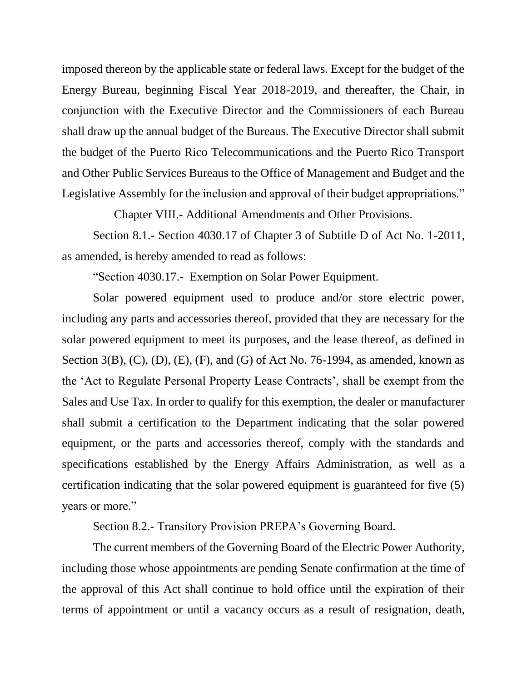imposed thereon by the applicable state or federal laws. Except for the budget of the Energy Bureau, beginning Fiscal Year 2018-2019, and thereafter, the Chair, in conjunction with the Executive Director and the Commissioners of each Bureau shall draw up the annual budget of the Bureaus. The Executive Director shall submit the budget of the Puerto Rico Telecommunications and the Puerto Rico Transport and Other Public Services Bureaus to the Office of Management and Budget and the Legislative Assembly for the inclusion and approval of their budget appropriations."

Chapter VIII.- Additional Amendments and Other Provisions.

Section 8.1.- Section 4030.17 of Chapter 3 of Subtitle D of Act No. 1-2011, as amended, is hereby amended to read as follows:

"Section 4030.17.- Exemption on Solar Power Equipment.

Solar powered equipment used to produce and/or store electric power, including any parts and accessories thereof, provided that they are necessary for the solar powered equipment to meet its purposes, and the lease thereof, as defined in Section 3(B), (C), (D), (E), (F), and (G) of Act No. 76-1994, as amended, known as the 'Act to Regulate Personal Property Lease Contracts', shall be exempt from the Sales and Use Tax. In order to qualify for this exemption, the dealer or manufacturer shall submit a certification to the Department indicating that the solar powered equipment, or the parts and accessories thereof, comply with the standards and specifications established by the Energy Affairs Administration, as well as a certification indicating that the solar powered equipment is guaranteed for five (5) years or more."

Section 8.2.- Transitory Provision PREPA's Governing Board.

The current members of the Governing Board of the Electric Power Authority, including those whose appointments are pending Senate confirmation at the time of the approval of this Act shall continue to hold office until the expiration of their terms of appointment or until a vacancy occurs as a result of resignation, death,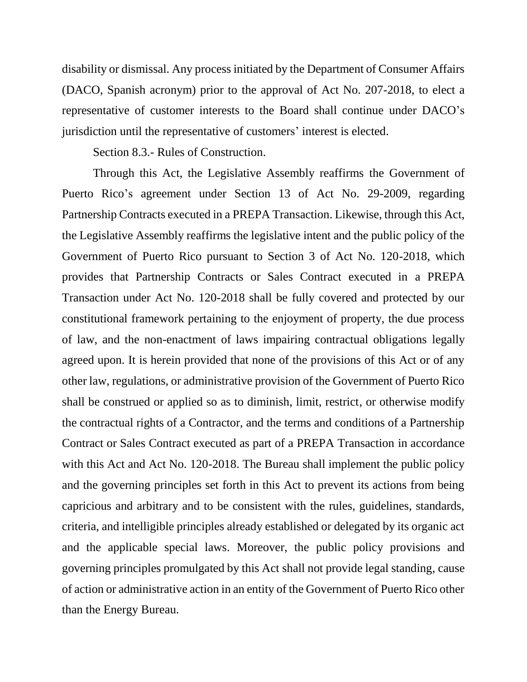disability or dismissal. Any process initiated by the Department of Consumer Affairs (DACO, Spanish acronym) prior to the approval of Act No. 207-2018, to elect a representative of customer interests to the Board shall continue under DACO's jurisdiction until the representative of customers' interest is elected.

Section 8.3.- Rules of Construction.

Through this Act, the Legislative Assembly reaffirms the Government of Puerto Rico's agreement under Section 13 of Act No. 29-2009, regarding Partnership Contracts executed in a PREPA Transaction. Likewise, through this Act, the Legislative Assembly reaffirms the legislative intent and the public policy of the Government of Puerto Rico pursuant to Section 3 of Act No. 120-2018, which provides that Partnership Contracts or Sales Contract executed in a PREPA Transaction under Act No. 120-2018 shall be fully covered and protected by our constitutional framework pertaining to the enjoyment of property, the due process of law, and the non-enactment of laws impairing contractual obligations legally agreed upon. It is herein provided that none of the provisions of this Act or of any other law, regulations, or administrative provision of the Government of Puerto Rico shall be construed or applied so as to diminish, limit, restrict, or otherwise modify the contractual rights of a Contractor, and the terms and conditions of a Partnership Contract or Sales Contract executed as part of a PREPA Transaction in accordance with this Act and Act No. 120-2018. The Bureau shall implement the public policy and the governing principles set forth in this Act to prevent its actions from being capricious and arbitrary and to be consistent with the rules, guidelines, standards, criteria, and intelligible principles already established or delegated by its organic act and the applicable special laws. Moreover, the public policy provisions and governing principles promulgated by this Act shall not provide legal standing, cause of action or administrative action in an entity of the Government of Puerto Rico other than the Energy Bureau.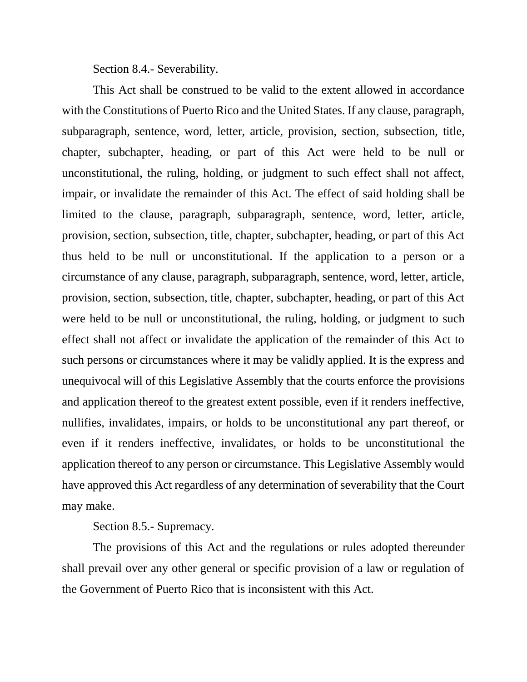Section 8.4.- Severability.

This Act shall be construed to be valid to the extent allowed in accordance with the Constitutions of Puerto Rico and the United States. If any clause, paragraph, subparagraph, sentence, word, letter, article, provision, section, subsection, title, chapter, subchapter, heading, or part of this Act were held to be null or unconstitutional, the ruling, holding, or judgment to such effect shall not affect, impair, or invalidate the remainder of this Act. The effect of said holding shall be limited to the clause, paragraph, subparagraph, sentence, word, letter, article, provision, section, subsection, title, chapter, subchapter, heading, or part of this Act thus held to be null or unconstitutional. If the application to a person or a circumstance of any clause, paragraph, subparagraph, sentence, word, letter, article, provision, section, subsection, title, chapter, subchapter, heading, or part of this Act were held to be null or unconstitutional, the ruling, holding, or judgment to such effect shall not affect or invalidate the application of the remainder of this Act to such persons or circumstances where it may be validly applied. It is the express and unequivocal will of this Legislative Assembly that the courts enforce the provisions and application thereof to the greatest extent possible, even if it renders ineffective, nullifies, invalidates, impairs, or holds to be unconstitutional any part thereof, or even if it renders ineffective, invalidates, or holds to be unconstitutional the application thereof to any person or circumstance. This Legislative Assembly would have approved this Act regardless of any determination of severability that the Court may make.

Section 8.5.- Supremacy.

The provisions of this Act and the regulations or rules adopted thereunder shall prevail over any other general or specific provision of a law or regulation of the Government of Puerto Rico that is inconsistent with this Act.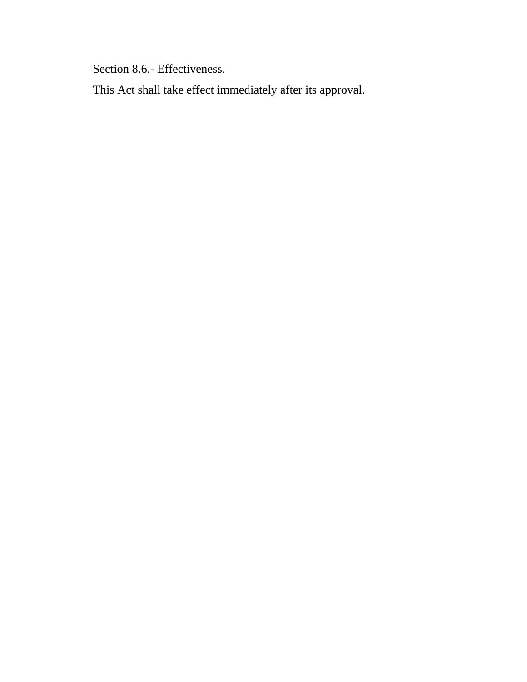Section 8.6.- Effectiveness.

This Act shall take effect immediately after its approval.